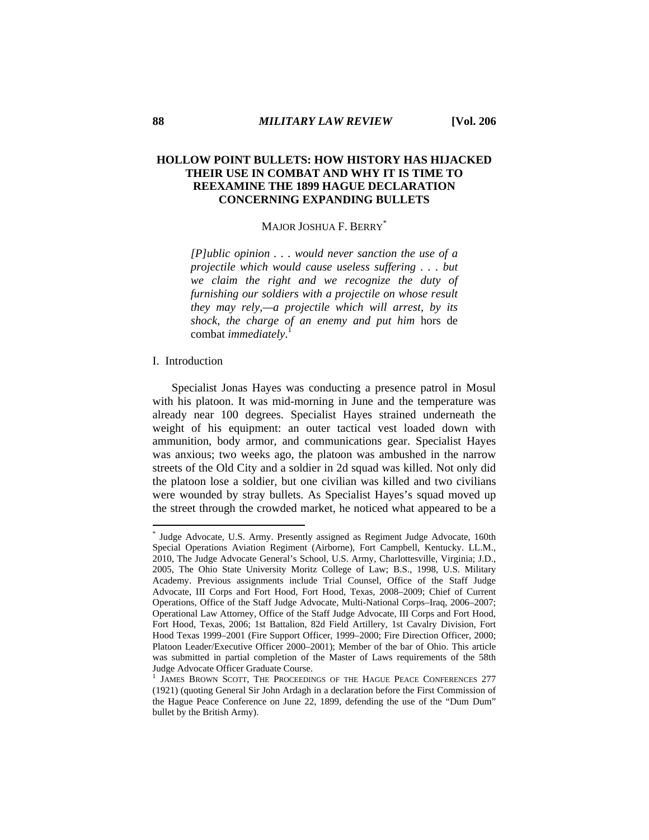# **HOLLOW POINT BULLETS: HOW HISTORY HAS HIJACKED THEIR USE IN COMBAT AND WHY IT IS TIME TO REEXAMINE THE 1899 HAGUE DECLARATION CONCERNING EXPANDING BULLETS**

# MAJOR JOSHUA F. BERRY<sup>\*</sup>

*[P]ublic opinion . . . would never sanction the use of a projectile which would cause useless suffering . . . but we claim the right and we recognize the duty of furnishing our soldiers with a projectile on whose result they may rely,—a projectile which will arrest, by its shock, the charge of an enemy and put him* hors de combat *immediately*. 1

### I. Introduction

 $\overline{a}$ 

Specialist Jonas Hayes was conducting a presence patrol in Mosul with his platoon. It was mid-morning in June and the temperature was already near 100 degrees. Specialist Hayes strained underneath the weight of his equipment: an outer tactical vest loaded down with ammunition, body armor, and communications gear. Specialist Hayes was anxious; two weeks ago, the platoon was ambushed in the narrow streets of the Old City and a soldier in 2d squad was killed. Not only did the platoon lose a soldier, but one civilian was killed and two civilians were wounded by stray bullets. As Specialist Hayes's squad moved up the street through the crowded market, he noticed what appeared to be a

<sup>\*</sup> Judge Advocate, U.S. Army. Presently assigned as Regiment Judge Advocate, 160th Special Operations Aviation Regiment (Airborne), Fort Campbell, Kentucky. LL.M., 2010, The Judge Advocate General's School, U.S. Army, Charlottesville, Virginia; J.D., 2005, The Ohio State University Moritz College of Law; B.S., 1998, U.S. Military Academy. Previous assignments include Trial Counsel, Office of the Staff Judge Advocate, III Corps and Fort Hood, Fort Hood, Texas, 2008–2009; Chief of Current Operations, Office of the Staff Judge Advocate, Multi-National Corps–Iraq, 2006–2007; Operational Law Attorney, Office of the Staff Judge Advocate, III Corps and Fort Hood, Fort Hood, Texas, 2006; 1st Battalion, 82d Field Artillery, 1st Cavalry Division, Fort Hood Texas 1999–2001 (Fire Support Officer, 1999–2000; Fire Direction Officer, 2000; Platoon Leader/Executive Officer 2000–2001); Member of the bar of Ohio. This article was submitted in partial completion of the Master of Laws requirements of the 58th Judge Advocate Officer Graduate Course.

<sup>&</sup>lt;sup>1</sup> JAMES BROWN SCOTT, THE PROCEEDINGS OF THE HAGUE PEACE CONFERENCES 277 (1921) (quoting General Sir John Ardagh in a declaration before the First Commission of the Hague Peace Conference on June 22, 1899, defending the use of the "Dum Dum" bullet by the British Army).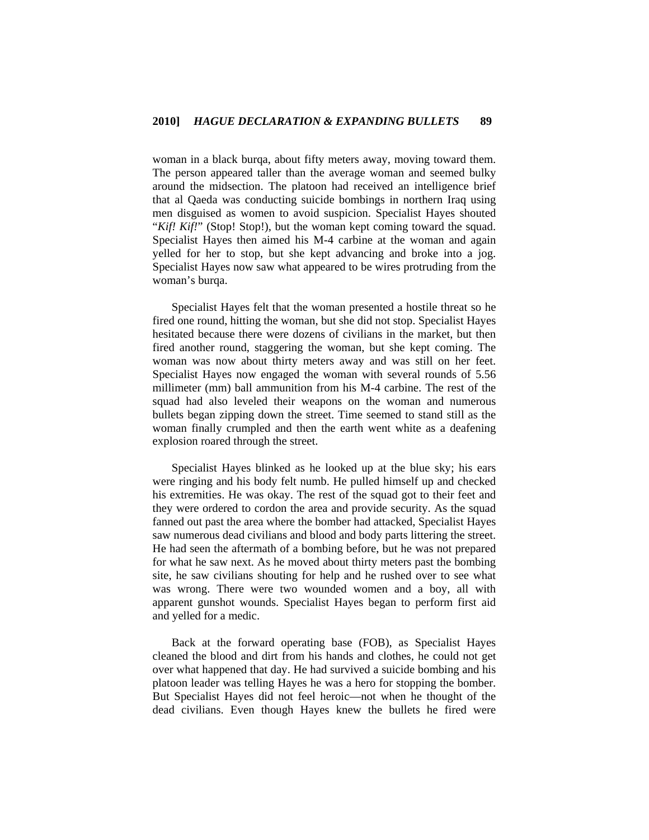woman in a black burqa, about fifty meters away, moving toward them. The person appeared taller than the average woman and seemed bulky around the midsection. The platoon had received an intelligence brief that al Qaeda was conducting suicide bombings in northern Iraq using men disguised as women to avoid suspicion. Specialist Hayes shouted "*Kif! Kif!"* (Stop! Stop!), but the woman kept coming toward the squad. Specialist Hayes then aimed his M-4 carbine at the woman and again yelled for her to stop, but she kept advancing and broke into a jog. Specialist Hayes now saw what appeared to be wires protruding from the woman's burqa.

Specialist Hayes felt that the woman presented a hostile threat so he fired one round, hitting the woman, but she did not stop. Specialist Hayes hesitated because there were dozens of civilians in the market, but then fired another round, staggering the woman, but she kept coming. The woman was now about thirty meters away and was still on her feet. Specialist Hayes now engaged the woman with several rounds of 5.56 millimeter (mm) ball ammunition from his M-4 carbine. The rest of the squad had also leveled their weapons on the woman and numerous bullets began zipping down the street. Time seemed to stand still as the woman finally crumpled and then the earth went white as a deafening explosion roared through the street.

Specialist Hayes blinked as he looked up at the blue sky; his ears were ringing and his body felt numb. He pulled himself up and checked his extremities. He was okay. The rest of the squad got to their feet and they were ordered to cordon the area and provide security. As the squad fanned out past the area where the bomber had attacked, Specialist Hayes saw numerous dead civilians and blood and body parts littering the street. He had seen the aftermath of a bombing before, but he was not prepared for what he saw next. As he moved about thirty meters past the bombing site, he saw civilians shouting for help and he rushed over to see what was wrong. There were two wounded women and a boy, all with apparent gunshot wounds. Specialist Hayes began to perform first aid and yelled for a medic.

Back at the forward operating base (FOB), as Specialist Hayes cleaned the blood and dirt from his hands and clothes, he could not get over what happened that day. He had survived a suicide bombing and his platoon leader was telling Hayes he was a hero for stopping the bomber. But Specialist Hayes did not feel heroic—not when he thought of the dead civilians. Even though Hayes knew the bullets he fired were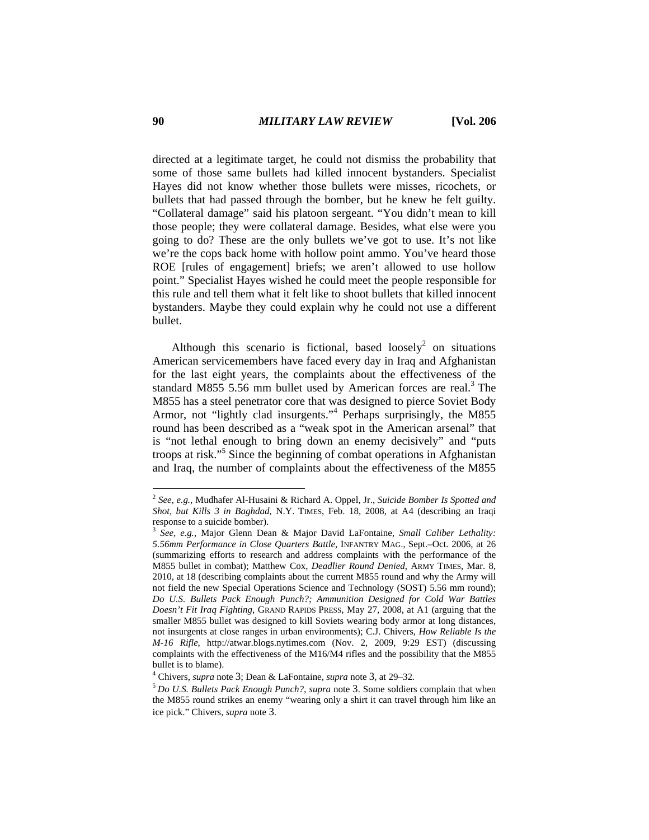directed at a legitimate target, he could not dismiss the probability that some of those same bullets had killed innocent bystanders. Specialist Hayes did not know whether those bullets were misses, ricochets, or bullets that had passed through the bomber, but he knew he felt guilty. "Collateral damage" said his platoon sergeant. "You didn't mean to kill those people; they were collateral damage. Besides, what else were you going to do? These are the only bullets we've got to use. It's not like we're the cops back home with hollow point ammo. You've heard those ROE [rules of engagement] briefs; we aren't allowed to use hollow point." Specialist Hayes wished he could meet the people responsible for this rule and tell them what it felt like to shoot bullets that killed innocent bystanders. Maybe they could explain why he could not use a different bullet.

Although this scenario is fictional, based loosely<sup>2</sup> on situations American servicemembers have faced every day in Iraq and Afghanistan for the last eight years, the complaints about the effectiveness of the standard M855 5.56 mm bullet used by American forces are real.<sup>3</sup> The M855 has a steel penetrator core that was designed to pierce Soviet Body Armor, not "lightly clad insurgents."<sup>4</sup> Perhaps surprisingly, the M855 round has been described as a "weak spot in the American arsenal" that is "not lethal enough to bring down an enemy decisively" and "puts troops at risk."5 Since the beginning of combat operations in Afghanistan and Iraq, the number of complaints about the effectiveness of the M855

<sup>2</sup> *See, e.g.*, Mudhafer Al-Husaini & Richard A. Oppel, Jr., *Suicide Bomber Is Spotted and Shot, but Kills 3 in Baghdad*, N.Y. TIMES, Feb. 18, 2008, at A4 (describing an Iraqi response to a suicide bomber).

<sup>3</sup> *See, e.g.*, Major Glenn Dean & Major David LaFontaine, *Small Caliber Lethality: 5.56mm Performance in Close Quarters Battle*, INFANTRY MAG., Sept.–Oct. 2006, at 26 (summarizing efforts to research and address complaints with the performance of the M855 bullet in combat); Matthew Cox, *Deadlier Round Denied*, ARMY TIMES, Mar. 8, 2010, at 18 (describing complaints about the current M855 round and why the Army will not field the new Special Operations Science and Technology (SOST) 5.56 mm round); *Do U.S. Bullets Pack Enough Punch?; Ammunition Designed for Cold War Battles Doesn't Fit Iraq Fighting*, GRAND RAPIDS PRESS, May 27, 2008, at A1 (arguing that the smaller M855 bullet was designed to kill Soviets wearing body armor at long distances, not insurgents at close ranges in urban environments); C.J. Chivers, *How Reliable Is the M-16 Rifle*, http://atwar.blogs.nytimes.com (Nov. 2, 2009, 9:29 EST) (discussing complaints with the effectiveness of the M16/M4 rifles and the possibility that the M855 bullet is to blame).

<sup>4</sup> Chivers, *supra* note 3; Dean & LaFontaine, *supra* note 3, at 29–32*.*

<sup>5</sup>*Do U.S. Bullets Pack Enough Punch?*, *supra* note 3. Some soldiers complain that when the M855 round strikes an enemy "wearing only a shirt it can travel through him like an ice pick." Chivers, *supra* note 3.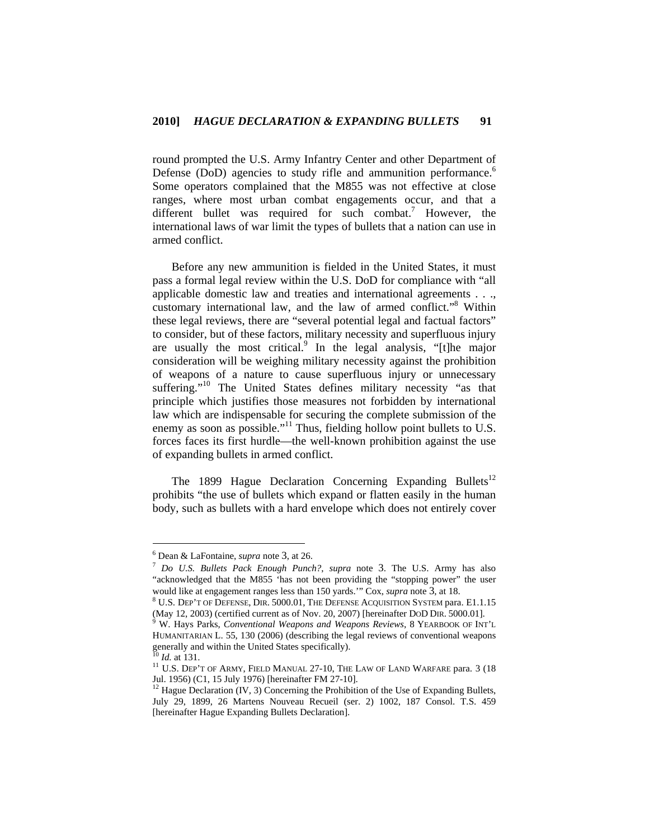round prompted the U.S. Army Infantry Center and other Department of Defense (DoD) agencies to study rifle and ammunition performance.<sup>6</sup> Some operators complained that the M855 was not effective at close ranges, where most urban combat engagements occur, and that a different bullet was required for such combat.<sup>7</sup> However, the international laws of war limit the types of bullets that a nation can use in armed conflict.

Before any new ammunition is fielded in the United States, it must pass a formal legal review within the U.S. DoD for compliance with "all applicable domestic law and treaties and international agreements . . ., customary international law, and the law of armed conflict."<sup>8</sup> Within these legal reviews, there are "several potential legal and factual factors" to consider, but of these factors, military necessity and superfluous injury are usually the most critical.<sup>9</sup> In the legal analysis, "[t]he major consideration will be weighing military necessity against the prohibition of weapons of a nature to cause superfluous injury or unnecessary suffering."<sup>10</sup> The United States defines military necessity "as that principle which justifies those measures not forbidden by international law which are indispensable for securing the complete submission of the enemy as soon as possible."<sup>11</sup> Thus, fielding hollow point bullets to U.S. forces faces its first hurdle—the well-known prohibition against the use of expanding bullets in armed conflict.

The 1899 Hague Declaration Concerning Expanding Bullets<sup>12</sup> prohibits "the use of bullets which expand or flatten easily in the human body, such as bullets with a hard envelope which does not entirely cover

 $6$  Dean & LaFontaine, *supra* note 3, at 26.

<sup>&</sup>lt;sup>7</sup> Do U.S. Bullets Pack Enough Punch?, *supra* note 3. The U.S. Army has also "acknowledged that the M855 'has not been providing the "stopping power" the user would like at engagement ranges less than 150 yards." Cox, *supra* note 3, at 18.

<sup>&</sup>lt;sup>8</sup> U.S. DEP'T OF DEFENSE, DIR. 5000.01, THE DEFENSE ACQUISITION SYSTEM para. E1.1.15 (May 12, 2003) (certified current as of Nov. 20, 2007) [hereinafter DoD DIR. 5000.01].

W. Hays Parks, *Conventional Weapons and Weapons Reviews*, 8 YEARBOOK OF INT'L HUMANITARIAN L. 55, 130 (2006) (describing the legal reviews of conventional weapons generally and within the United States specifically).  $^{10}$  *Id.* at 131.

<sup>&</sup>lt;sup>11</sup> U.S. DEP'T OF ARMY, FIELD MANUAL 27-10, THE LAW OF LAND WARFARE para. 3 (18) Jul. 1956) (C1, 15 July 1976) [hereinafter FM 27-10].

<sup>&</sup>lt;sup>12</sup> Hague Declaration (IV, 3) Concerning the Prohibition of the Use of Expanding Bullets, July 29, 1899, 26 Martens Nouveau Recueil (ser. 2) 1002, 187 Consol. T.S. 459 [hereinafter Hague Expanding Bullets Declaration].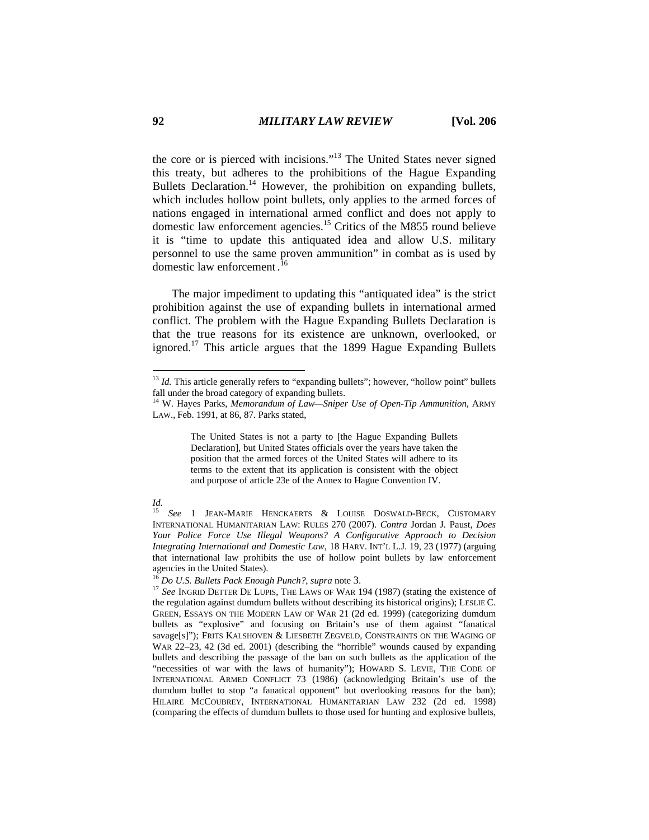the core or is pierced with incisions."13 The United States never signed this treaty, but adheres to the prohibitions of the Hague Expanding Bullets Declaration.<sup>14</sup> However, the prohibition on expanding bullets, which includes hollow point bullets, only applies to the armed forces of nations engaged in international armed conflict and does not apply to domestic law enforcement agencies.15 Critics of the M855 round believe it is "time to update this antiquated idea and allow U.S. military personnel to use the same proven ammunition" in combat as is used by domestic law enforcement . 16

The major impediment to updating this "antiquated idea" is the strict prohibition against the use of expanding bullets in international armed conflict. The problem with the Hague Expanding Bullets Declaration is that the true reasons for its existence are unknown, overlooked, or ignored.<sup>17</sup> This article argues that the 1899 Hague Expanding Bullets

The United States is not a party to [the Hague Expanding Bullets Declaration], but United States officials over the years have taken the position that the armed forces of the United States will adhere to its terms to the extent that its application is consistent with the object and purpose of article 23e of the Annex to Hague Convention IV.

 $13$  *Id.* This article generally refers to "expanding bullets"; however, "hollow point" bullets fall under the broad category of expanding bullets.

<sup>&</sup>lt;sup>14</sup> W. Hayes Parks, *Memorandum of Law—Sniper Use of Open-Tip Ammunition*, ARMY LAW., Feb. 1991, at 86, 87. Parks stated,

*Id.* 15 *See* <sup>1</sup> JEAN-MARIE HENCKAERTS & LOUISE DOSWALD-BECK, CUSTOMARY INTERNATIONAL HUMANITARIAN LAW: RULES 270 (2007). *Contra* Jordan J. Paust, *Does Your Police Force Use Illegal Weapons? A Configurative Approach to Decision Integrating International and Domestic Law*, 18 HARV. INT'L L.J. 19, 23 (1977) (arguing that international law prohibits the use of hollow point bullets by law enforcement

agencies in the United States).<br><sup>16</sup> Do U.S. Bullets Pack Enough Punch?, supra note 3.

<sup>&</sup>lt;sup>17</sup> See INGRID DETTER DE LUPIS, THE LAWS OF WAR 194 (1987) (stating the existence of the regulation against dumdum bullets without describing its historical origins); LESLIE C. GREEN, ESSAYS ON THE MODERN LAW OF WAR 21 (2d ed. 1999) (categorizing dumdum bullets as "explosive" and focusing on Britain's use of them against "fanatical savage[s]"); FRITS KALSHOVEN & LIESBETH ZEGVELD, CONSTRAINTS ON THE WAGING OF WAR 22–23, 42 (3d ed. 2001) (describing the "horrible" wounds caused by expanding bullets and describing the passage of the ban on such bullets as the application of the "necessities of war with the laws of humanity"); HOWARD S. LEVIE, THE CODE OF INTERNATIONAL ARMED CONFLICT 73 (1986) (acknowledging Britain's use of the dumdum bullet to stop "a fanatical opponent" but overlooking reasons for the ban); HILAIRE MCCOUBREY, INTERNATIONAL HUMANITARIAN LAW 232 (2d ed. 1998) (comparing the effects of dumdum bullets to those used for hunting and explosive bullets,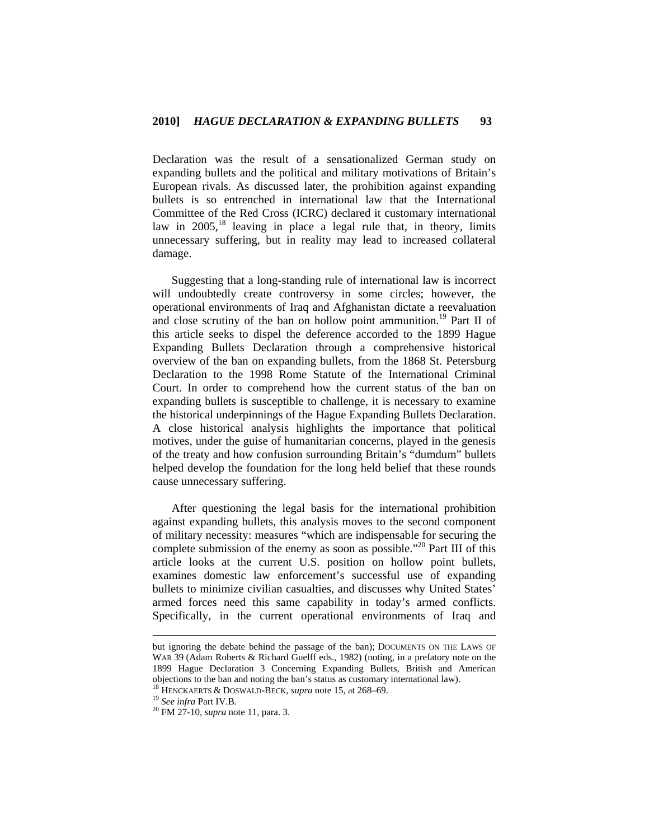Declaration was the result of a sensationalized German study on expanding bullets and the political and military motivations of Britain's European rivals. As discussed later, the prohibition against expanding bullets is so entrenched in international law that the International Committee of the Red Cross (ICRC) declared it customary international law in  $2005$ ,<sup>18</sup> leaving in place a legal rule that, in theory, limits unnecessary suffering, but in reality may lead to increased collateral damage.

Suggesting that a long-standing rule of international law is incorrect will undoubtedly create controversy in some circles; however, the operational environments of Iraq and Afghanistan dictate a reevaluation and close scrutiny of the ban on hollow point ammunition.<sup>19</sup> Part II of this article seeks to dispel the deference accorded to the 1899 Hague Expanding Bullets Declaration through a comprehensive historical overview of the ban on expanding bullets, from the 1868 St. Petersburg Declaration to the 1998 Rome Statute of the International Criminal Court. In order to comprehend how the current status of the ban on expanding bullets is susceptible to challenge, it is necessary to examine the historical underpinnings of the Hague Expanding Bullets Declaration. A close historical analysis highlights the importance that political motives, under the guise of humanitarian concerns, played in the genesis of the treaty and how confusion surrounding Britain's "dumdum" bullets helped develop the foundation for the long held belief that these rounds cause unnecessary suffering.

After questioning the legal basis for the international prohibition against expanding bullets, this analysis moves to the second component of military necessity: measures "which are indispensable for securing the complete submission of the enemy as soon as possible."<sup>20</sup> Part III of this article looks at the current U.S. position on hollow point bullets, examines domestic law enforcement's successful use of expanding bullets to minimize civilian casualties, and discusses why United States' armed forces need this same capability in today's armed conflicts. Specifically, in the current operational environments of Iraq and

but ignoring the debate behind the passage of the ban); DOCUMENTS ON THE LAWS OF WAR 39 (Adam Roberts & Richard Guelff eds., 1982) (noting, in a prefatory note on the 1899 Hague Declaration 3 Concerning Expanding Bullets, British and American objections to the ban and noting the ban's status as customary international law).<br><sup>18</sup> HENCKAERTS & DOSWALD-BECK, *supra* note 15, at 268–69.<br><sup>19</sup> See infra Part IV.B.<br><sup>20</sup> FM 27-10, *supra* note 11, para. 3.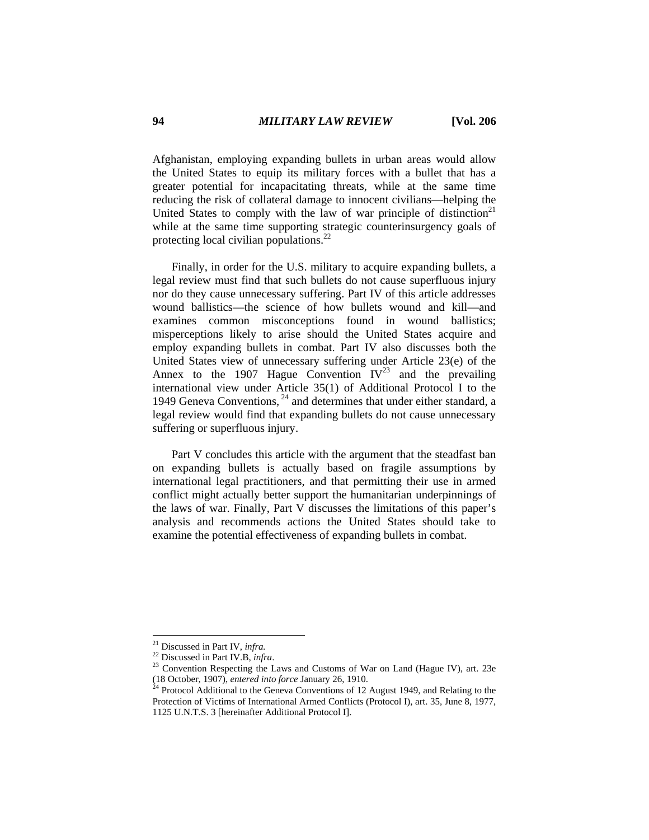Afghanistan, employing expanding bullets in urban areas would allow the United States to equip its military forces with a bullet that has a greater potential for incapacitating threats, while at the same time reducing the risk of collateral damage to innocent civilians—helping the United States to comply with the law of war principle of distinction<sup>21</sup> while at the same time supporting strategic counterinsurgency goals of protecting local civilian populations.22

Finally, in order for the U.S. military to acquire expanding bullets, a legal review must find that such bullets do not cause superfluous injury nor do they cause unnecessary suffering. Part IV of this article addresses wound ballistics—the science of how bullets wound and kill—and examines common misconceptions found in wound ballistics; misperceptions likely to arise should the United States acquire and employ expanding bullets in combat. Part IV also discusses both the United States view of unnecessary suffering under Article 23(e) of the Annex to the 1907 Hague Convention  $IV^{23}$  and the prevailing international view under Article 35(1) of Additional Protocol I to the 1949 Geneva Conventions,  $^{24}$  and determines that under either standard, a legal review would find that expanding bullets do not cause unnecessary suffering or superfluous injury.

Part V concludes this article with the argument that the steadfast ban on expanding bullets is actually based on fragile assumptions by international legal practitioners, and that permitting their use in armed conflict might actually better support the humanitarian underpinnings of the laws of war. Finally, Part V discusses the limitations of this paper's analysis and recommends actions the United States should take to examine the potential effectiveness of expanding bullets in combat.

 $21$  Discussed in Part IV, infra.

<sup>&</sup>lt;sup>22</sup> Discussed in Part IV.B, *infra.*<br><sup>23</sup> Convention Respecting the Laws and Customs of War on Land (Hague IV), art. 23e (18 October, 1907), *entered into force* January 26, 1910.

<sup>&</sup>lt;sup>24</sup> Protocol Additional to the Geneva Conventions of 12 August 1949, and Relating to the Protection of Victims of International Armed Conflicts (Protocol I), art. 35, June 8, 1977, 1125 U.N.T.S. 3 [hereinafter Additional Protocol I].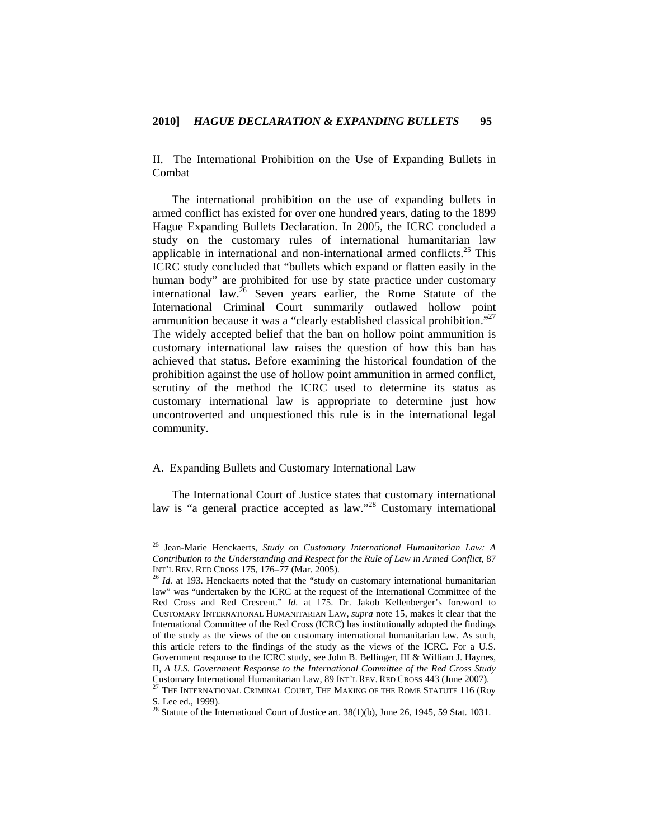II. The International Prohibition on the Use of Expanding Bullets in Combat

The international prohibition on the use of expanding bullets in armed conflict has existed for over one hundred years, dating to the 1899 Hague Expanding Bullets Declaration. In 2005, the ICRC concluded a study on the customary rules of international humanitarian law applicable in international and non-international armed conflicts. $25$  This ICRC study concluded that "bullets which expand or flatten easily in the human body" are prohibited for use by state practice under customary international law.<sup>26</sup> Seven years earlier, the Rome Statute of the International Criminal Court summarily outlawed hollow point ammunition because it was a "clearly established classical prohibition."27 The widely accepted belief that the ban on hollow point ammunition is customary international law raises the question of how this ban has achieved that status. Before examining the historical foundation of the prohibition against the use of hollow point ammunition in armed conflict, scrutiny of the method the ICRC used to determine its status as customary international law is appropriate to determine just how uncontroverted and unquestioned this rule is in the international legal community.

## A. Expanding Bullets and Customary International Law

 $\overline{a}$ 

The International Court of Justice states that customary international law is "a general practice accepted as law."28 Customary international

<sup>25</sup> Jean-Marie Henckaerts, *Study on Customary International Humanitarian Law: A Contribution to the Understanding and Respect for the Rule of Law in Armed Conflict*, 87 INT'L REV. RED CROSS 175, 176–77 (Mar. 2005). 26 *Id.* at 193. Henckaerts noted that the "study on customary international humanitarian

law" was "undertaken by the ICRC at the request of the International Committee of the Red Cross and Red Crescent." *Id.* at 175. Dr. Jakob Kellenberger's foreword to CUSTOMARY INTERNATIONAL HUMANITARIAN LAW, *supra* note 15, makes it clear that the International Committee of the Red Cross (ICRC) has institutionally adopted the findings of the study as the views of the on customary international humanitarian law. As such, this article refers to the findings of the study as the views of the ICRC. For a U.S. Government response to the ICRC study, see John B. Bellinger, III & William J. Haynes, II, *A U.S. Government Response to the International Committee of the Red Cross Study*

Customary International Humanitarian Law, 89 INT'L REV. RED CROSS 443 (June 2007). 27 THE INTERNATIONAL CRIMINAL COURT, THE MAKING OF THE ROME STATUTE 116 (Roy S. Lee ed., 1999).

<sup>&</sup>lt;sup>28</sup> Statute of the International Court of Justice art.  $38(1)(b)$ , June 26, 1945, 59 Stat. 1031.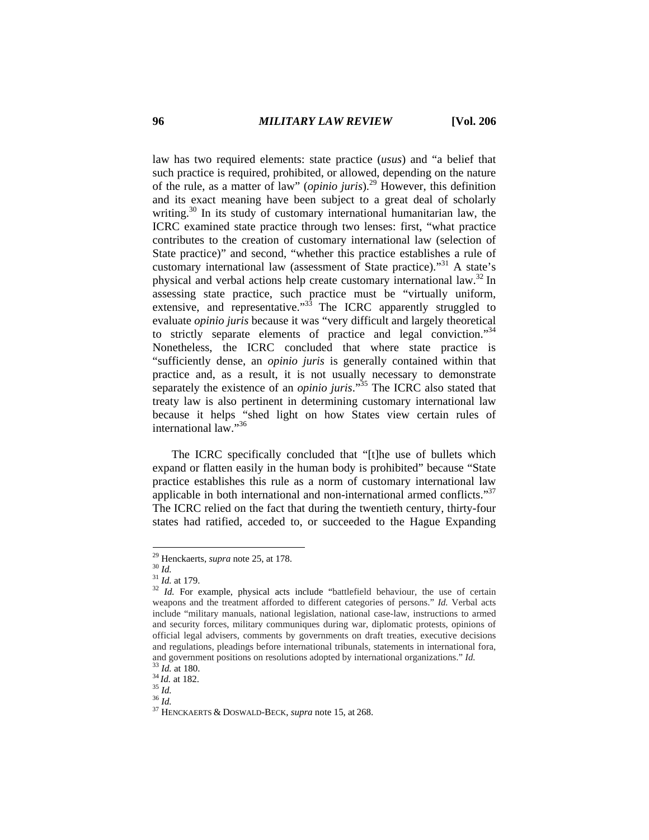law has two required elements: state practice (*usus*) and "a belief that such practice is required, prohibited, or allowed, depending on the nature of the rule, as a matter of law" (*opinio juris*).29 However, this definition and its exact meaning have been subject to a great deal of scholarly writing.<sup>30</sup> In its study of customary international humanitarian law, the ICRC examined state practice through two lenses: first, "what practice contributes to the creation of customary international law (selection of State practice)" and second, "whether this practice establishes a rule of customary international law (assessment of State practice)."31 A state's physical and verbal actions help create customary international law.32 In assessing state practice, such practice must be "virtually uniform, extensive, and representative."<sup>33</sup> The ICRC apparently struggled to evaluate *opinio juris* because it was "very difficult and largely theoretical to strictly separate elements of practice and legal conviction."<sup>34</sup> Nonetheless, the ICRC concluded that where state practice is "sufficiently dense, an *opinio juris* is generally contained within that practice and, as a result, it is not usually necessary to demonstrate separately the existence of an *opinio juris*."<sup>35</sup> The ICRC also stated that treaty law is also pertinent in determining customary international law because it helps "shed light on how States view certain rules of international law."36

The ICRC specifically concluded that "[t]he use of bullets which expand or flatten easily in the human body is prohibited" because "State practice establishes this rule as a norm of customary international law applicable in both international and non-international armed conflicts."<sup>37</sup> The ICRC relied on the fact that during the twentieth century, thirty-four states had ratified, acceded to, or succeeded to the Hague Expanding

<sup>&</sup>lt;sup>29</sup> Henckaerts, *supra* note 25, at 178.<br><sup>31</sup> *Id.* 31 *Id.* at 179.<br><sup>32</sup> *Id.* For example, physical acts include "battlefield behaviour, the use of certain weapons and the treatment afforded to different categories of persons." *Id.* Verbal acts include "military manuals, national legislation, national case-law, instructions to armed and security forces, military communiques during war, diplomatic protests, opinions of official legal advisers, comments by governments on draft treaties, executive decisions and regulations, pleadings before international tribunals, statements in international fora, and government positions on resolutions adopted by international organizations." *Id.* <sup>33</sup> *Id.* at 182. <sup>35</sup> *Id.* <sup>36</sup> *Id.* <sup>36</sup> *Id.* <sup>37</sup> HENCKAERTS & DOSWALD-BECK, *supra* note 15, at 268.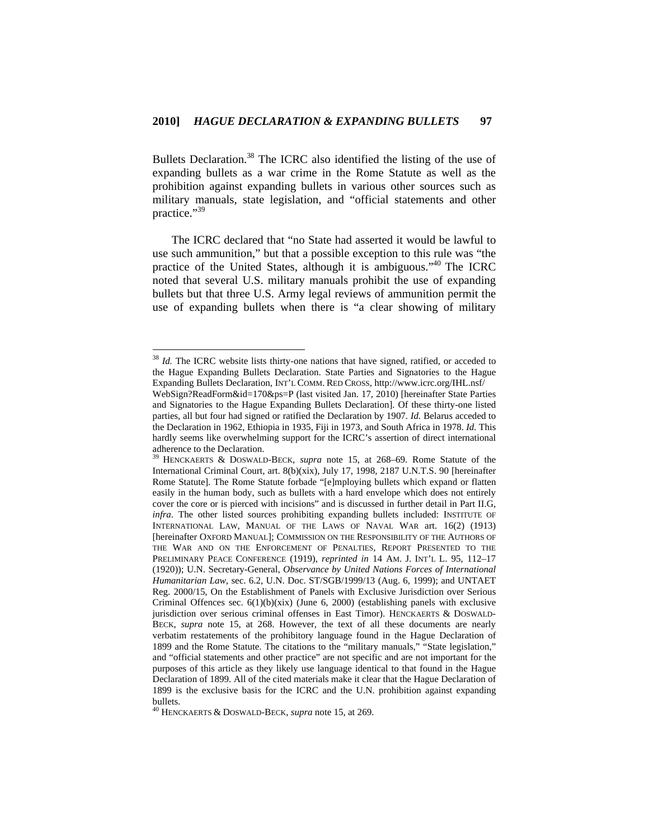Bullets Declaration.<sup>38</sup> The ICRC also identified the listing of the use of expanding bullets as a war crime in the Rome Statute as well as the prohibition against expanding bullets in various other sources such as military manuals, state legislation, and "official statements and other practice."39

The ICRC declared that "no State had asserted it would be lawful to use such ammunition," but that a possible exception to this rule was "the practice of the United States, although it is ambiguous."40 The ICRC noted that several U.S. military manuals prohibit the use of expanding bullets but that three U.S. Army legal reviews of ammunition permit the use of expanding bullets when there is "a clear showing of military

<sup>&</sup>lt;sup>38</sup> *Id.* The ICRC website lists thirty-one nations that have signed, ratified, or acceded to the Hague Expanding Bullets Declaration. State Parties and Signatories to the Hague Expanding Bullets Declaration, INT'L COMM. RED CROSS, http://www.icrc.org/IHL.nsf/

WebSign?ReadForm&id=170&ps=P (last visited Jan. 17, 2010) [hereinafter State Parties and Signatories to the Hague Expanding Bullets Declaration]. Of these thirty-one listed parties, all but four had signed or ratified the Declaration by 1907. *Id.* Belarus acceded to the Declaration in 1962, Ethiopia in 1935, Fiji in 1973, and South Africa in 1978. *Id.* This hardly seems like overwhelming support for the ICRC's assertion of direct international adherence to the Declaration.

<sup>39</sup> HENCKAERTS & DOSWALD-BECK, *supra* note 15, at 268–69. Rome Statute of the International Criminal Court, art. 8(b)(xix), July 17, 1998, 2187 U.N.T.S. 90 [hereinafter Rome Statute]. The Rome Statute forbade "[e]mploying bullets which expand or flatten easily in the human body, such as bullets with a hard envelope which does not entirely cover the core or is pierced with incisions" and is discussed in further detail in Part II.G, *infra*. The other listed sources prohibiting expanding bullets included: INSTITUTE OF INTERNATIONAL LAW, MANUAL OF THE LAWS OF NAVAL WAR art. 16(2) (1913) [hereinafter OXFORD MANUAL]; COMMISSION ON THE RESPONSIBILITY OF THE AUTHORS OF THE WAR AND ON THE ENFORCEMENT OF PENALTIES, REPORT PRESENTED TO THE PRELIMINARY PEACE CONFERENCE (1919), *reprinted in* 14 AM. J. INT'L L. 95, 112–17 (1920)); U.N. Secretary-General, *Observance by United Nations Forces of International Humanitarian Law*, sec. 6.2, U.N. Doc. ST/SGB/1999/13 (Aug. 6, 1999); and UNTAET Reg. 2000/15, On the Establishment of Panels with Exclusive Jurisdiction over Serious Criminal Offences sec.  $6(1)(b)(xix)$  (June 6, 2000) (establishing panels with exclusive jurisdiction over serious criminal offenses in East Timor). HENCKAERTS & DOSWALD-BECK, *supra* note 15, at 268. However, the text of all these documents are nearly verbatim restatements of the prohibitory language found in the Hague Declaration of 1899 and the Rome Statute. The citations to the "military manuals," "State legislation," and "official statements and other practice" are not specific and are not important for the purposes of this article as they likely use language identical to that found in the Hague Declaration of 1899. All of the cited materials make it clear that the Hague Declaration of 1899 is the exclusive basis for the ICRC and the U.N. prohibition against expanding bullets.

<sup>40</sup> HENCKAERTS & DOSWALD-BECK, *supra* note 15, at 269.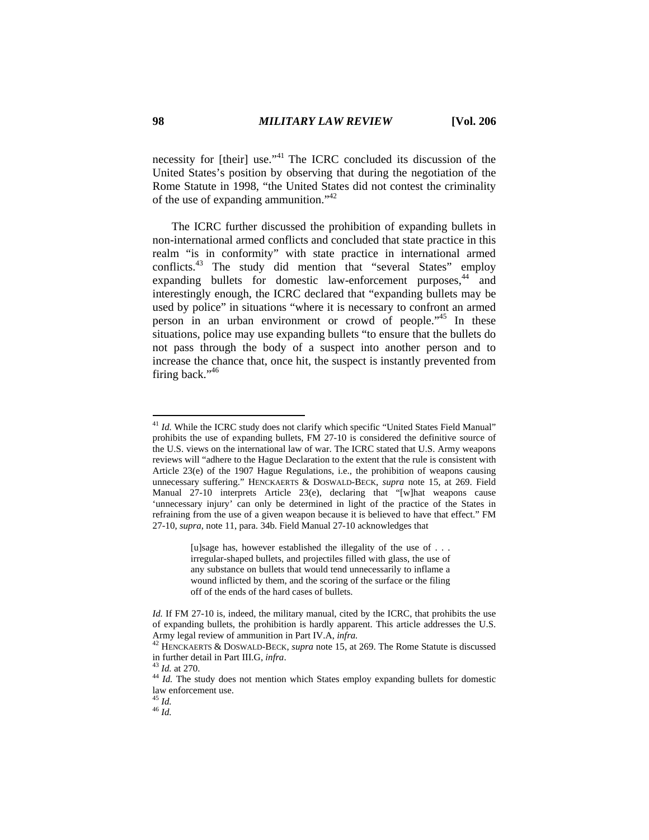necessity for [their] use."<sup>41</sup> The ICRC concluded its discussion of the United States's position by observing that during the negotiation of the Rome Statute in 1998, "the United States did not contest the criminality of the use of expanding ammunition."<sup>42</sup>

The ICRC further discussed the prohibition of expanding bullets in non-international armed conflicts and concluded that state practice in this realm "is in conformity" with state practice in international armed conflicts.<sup>43</sup> The study did mention that "several States" employ expanding bullets for domestic law-enforcement purposes,<sup>44</sup> and interestingly enough, the ICRC declared that "expanding bullets may be used by police" in situations "where it is necessary to confront an armed person in an urban environment or crowd of people."45 In these situations, police may use expanding bullets "to ensure that the bullets do not pass through the body of a suspect into another person and to increase the chance that, once hit, the suspect is instantly prevented from firing back."<sup>46</sup>

[u]sage has, however established the illegality of the use of . . . irregular-shaped bullets, and projectiles filled with glass, the use of any substance on bullets that would tend unnecessarily to inflame a wound inflicted by them, and the scoring of the surface or the filing off of the ends of the hard cases of bullets.

45 *Id.* 46 *Id.* 

<sup>&</sup>lt;sup>41</sup> Id. While the ICRC study does not clarify which specific "United States Field Manual" prohibits the use of expanding bullets, FM 27-10 is considered the definitive source of the U.S. views on the international law of war. The ICRC stated that U.S. Army weapons reviews will "adhere to the Hague Declaration to the extent that the rule is consistent with Article 23(e) of the 1907 Hague Regulations, i.e., the prohibition of weapons causing unnecessary suffering." HENCKAERTS & DOSWALD-BECK, *supra* note 15, at 269. Field Manual 27-10 interprets Article 23(e), declaring that "[w]hat weapons cause 'unnecessary injury' can only be determined in light of the practice of the States in refraining from the use of a given weapon because it is believed to have that effect." FM 27-10, *supra*, note 11, para. 34b. Field Manual 27-10 acknowledges that

*Id.* If FM 27-10 is, indeed, the military manual, cited by the ICRC, that prohibits the use of expanding bullets, the prohibition is hardly apparent. This article addresses the U.S.

Army legal review of ammunition in Part IV.A, *infra.* 42 HENCKAERTS & DOSWALD-BECK, *supra* note 15, at 269. The Rome Statute is discussed in further detail in Part III.G, *infra*.<br><sup>43</sup> *Id.* at 270.<br><sup>44</sup> *Id.* The study does not mention which States employ expanding bullets for domestic

law enforcement use.<br> $45$  *Id.*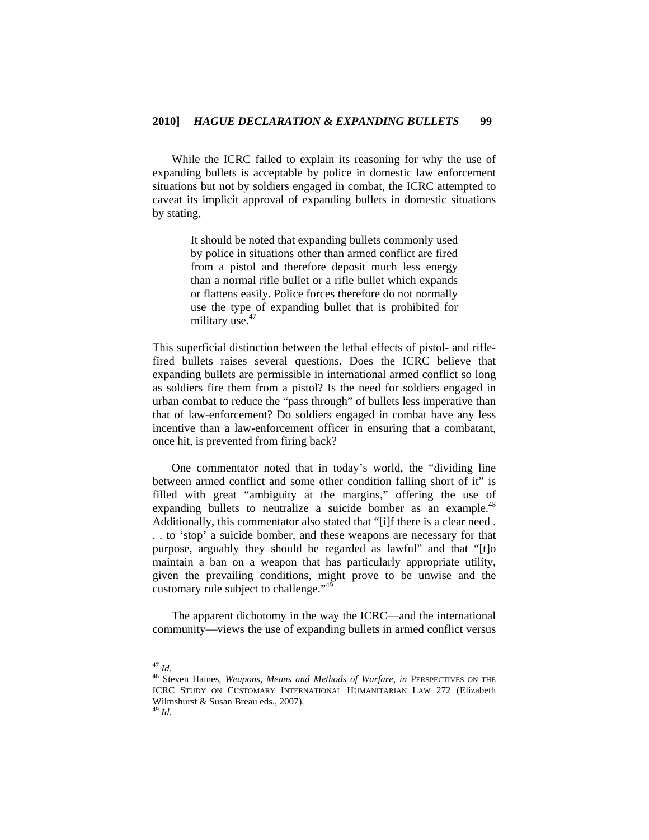While the ICRC failed to explain its reasoning for why the use of expanding bullets is acceptable by police in domestic law enforcement situations but not by soldiers engaged in combat, the ICRC attempted to caveat its implicit approval of expanding bullets in domestic situations by stating,

> It should be noted that expanding bullets commonly used by police in situations other than armed conflict are fired from a pistol and therefore deposit much less energy than a normal rifle bullet or a rifle bullet which expands or flattens easily. Police forces therefore do not normally use the type of expanding bullet that is prohibited for military use.<sup>47</sup>

This superficial distinction between the lethal effects of pistol- and riflefired bullets raises several questions. Does the ICRC believe that expanding bullets are permissible in international armed conflict so long as soldiers fire them from a pistol? Is the need for soldiers engaged in urban combat to reduce the "pass through" of bullets less imperative than that of law-enforcement? Do soldiers engaged in combat have any less incentive than a law-enforcement officer in ensuring that a combatant, once hit, is prevented from firing back?

One commentator noted that in today's world, the "dividing line between armed conflict and some other condition falling short of it" is filled with great "ambiguity at the margins," offering the use of expanding bullets to neutralize a suicide bomber as an example.<sup>48</sup> Additionally, this commentator also stated that "[i]f there is a clear need . . . to 'stop' a suicide bomber, and these weapons are necessary for that purpose, arguably they should be regarded as lawful" and that "[t]o maintain a ban on a weapon that has particularly appropriate utility, given the prevailing conditions, might prove to be unwise and the customary rule subject to challenge."<sup>49</sup>

The apparent dichotomy in the way the ICRC—and the international community—views the use of expanding bullets in armed conflict versus

 $^{47}$  Id.

<sup>&</sup>lt;sup>48</sup> Steven Haines, *Weapons, Means and Methods of Warfare*, *in* PERSPECTIVES ON THE ICRC STUDY ON CUSTOMARY INTERNATIONAL HUMANITARIAN LAW 272 (Elizabeth Wilmshurst & Susan Breau eds., 2007).

<sup>49</sup> *Id.*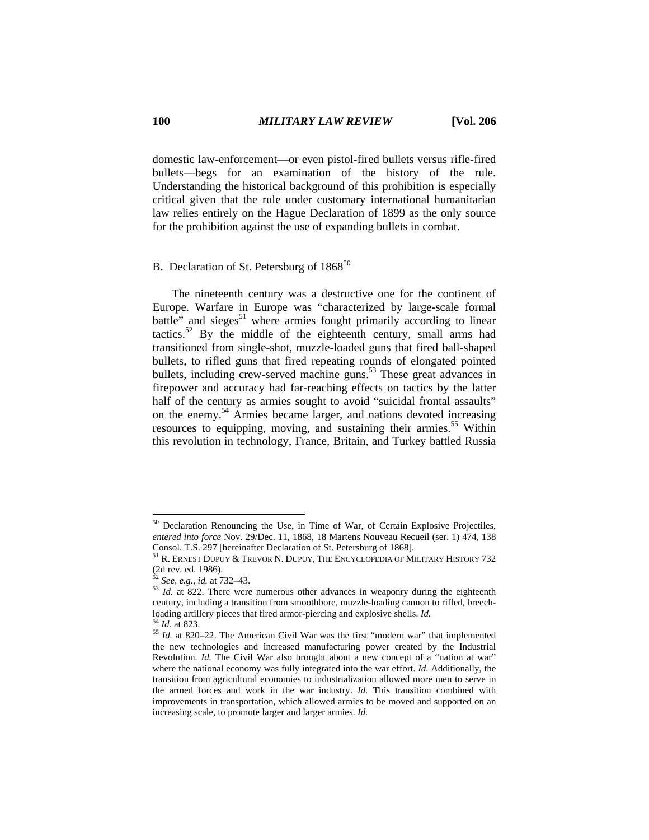domestic law-enforcement—or even pistol-fired bullets versus rifle-fired bullets—begs for an examination of the history of the rule. Understanding the historical background of this prohibition is especially critical given that the rule under customary international humanitarian law relies entirely on the Hague Declaration of 1899 as the only source for the prohibition against the use of expanding bullets in combat.

# B. Declaration of St. Petersburg of 1868<sup>50</sup>

The nineteenth century was a destructive one for the continent of Europe. Warfare in Europe was "characterized by large-scale formal battle" and sieges $51$  where armies fought primarily according to linear tactics.<sup>52</sup> By the middle of the eighteenth century, small arms had transitioned from single-shot, muzzle-loaded guns that fired ball-shaped bullets, to rifled guns that fired repeating rounds of elongated pointed bullets, including crew-served machine guns.<sup>53</sup> These great advances in firepower and accuracy had far-reaching effects on tactics by the latter half of the century as armies sought to avoid "suicidal frontal assaults" on the enemy.54 Armies became larger, and nations devoted increasing resources to equipping, moving, and sustaining their armies.<sup>55</sup> Within this revolution in technology, France, Britain, and Turkey battled Russia

<sup>50</sup> Declaration Renouncing the Use, in Time of War, of Certain Explosive Projectiles, *entered into force* Nov. 29/Dec. 11, 1868, 18 Martens Nouveau Recueil (ser. 1) 474, 138 Consol. T.S. 297 [hereinafter Declaration of St. Petersburg of 1868].

 $^{51}$  R. ERNEST DUPUY & TREVOR N. DUPUY, THE ENCYCLOPEDIA OF MILITARY HISTORY 732 (2d rev. ed. 1986).<br> $52$  See, e.g., id. at 732–43.

<sup>53</sup> *Id.* at 822. There were numerous other advances in weaponry during the eighteenth century, including a transition from smoothbore, muzzle-loading cannon to rifled, breechloading artillery pieces that fired armor-piercing and explosive shells. *Id.* <sup>54</sup> *Id.* at 823. <sup>55</sup> *Id.* at 820–22. The American Civil War was the first "modern war" that implemented

the new technologies and increased manufacturing power created by the Industrial Revolution. *Id.* The Civil War also brought about a new concept of a "nation at war" where the national economy was fully integrated into the war effort. *Id*. Additionally, the transition from agricultural economies to industrialization allowed more men to serve in the armed forces and work in the war industry. *Id.* This transition combined with improvements in transportation, which allowed armies to be moved and supported on an increasing scale, to promote larger and larger armies. *Id.*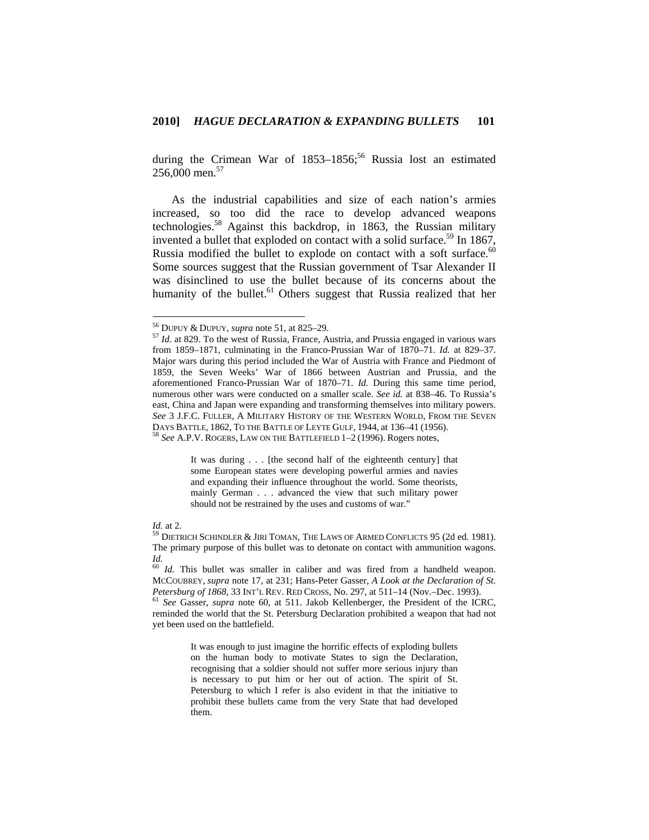during the Crimean War of  $1853-1856$ ;<sup>56</sup> Russia lost an estimated 256,000 men.<sup>57</sup>

As the industrial capabilities and size of each nation's armies increased, so too did the race to develop advanced weapons technologies.<sup>58</sup> Against this backdrop, in 1863, the Russian military invented a bullet that exploded on contact with a solid surface.<sup>59</sup> In 1867, Russia modified the bullet to explode on contact with a soft surface.<sup>60</sup> Some sources suggest that the Russian government of Tsar Alexander II was disinclined to use the bullet because of its concerns about the humanity of the bullet.<sup>61</sup> Others suggest that Russia realized that her

It was during . . . [the second half of the eighteenth century] that some European states were developing powerful armies and navies and expanding their influence throughout the world. Some theorists, mainly German . . . advanced the view that such military power should not be restrained by the uses and customs of war."

It was enough to just imagine the horrific effects of exploding bullets on the human body to motivate States to sign the Declaration, recognising that a soldier should not suffer more serious injury than is necessary to put him or her out of action. The spirit of St. Petersburg to which I refer is also evident in that the initiative to prohibit these bullets came from the very State that had developed them.

<sup>&</sup>lt;sup>56</sup> DUPUY & DUPUY, *supra* note 51, at 825-29.

<sup>&</sup>lt;sup>57</sup> Id. at 829. To the west of Russia, France, Austria, and Prussia engaged in various wars from 1859–1871, culminating in the Franco-Prussian War of 1870–71. *Id.* at 829–37. Major wars during this period included the War of Austria with France and Piedmont of 1859, the Seven Weeks' War of 1866 between Austrian and Prussia, and the aforementioned Franco-Prussian War of 1870–71. *Id.* During this same time period, numerous other wars were conducted on a smaller scale. *See id.* at 838–46. To Russia's east, China and Japan were expanding and transforming themselves into military powers. *See* 3 J.F.C. FULLER, A MILITARY HISTORY OF THE WESTERN WORLD, FROM THE SEVEN DAYS BATTLE, 1862, TO THE BATTLE OF LEYTE GULF, 1944, at 136–41 (1956). 58 *See* A.P.V. ROGERS, LAW ON THE BATTLEFIELD 1–2 (1996). Rogers notes,

*Id.* at 2. **59 DIETRICH SCHINDLER & JIRI TOMAN, THE LAWS OF ARMED CONFLICTS 95 (2d ed. 1981).** The primary purpose of this bullet was to detonate on contact with ammunition wagons. *Id.*

<sup>60</sup> *Id.* This bullet was smaller in caliber and was fired from a handheld weapon. MCCOUBREY, *supra* note 17, at 231; Hans-Peter Gasser, *A Look at the Declaration of St. Petersburg of 1868*, 33 INT'L REV. RED CROSS, No. 297, at 511–14 (Nov.–Dec. 1993). 61 *See* Gasser, *supra* note 60, at 511. Jakob Kellenberger, the President of the ICRC,

reminded the world that the St. Petersburg Declaration prohibited a weapon that had not yet been used on the battlefield.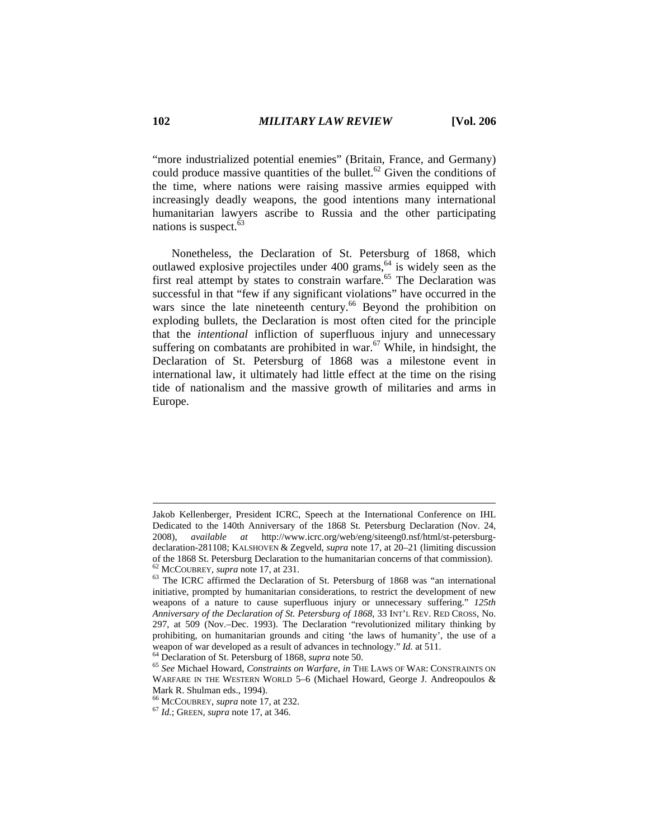"more industrialized potential enemies" (Britain, France, and Germany) could produce massive quantities of the bullet.<sup>62</sup> Given the conditions of the time, where nations were raising massive armies equipped with increasingly deadly weapons, the good intentions many international humanitarian lawyers ascribe to Russia and the other participating nations is suspect. $63$ 

Nonetheless, the Declaration of St. Petersburg of 1868, which outlawed explosive projectiles under  $400$  grams,  $64$  is widely seen as the first real attempt by states to constrain warfare.<sup>65</sup> The Declaration was successful in that "few if any significant violations" have occurred in the wars since the late nineteenth century.<sup>66</sup> Beyond the prohibition on exploding bullets, the Declaration is most often cited for the principle that the *intentional* infliction of superfluous injury and unnecessary suffering on combatants are prohibited in war.<sup>67</sup> While, in hindsight, the Declaration of St. Petersburg of 1868 was a milestone event in international law, it ultimately had little effect at the time on the rising tide of nationalism and the massive growth of militaries and arms in Europe.

Jakob Kellenberger, President ICRC, Speech at the International Conference on IHL Dedicated to the 140th Anniversary of the 1868 St. Petersburg Declaration (Nov. 24, 2008), *available at* http://www.icrc.org/web/eng/siteeng0.nsf/html/st-petersburgdeclaration-281108; KALSHOVEN & Zegveld, *supra* note 17, at 20–21 (limiting discussion of the 1868 St. Petersburg Declaration to the humanitarian concerns of that commission).<br><sup>62</sup> McCouBREY, *supra* note 17, at 231.<br><sup>63</sup> The ICRC affirmed the Declaration of St. Petersburg of 1868 was "an international

initiative, prompted by humanitarian considerations, to restrict the development of new weapons of a nature to cause superfluous injury or unnecessary suffering." *125th Anniversary of the Declaration of St. Petersburg of 1868*, 33 INT'L REV. RED CROSS, No. 297, at 509 (Nov.–Dec. 1993). The Declaration "revolutionized military thinking by prohibiting, on humanitarian grounds and citing 'the laws of humanity', the use of a weapon of war developed as a result of advances in technology." *Id.* at 511.<br><sup>64</sup> Declaration of St. Petersburg of 1868, *supra* note 50.<br><sup>65</sup> See Michael Howard, *Constraints on Warfare*, *in* THE LAWS OF WAR: CONSTRAINT

WARFARE IN THE WESTERN WORLD 5-6 (Michael Howard, George J. Andreopoulos & Mark R. Shulman eds., 1994).<br><sup>66</sup> McCOUBREY, *supra* note 17, at 232.

<sup>66</sup> MCCOUBREY, *supra* note 17, at 232. 67 *Id.*; GREEN, *supra* note 17, at 346.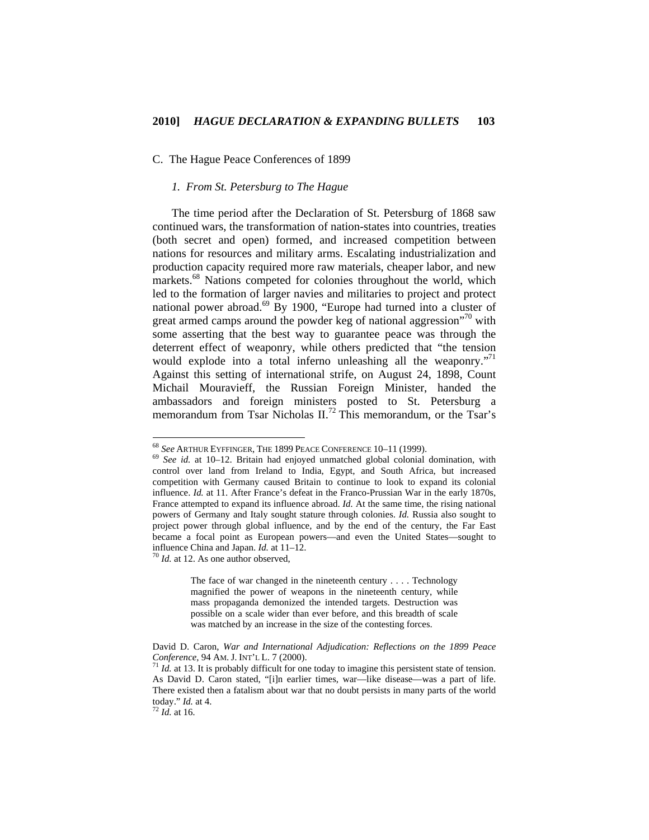### C. The Hague Peace Conferences of 1899

# *1. From St. Petersburg to The Hague*

The time period after the Declaration of St. Petersburg of 1868 saw continued wars, the transformation of nation-states into countries, treaties (both secret and open) formed, and increased competition between nations for resources and military arms. Escalating industrialization and production capacity required more raw materials, cheaper labor, and new markets.<sup>68</sup> Nations competed for colonies throughout the world, which led to the formation of larger navies and militaries to project and protect national power abroad.<sup>69</sup> By 1900, "Europe had turned into a cluster of great armed camps around the powder keg of national aggression<sup> $n^{70}$ </sup> with some asserting that the best way to guarantee peace was through the deterrent effect of weaponry, while others predicted that "the tension would explode into a total inferno unleashing all the weaponry."<sup>71</sup> Against this setting of international strife, on August 24, 1898, Count Michail Mouravieff, the Russian Foreign Minister, handed the ambassadors and foreign ministers posted to St. Petersburg a memorandum from Tsar Nicholas  $II^{72}$  This memorandum, or the Tsar's

The face of war changed in the nineteenth century . . . . Technology magnified the power of weapons in the nineteenth century, while mass propaganda demonized the intended targets. Destruction was possible on a scale wider than ever before, and this breadth of scale was matched by an increase in the size of the contesting forces.

<sup>68</sup> *See* ARTHUR EYFFINGER, THE 1899 PEACE CONFERENCE 10–11 (1999). <sup>69</sup> *See id.* at 10–12. Britain had enjoyed unmatched global colonial domination, with control over land from Ireland to India, Egypt, and South Africa, but increased competition with Germany caused Britain to continue to look to expand its colonial influence. *Id.* at 11. After France's defeat in the Franco-Prussian War in the early 1870s, France attempted to expand its influence abroad. *Id.* At the same time, the rising national powers of Germany and Italy sought stature through colonies. *Id.* Russia also sought to project power through global influence, and by the end of the century, the Far East became a focal point as European powers—and even the United States—sought to influence China and Japan. *Id.* at 11–12. 70 *Id.* at 12. As one author observed,

David D. Caron, *War and International Adjudication: Reflections on the 1899 Peace Conference*, 94 AM. J. INT'L L. 7 (2000).<br><sup>71</sup> *Id.* at 13. It is probably difficult for one today to imagine this persistent state of tension.

As David D. Caron stated, "[i]n earlier times, war—like disease—was a part of life. There existed then a fatalism about war that no doubt persists in many parts of the world today." *Id.* at 4. 72 *Id.* at <sup>16</sup>*.*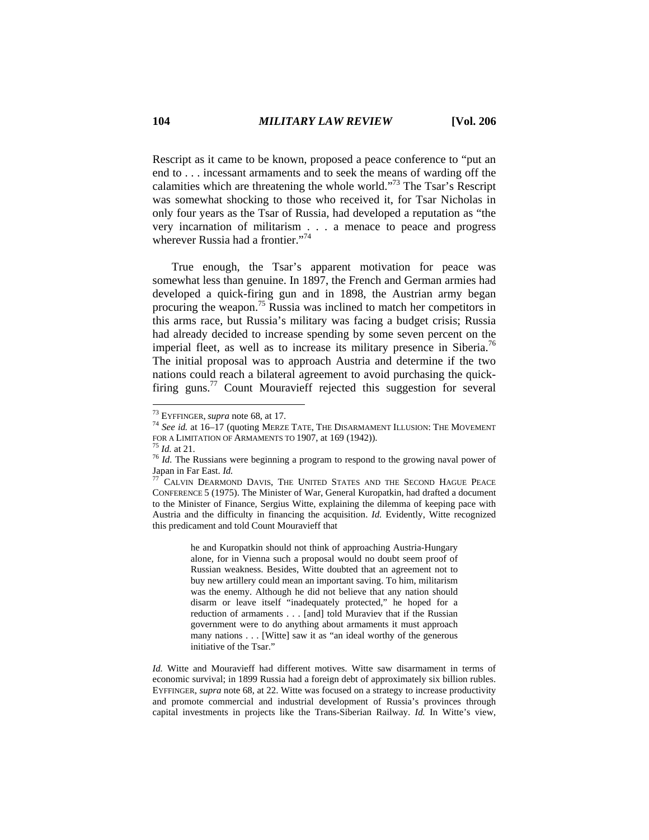Rescript as it came to be known, proposed a peace conference to "put an end to . . . incessant armaments and to seek the means of warding off the calamities which are threatening the whole world."<sup>73</sup> The Tsar's Rescript was somewhat shocking to those who received it, for Tsar Nicholas in only four years as the Tsar of Russia, had developed a reputation as "the very incarnation of militarism . . . a menace to peace and progress wherever Russia had a frontier."<sup>74</sup>

True enough, the Tsar's apparent motivation for peace was somewhat less than genuine. In 1897, the French and German armies had developed a quick-firing gun and in 1898, the Austrian army began procuring the weapon.75 Russia was inclined to match her competitors in this arms race, but Russia's military was facing a budget crisis; Russia had already decided to increase spending by some seven percent on the imperial fleet, as well as to increase its military presence in Siberia.<sup>76</sup> The initial proposal was to approach Austria and determine if the two nations could reach a bilateral agreement to avoid purchasing the quickfiring guns.<sup>77</sup> Count Mouravieff rejected this suggestion for several

 $\overline{a}$ 

he and Kuropatkin should not think of approaching Austria-Hungary alone, for in Vienna such a proposal would no doubt seem proof of Russian weakness. Besides, Witte doubted that an agreement not to buy new artillery could mean an important saving. To him, militarism was the enemy. Although he did not believe that any nation should disarm or leave itself "inadequately protected," he hoped for a reduction of armaments . . . [and] told Muraviev that if the Russian government were to do anything about armaments it must approach many nations . . . [Witte] saw it as "an ideal worthy of the generous initiative of the Tsar."

*Id.* Witte and Mouravieff had different motives. Witte saw disarmament in terms of economic survival; in 1899 Russia had a foreign debt of approximately six billion rubles. EYFFINGER, *supra* note 68, at 22. Witte was focused on a strategy to increase productivity and promote commercial and industrial development of Russia's provinces through capital investments in projects like the Trans-Siberian Railway. *Id.* In Witte's view,

<sup>&</sup>lt;sup>73</sup> EYFFINGER, *supra* note 68, at 17.<br><sup>74</sup> *See id.* at 16–17 (quoting MERZE TATE, THE DISARMAMENT ILLUSION: THE MOVEMENT<br>FOR A LIMITATION OF ARMAMENTS TO 1907, at 169 (1942)).

<sup>&</sup>lt;sup>75</sup> *Id.* at 21. **The Russians were beginning a program to respond to the growing naval power of**  $\frac{76}{2}$ *Id.* **The Russians were beginning a program to respond to the growing naval power of** Japan in Far East. *Id. Id.* Davis, The United States and the Second Hague Peace

CONFERENCE 5 (1975). The Minister of War, General Kuropatkin, had drafted a document to the Minister of Finance, Sergius Witte, explaining the dilemma of keeping pace with Austria and the difficulty in financing the acquisition. *Id.* Evidently, Witte recognized this predicament and told Count Mouravieff that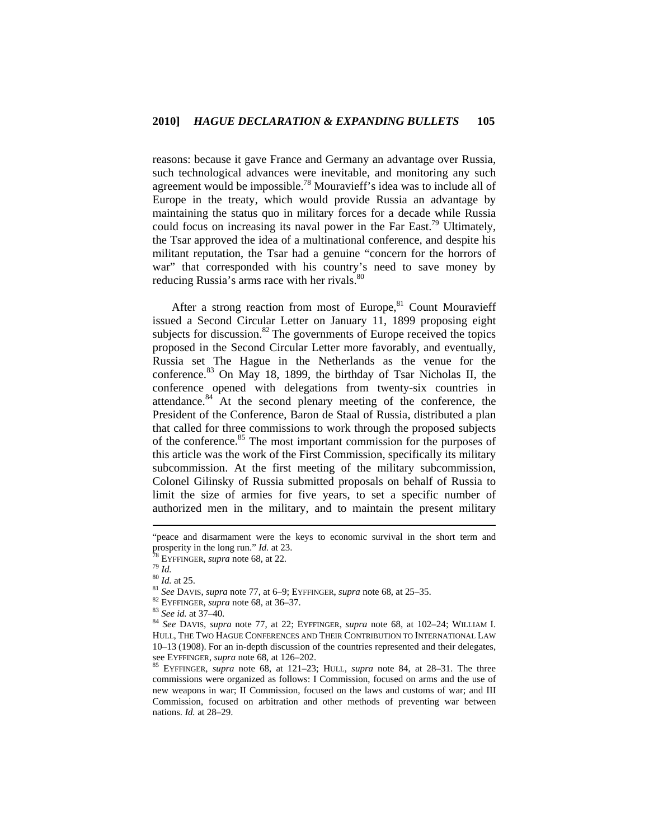reasons: because it gave France and Germany an advantage over Russia, such technological advances were inevitable, and monitoring any such agreement would be impossible.<sup>78</sup> Mouravieff's idea was to include all of Europe in the treaty, which would provide Russia an advantage by maintaining the status quo in military forces for a decade while Russia could focus on increasing its naval power in the Far East.<sup>79</sup> Ultimately, the Tsar approved the idea of a multinational conference, and despite his militant reputation, the Tsar had a genuine "concern for the horrors of war" that corresponded with his country's need to save money by reducing Russia's arms race with her rivals. $80$ 

After a strong reaction from most of Europe, $81$  Count Mouravieff issued a Second Circular Letter on January 11, 1899 proposing eight subjects for discussion. $82$  The governments of Europe received the topics proposed in the Second Circular Letter more favorably, and eventually, Russia set The Hague in the Netherlands as the venue for the conference.83 On May 18, 1899, the birthday of Tsar Nicholas II, the conference opened with delegations from twenty-six countries in attendance.84 At the second plenary meeting of the conference, the President of the Conference, Baron de Staal of Russia, distributed a plan that called for three commissions to work through the proposed subjects of the conference.<sup>85</sup> The most important commission for the purposes of this article was the work of the First Commission, specifically its military subcommission. At the first meeting of the military subcommission, Colonel Gilinsky of Russia submitted proposals on behalf of Russia to limit the size of armies for five years, to set a specific number of authorized men in the military, and to maintain the present military

<sup>&</sup>quot;peace and disarmament were the keys to economic survival in the short term and prosperity in the long run."  $Id$ . at 23.

<sup>&</sup>lt;sup>78</sup> EYFFINGER, *supra* note 68, at 22.<br>
<sup>79</sup> Id.<br>
<sup>80</sup> Id. at 25.<br>
<sup>81</sup> See DAVIS, *supra* note 77, at 6–9; EYFFINGER, *supra* note 68, at 25–35.<br>
<sup>82</sup> EYFFINGER, *supra* note 68, at 36–37.<br>
<sup>83</sup> See id. at 37–40.<br>
<sup>84</sup> HULL, THE TWO HAGUE CONFERENCES AND THEIR CONTRIBUTION TO INTERNATIONAL LAW 10–13 (1908). For an in-depth discussion of the countries represented and their delegates,

see EYFFINGER, *supra* note 68, at 126–202.<br><sup>85</sup> EYFFINGER, *supra* note 68, at 121–23; HULL, *supra* note 84, at 28–31. The three commissions were organized as follows: I Commission, focused on arms and the use of new weapons in war; II Commission, focused on the laws and customs of war; and III Commission, focused on arbitration and other methods of preventing war between nations. *Id.* at 28–29.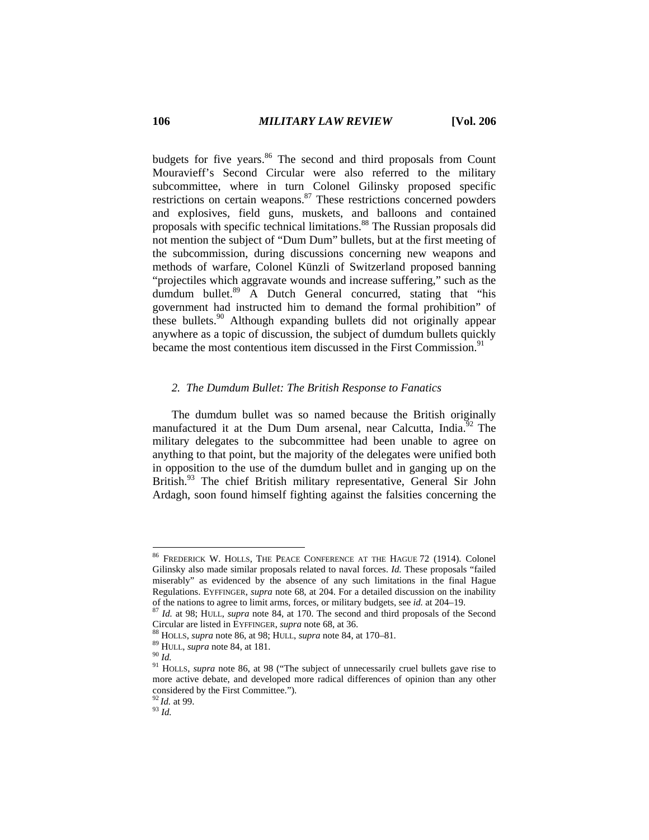budgets for five years.<sup>86</sup> The second and third proposals from Count Mouravieff's Second Circular were also referred to the military subcommittee, where in turn Colonel Gilinsky proposed specific restrictions on certain weapons.<sup>87</sup> These restrictions concerned powders and explosives, field guns, muskets, and balloons and contained proposals with specific technical limitations.88 The Russian proposals did not mention the subject of "Dum Dum" bullets, but at the first meeting of the subcommission, during discussions concerning new weapons and methods of warfare, Colonel Künzli of Switzerland proposed banning "projectiles which aggravate wounds and increase suffering," such as the dumdum bullet.<sup>89</sup> A Dutch General concurred, stating that "his government had instructed him to demand the formal prohibition" of these bullets.<sup>90</sup> Although expanding bullets did not originally appear anywhere as a topic of discussion, the subject of dumdum bullets quickly became the most contentious item discussed in the First Commission.<sup>91</sup>

# *2. The Dumdum Bullet: The British Response to Fanatics*

The dumdum bullet was so named because the British originally manufactured it at the Dum Dum arsenal, near Calcutta, India.<sup>92</sup> The military delegates to the subcommittee had been unable to agree on anything to that point, but the majority of the delegates were unified both in opposition to the use of the dumdum bullet and in ganging up on the British.<sup>93</sup> The chief British military representative, General Sir John Ardagh, soon found himself fighting against the falsities concerning the

 $\overline{a}$ 

<sup>92</sup>*Id.* at 99. 93 *Id.* 

<sup>86</sup> FREDERICK W. HOLLS, THE PEACE CONFERENCE AT THE HAGUE 72 (1914). Colonel Gilinsky also made similar proposals related to naval forces. *Id.* These proposals "failed miserably" as evidenced by the absence of any such limitations in the final Hague Regulations. EYFFINGER, *supra* note 68, at 204. For a detailed discussion on the inability

of the nations to agree to limit arms, forces, or military budgets, see *id.* at 204–19. 87 *Id.* at 98; HULL, *supra* note 84, at 170. The second and third proposals of the Second Circular are listed in EYFFINGER, *supra* note 68, at 36.<br><sup>88</sup> HOLLS, *supra* note 86, at 98; HULL, *supra* note 84, at 170–81.<br><sup>89</sup> HULL, *supra* note 84, at 181.<br><sup>90</sup> Id.<br><sup>91</sup> HOLLS, *supra* note 86, at 98 ("The subject

more active debate, and developed more radical differences of opinion than any other considered by the First Committee.").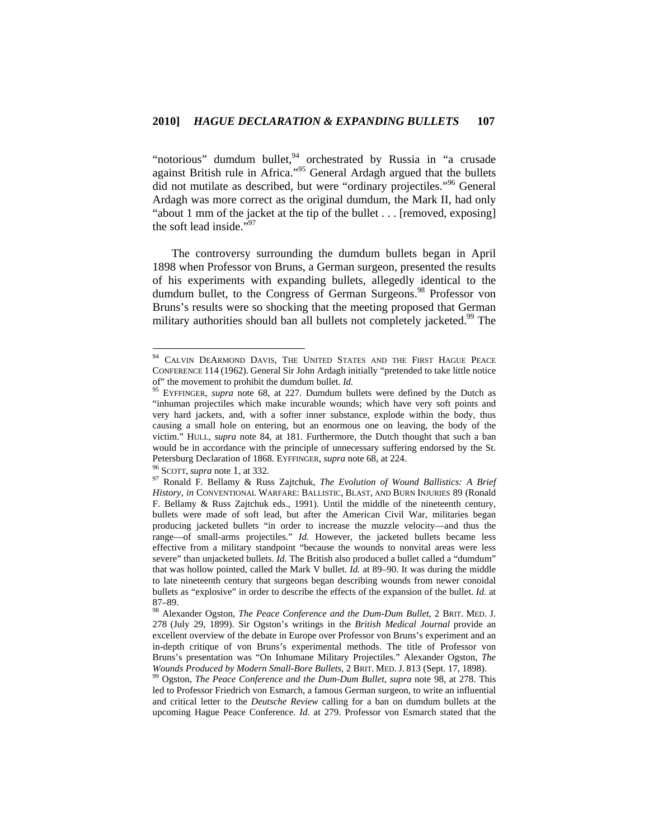"notorious" dumdum bullet,  $94$  orchestrated by Russia in "a crusade" against British rule in Africa."<sup>95</sup> General Ardagh argued that the bullets did not mutilate as described, but were "ordinary projectiles."96 General Ardagh was more correct as the original dumdum, the Mark II, had only "about 1 mm of the jacket at the tip of the bullet . . . [removed, exposing] the soft lead inside."<sup>97</sup>

The controversy surrounding the dumdum bullets began in April 1898 when Professor von Bruns, a German surgeon, presented the results of his experiments with expanding bullets, allegedly identical to the dumdum bullet, to the Congress of German Surgeons.<sup>98</sup> Professor von Bruns's results were so shocking that the meeting proposed that German military authorities should ban all bullets not completely jacketed.<sup>99</sup> The

<sup>&</sup>lt;sup>94</sup> CALVIN DEARMOND DAVIS, THE UNITED STATES AND THE FIRST HAGUE PEACE CONFERENCE 114 (1962). General Sir John Ardagh initially "pretended to take little notice of" the movement to prohibit the dumdum bullet.  $Id$ .

<sup>&</sup>lt;sup>55</sup> EYFFINGER, *supra* note 68, at 227. Dumdum bullets were defined by the Dutch as "inhuman projectiles which make incurable wounds; which have very soft points and very hard jackets, and, with a softer inner substance, explode within the body, thus causing a small hole on entering, but an enormous one on leaving, the body of the victim." HULL, *supra* note 84, at 181. Furthermore, the Dutch thought that such a ban would be in accordance with the principle of unnecessary suffering endorsed by the St. Petersburg Declaration of 1868. EYFFINGER, *supra* note 68, at 224.<br><sup>96</sup> SCOTT, *supra* note 1, at 332.<br><sup>97</sup> Ronald F. Bellamy & Russ Zajtchuk, *The Evolution of Wound Ballistics: A Brief* 

*History*, *in* CONVENTIONAL WARFARE: BALLISTIC, BLAST, AND BURN INJURIES 89 (Ronald F. Bellamy & Russ Zajtchuk eds., 1991). Until the middle of the nineteenth century, bullets were made of soft lead, but after the American Civil War, militaries began producing jacketed bullets "in order to increase the muzzle velocity—and thus the range—of small-arms projectiles." *Id.* However, the jacketed bullets became less effective from a military standpoint "because the wounds to nonvital areas were less severe" than unjacketed bullets. *Id.* The British also produced a bullet called a "dumdum" that was hollow pointed, called the Mark V bullet. *Id.* at 89–90. It was during the middle to late nineteenth century that surgeons began describing wounds from newer conoidal bullets as "explosive" in order to describe the effects of the expansion of the bullet. *Id.* at 87–89.

<sup>98</sup> Alexander Ogston, *The Peace Conference and the Dum-Dum Bullet*, 2 BRIT. MED. J. 278 (July 29, 1899). Sir Ogston's writings in the *British Medical Journal* provide an excellent overview of the debate in Europe over Professor von Bruns's experiment and an in-depth critique of von Bruns's experimental methods. The title of Professor von Bruns's presentation was "On Inhumane Military Projectiles." Alexander Ogston, *The Wounds Produced by Modern Small-Bore Bullets*, 2 BRIT. MED. J. 813 (Sept. 17, 1898). 99 Ogston, *The Peace Conference and the Dum-Dum Bullet*, *supra* note 98, at 278. This

led to Professor Friedrich von Esmarch, a famous German surgeon, to write an influential and critical letter to the *Deutsche Review* calling for a ban on dumdum bullets at the upcoming Hague Peace Conference. *Id.* at 279. Professor von Esmarch stated that the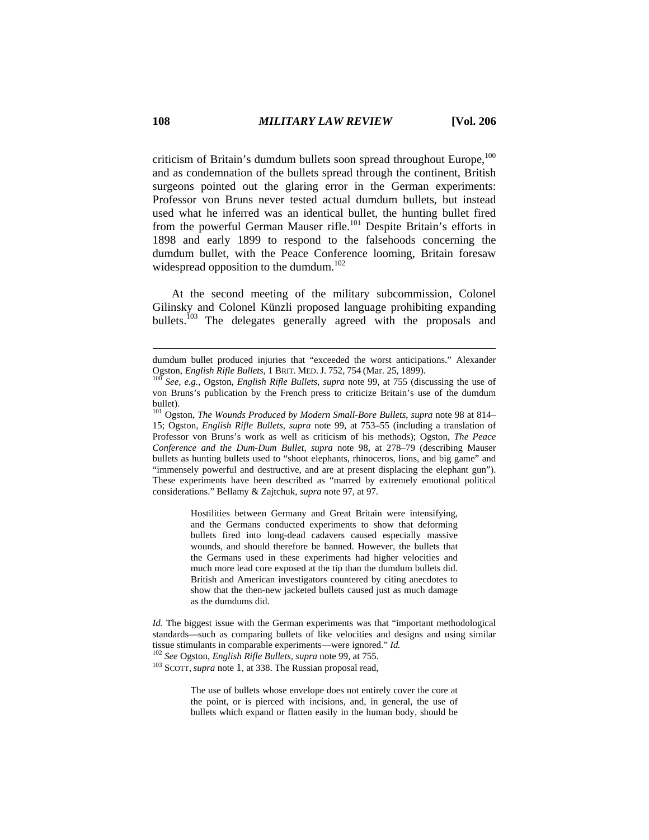criticism of Britain's dumdum bullets soon spread throughout Europe,<sup>100</sup> and as condemnation of the bullets spread through the continent, British surgeons pointed out the glaring error in the German experiments: Professor von Bruns never tested actual dumdum bullets, but instead used what he inferred was an identical bullet, the hunting bullet fired from the powerful German Mauser rifle.<sup>101</sup> Despite Britain's efforts in 1898 and early 1899 to respond to the falsehoods concerning the dumdum bullet, with the Peace Conference looming, Britain foresaw widespread opposition to the dumdum.<sup>102</sup>

At the second meeting of the military subcommission, Colonel Gilinsky and Colonel Künzli proposed language prohibiting expanding bullets.<sup>103</sup> The delegates generally agreed with the proposals and

101 Ogston, *The Wounds Produced by Modern Small-Bore Bullets*, *supra* note 98 at 814– 15; Ogston, *English Rifle Bullets*, *supra* note 99, at 753–55 (including a translation of Professor von Bruns's work as well as criticism of his methods); Ogston, *The Peace Conference and the Dum-Dum Bullet*, *supra* note 98, at 278–79 (describing Mauser bullets as hunting bullets used to "shoot elephants, rhinoceros, lions, and big game" and "immensely powerful and destructive, and are at present displacing the elephant gun"). These experiments have been described as "marred by extremely emotional political considerations." Bellamy & Zajtchuk, *supra* note 97, at 97.

> Hostilities between Germany and Great Britain were intensifying, and the Germans conducted experiments to show that deforming bullets fired into long-dead cadavers caused especially massive wounds, and should therefore be banned. However, the bullets that the Germans used in these experiments had higher velocities and much more lead core exposed at the tip than the dumdum bullets did. British and American investigators countered by citing anecdotes to show that the then-new jacketed bullets caused just as much damage as the dumdums did.

*Id.* The biggest issue with the German experiments was that "important methodological standards—such as comparing bullets of like velocities and designs and using similar tissue stimulants in comparable experiments—were ignored." *Id.* <sup>102</sup> *See* Ogston, *English Rifle Bullets*, *supra* note 99, at 755.

103 SCOTT, *supra* note 1, at 338. The Russian proposal read,

The use of bullets whose envelope does not entirely cover the core at the point, or is pierced with incisions, and, in general, the use of bullets which expand or flatten easily in the human body, should be

dumdum bullet produced injuries that "exceeded the worst anticipations." Alexander Ogston, *English Rifle Bullets*, 1 BRIT. MED. J. 752, <sup>754</sup> (Mar. 25, 1899). 100 *See, e.g.*, Ogston, *English Rifle Bullets*, *supra* note 99, at 755 (discussing the use of

von Bruns's publication by the French press to criticize Britain's use of the dumdum bullet).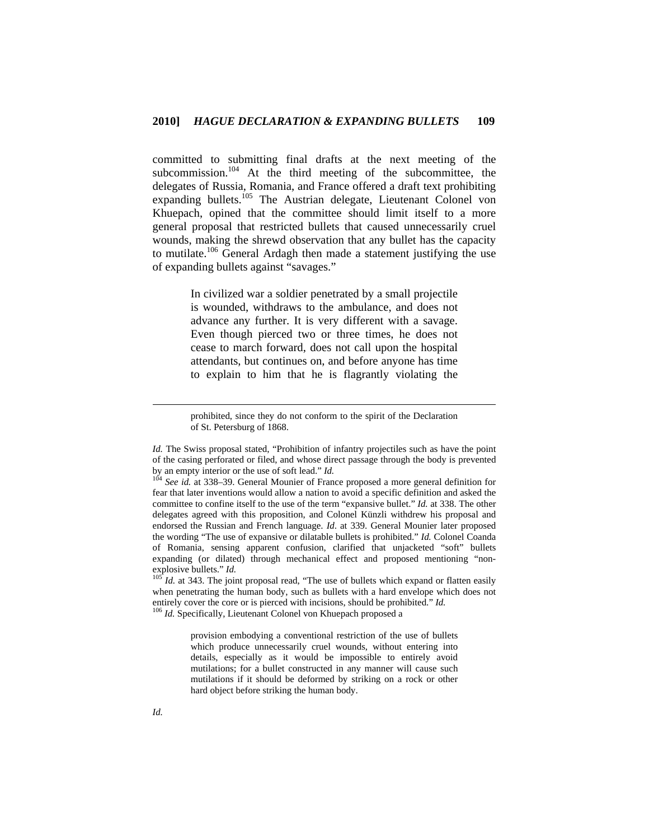committed to submitting final drafts at the next meeting of the subcommission.<sup>104</sup> At the third meeting of the subcommittee, the delegates of Russia, Romania, and France offered a draft text prohibiting expanding bullets.<sup>105</sup> The Austrian delegate, Lieutenant Colonel von Khuepach, opined that the committee should limit itself to a more general proposal that restricted bullets that caused unnecessarily cruel wounds, making the shrewd observation that any bullet has the capacity to mutilate.<sup>106</sup> General Ardagh then made a statement justifying the use of expanding bullets against "savages."

> In civilized war a soldier penetrated by a small projectile is wounded, withdraws to the ambulance, and does not advance any further. It is very different with a savage. Even though pierced two or three times, he does not cease to march forward, does not call upon the hospital attendants, but continues on, and before anyone has time to explain to him that he is flagrantly violating the

> prohibited, since they do not conform to the spirit of the Declaration of St. Petersburg of 1868.

when penetrating the human body, such as bullets with a hard envelope which does not entirely cover the core or is pierced with incisions, should be prohibited." *Id.* <sup>106</sup> *Id.* Specifically, Lieutenant Colonel von Khuepach proposed a

provision embodying a conventional restriction of the use of bullets which produce unnecessarily cruel wounds, without entering into details, especially as it would be impossible to entirely avoid mutilations; for a bullet constructed in any manner will cause such mutilations if it should be deformed by striking on a rock or other hard object before striking the human body.

*Id.* The Swiss proposal stated, "Prohibition of infantry projectiles such as have the point of the casing perforated or filed, and whose direct passage through the body is prevented by an empty interior or the use of soft lead."  $Id$ .

<sup>&</sup>lt;sup>104</sup> See id. at 338–39. General Mounier of France proposed a more general definition for fear that later inventions would allow a nation to avoid a specific definition and asked the committee to confine itself to the use of the term "expansive bullet." *Id.* at 338. The other delegates agreed with this proposition, and Colonel Künzli withdrew his proposal and endorsed the Russian and French language. *Id*. at 339. General Mounier later proposed the wording "The use of expansive or dilatable bullets is prohibited." *Id.* Colonel Coanda of Romania, sensing apparent confusion, clarified that unjacketed "soft" bullets expanding (or dilated) through mechanical effect and proposed mentioning "nonexplosive bullets." *Id.*<br><sup>105</sup> *Id.* at 343. The joint proposal read, "The use of bullets which expand or flatten easily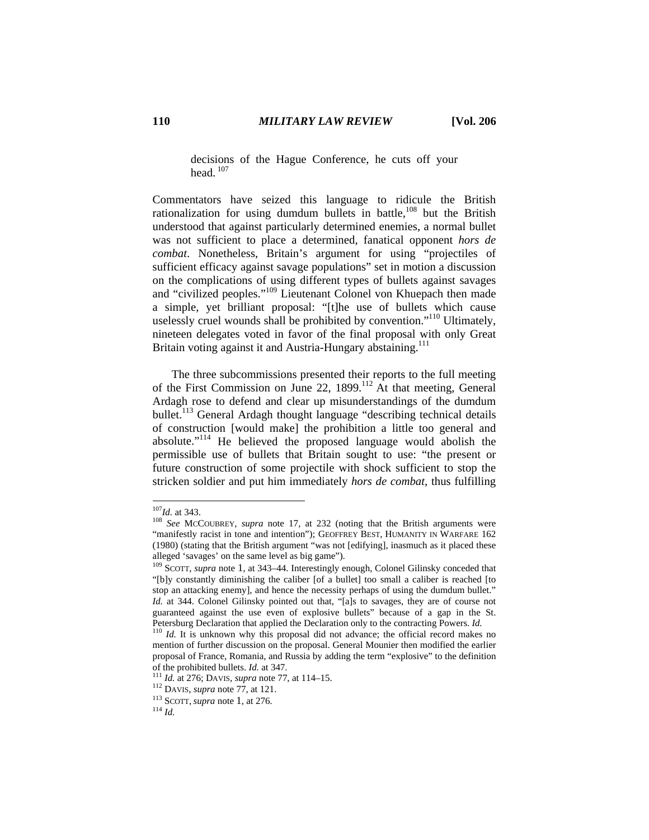# decisions of the Hague Conference, he cuts off your head $107$

Commentators have seized this language to ridicule the British rationalization for using dumdum bullets in battle, $108$  but the British understood that against particularly determined enemies, a normal bullet was not sufficient to place a determined, fanatical opponent *hors de combat*. Nonetheless, Britain's argument for using "projectiles of sufficient efficacy against savage populations" set in motion a discussion on the complications of using different types of bullets against savages and "civilized peoples."109 Lieutenant Colonel von Khuepach then made a simple, yet brilliant proposal: "[t]he use of bullets which cause uselessly cruel wounds shall be prohibited by convention."<sup>110</sup> Ultimately, nineteen delegates voted in favor of the final proposal with only Great Britain voting against it and Austria-Hungary abstaining.<sup>111</sup>

The three subcommissions presented their reports to the full meeting of the First Commission on June 22, 1899.112 At that meeting, General Ardagh rose to defend and clear up misunderstandings of the dumdum bullet.113 General Ardagh thought language "describing technical details of construction [would make] the prohibition a little too general and absolute."114 He believed the proposed language would abolish the permissible use of bullets that Britain sought to use: "the present or future construction of some projectile with shock sufficient to stop the stricken soldier and put him immediately *hors de combat*, thus fulfilling

 $107$ *Id.* at 343.

<sup>&</sup>lt;sup>108</sup> See MCCOUBREY, *supra* note 17, at 232 (noting that the British arguments were "manifestly racist in tone and intention"); GEOFFREY BEST, HUMANITY IN WARFARE 162 (1980) (stating that the British argument "was not [edifying], inasmuch as it placed these alleged 'savages' on the same level as big game").

<sup>109</sup> SCOTT, *supra* note 1, at 343–44. Interestingly enough, Colonel Gilinsky conceded that "[b]y constantly diminishing the caliber [of a bullet] too small a caliber is reached [to stop an attacking enemy], and hence the necessity perhaps of using the dumdum bullet." *Id.* at 344. Colonel Gilinsky pointed out that, "[a]s to savages, they are of course not guaranteed against the use even of explosive bullets" because of a gap in the St.<br>Petersburg Declaration that applied the Declaration only to the contracting Powers. Id.

<sup>&</sup>lt;sup>110</sup> Id. It is unknown why this proposal did not advance; the official record makes no mention of further discussion on the proposal. General Mounier then modified the earlier proposal of France, Romania, and Russia by adding the term "explosive" to the definition of the prohibited bullets. *Id.* at 347.<br><sup>111</sup> *Id.* at 276; DAVIS, *supra* note 77, at 114–15.<br><sup>112</sup> DAVIS, *supra* note 77, at 121.<br><sup>113</sup> SCOTT, *supra* note 1, at 276.<br><sup>114</sup> *Id.*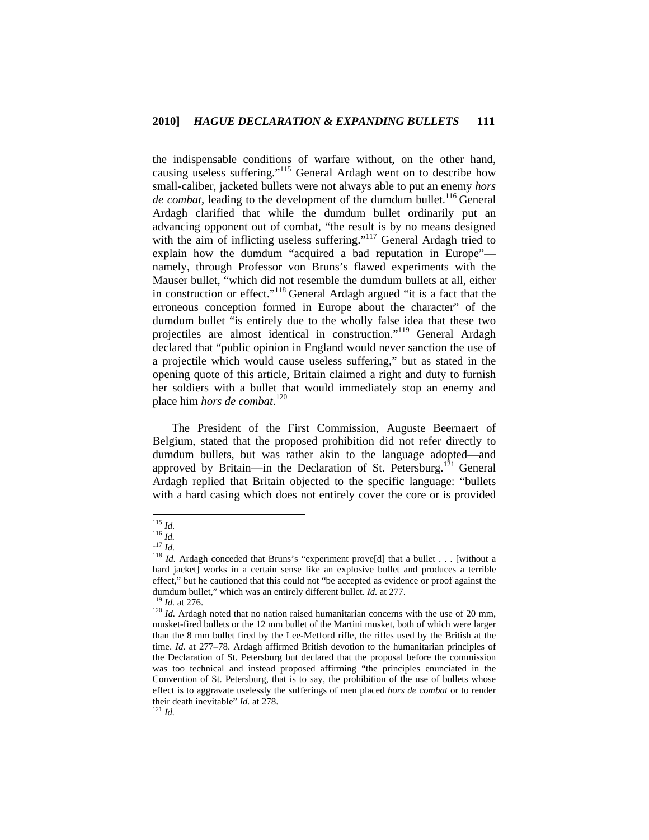the indispensable conditions of warfare without, on the other hand, causing useless suffering."115 General Ardagh went on to describe how small-caliber, jacketed bullets were not always able to put an enemy *hors de combat*, leading to the development of the dumdum bullet.<sup>116</sup> General Ardagh clarified that while the dumdum bullet ordinarily put an advancing opponent out of combat, "the result is by no means designed with the aim of inflicting useless suffering."<sup>117</sup> General Ardagh tried to explain how the dumdum "acquired a bad reputation in Europe" namely, through Professor von Bruns's flawed experiments with the Mauser bullet, "which did not resemble the dumdum bullets at all, either in construction or effect."118 General Ardagh argued "it is a fact that the erroneous conception formed in Europe about the character" of the dumdum bullet "is entirely due to the wholly false idea that these two projectiles are almost identical in construction."<sup>119</sup> General Ardagh declared that "public opinion in England would never sanction the use of a projectile which would cause useless suffering," but as stated in the opening quote of this article, Britain claimed a right and duty to furnish her soldiers with a bullet that would immediately stop an enemy and place him *hors de combat*. 120

The President of the First Commission, Auguste Beernaert of Belgium, stated that the proposed prohibition did not refer directly to dumdum bullets, but was rather akin to the language adopted—and approved by Britain—in the Declaration of St. Petersburg.<sup>121</sup> General Ardagh replied that Britain objected to the specific language: "bullets with a hard casing which does not entirely cover the core or is provided

 $^\mathrm{115}$   $ld.$ 

<sup>116</sup> *Id.*<br><sup>116</sup> *Id.*<br><sup>117</sup> *Id.* Ardagh conceded that Bruns's "experiment prove[d] that a bullet . . . [without a <sup>118</sup> *Id.* Ardagh conceded that Bruns's "experiment prove[d] that a bullet . . . [without a hard jacket] works in a certain sense like an explosive bullet and produces a terrible effect," but he cautioned that this could not "be accepted as evidence or proof against the dumdum bullet," which was an entirely different bullet. *Id.* at 277.<br><sup>119</sup> *Id.* at 276.<br><sup>120</sup> *Id.* Ardagh noted that no nation raised humanitarian concerns with the use of 20 mm,

musket-fired bullets or the 12 mm bullet of the Martini musket, both of which were larger than the 8 mm bullet fired by the Lee-Metford rifle, the rifles used by the British at the time. *Id.* at 277–78. Ardagh affirmed British devotion to the humanitarian principles of the Declaration of St. Petersburg but declared that the proposal before the commission was too technical and instead proposed affirming "the principles enunciated in the Convention of St. Petersburg, that is to say, the prohibition of the use of bullets whose effect is to aggravate uselessly the sufferings of men placed *hors de combat* or to render their death inevitable" *Id.* at 278. 121 *Id.*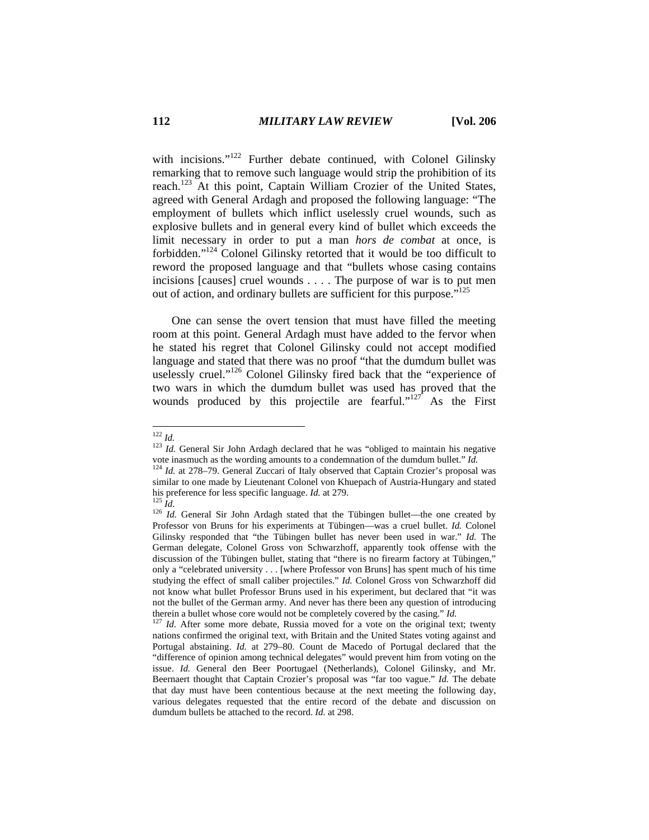with incisions."<sup>122</sup> Further debate continued, with Colonel Gilinsky remarking that to remove such language would strip the prohibition of its reach.123 At this point, Captain William Crozier of the United States, agreed with General Ardagh and proposed the following language: "The employment of bullets which inflict uselessly cruel wounds, such as explosive bullets and in general every kind of bullet which exceeds the limit necessary in order to put a man *hors de combat* at once, is forbidden."124 Colonel Gilinsky retorted that it would be too difficult to reword the proposed language and that "bullets whose casing contains incisions [causes] cruel wounds . . . . The purpose of war is to put men out of action, and ordinary bullets are sufficient for this purpose."125

One can sense the overt tension that must have filled the meeting room at this point. General Ardagh must have added to the fervor when he stated his regret that Colonel Gilinsky could not accept modified language and stated that there was no proof "that the dumdum bullet was uselessly cruel."<sup>126</sup> Colonel Gilinsky fired back that the "experience of two wars in which the dumdum bullet was used has proved that the wounds produced by this projectile are fearful."<sup>127</sup> As the First

 $122$   $Id$ 

<sup>&</sup>lt;sup>123</sup> *Id.* General Sir John Ardagh declared that he was "obliged to maintain his negative vote inasmuch as the wording amounts to a condemnation of the dumdum bullet." *Id.* <sup>124</sup> *Id.* at 278–79. General Zuccari of Italy observed that Captain Crozier's proposal was

similar to one made by Lieutenant Colonel von Khuepach of Austria-Hungary and stated his preference for less specific language. *Id.* at 279.<br><sup>125</sup> *Id.* General Sir John Ardagh stated that the Tübingen bullet—the one created by <br><sup>126</sup> *Id.* General Sir John Ardagh stated that the Tübingen bullet—the one c

Professor von Bruns for his experiments at Tübingen—was a cruel bullet. *Id.* Colonel Gilinsky responded that "the Tübingen bullet has never been used in war." *Id.* The German delegate, Colonel Gross von Schwarzhoff, apparently took offense with the discussion of the Tübingen bullet, stating that "there is no firearm factory at Tübingen," only a "celebrated university . . . [where Professor von Bruns] has spent much of his time studying the effect of small caliber projectiles." *Id.* Colonel Gross von Schwarzhoff did not know what bullet Professor Bruns used in his experiment, but declared that "it was not the bullet of the German army. And never has there been any question of introducing therein a bullet whose core would not be completely covered by the casing." *Id.* 127 *Id.* After some more debate, Russia moved for a vote on the original text; twenty

nations confirmed the original text, with Britain and the United States voting against and Portugal abstaining. *Id.* at 279–80. Count de Macedo of Portugal declared that the "difference of opinion among technical delegates" would prevent him from voting on the issue. *Id.* General den Beer Poortugael (Netherlands), Colonel Gilinsky, and Mr. Beernaert thought that Captain Crozier's proposal was "far too vague." *Id.* The debate that day must have been contentious because at the next meeting the following day, various delegates requested that the entire record of the debate and discussion on dumdum bullets be attached to the record. *Id.* at 298.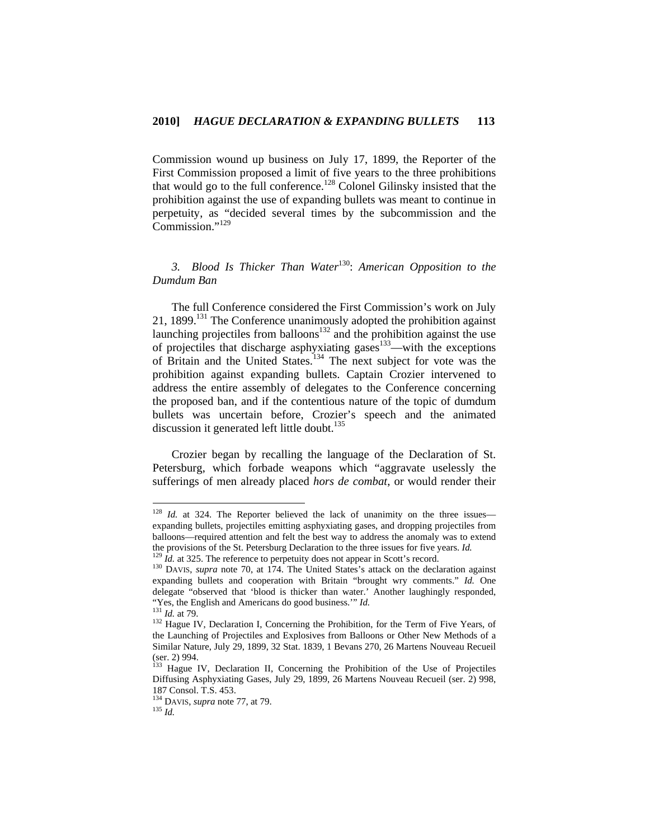Commission wound up business on July 17, 1899, the Reporter of the First Commission proposed a limit of five years to the three prohibitions that would go to the full conference.<sup>128</sup> Colonel Gilinsky insisted that the prohibition against the use of expanding bullets was meant to continue in perpetuity, as "decided several times by the subcommission and the Commission."<sup>129</sup>

# *3. Blood Is Thicker Than Water*130: *American Opposition to the Dumdum Ban*

The full Conference considered the First Commission's work on July 21, 1899.<sup>131</sup> The Conference unanimously adopted the prohibition against launching projectiles from balloons<sup>132</sup> and the prohibition against the use of projectiles that discharge asphyxiating gases<sup>133</sup>—with the exceptions of Britain and the United States.134 The next subject for vote was the prohibition against expanding bullets. Captain Crozier intervened to address the entire assembly of delegates to the Conference concerning the proposed ban, and if the contentious nature of the topic of dumdum bullets was uncertain before, Crozier's speech and the animated discussion it generated left little doubt.<sup>135</sup>

Crozier began by recalling the language of the Declaration of St. Petersburg, which forbade weapons which "aggravate uselessly the sufferings of men already placed *hors de combat*, or would render their

<sup>&</sup>lt;sup>128</sup> *Id.* at 324. The Reporter believed the lack of unanimity on the three issues expanding bullets, projectiles emitting asphyxiating gases, and dropping projectiles from balloons—required attention and felt the best way to address the anomaly was to extend the provisions of the St. Petersburg Declaration to the three issues for five years. *Id.*  $^{129}$  *Id.* at 325. The reference to perpetuity does not appear in Scott's record.  $^{130}$  DAVIS, *supra* note 70, at 174. The U

expanding bullets and cooperation with Britain "brought wry comments." *Id.* One delegate "observed that 'blood is thicker than water.' Another laughingly responded, "Yes, the English and Americans do good business." *Id.* 131 *Id.* at 79.<br><sup>132</sup> Hague IV, Declaration I, Concerning the Prohibition, for the Term of Five Years, of

the Launching of Projectiles and Explosives from Balloons or Other New Methods of a Similar Nature, July 29, 1899, 32 Stat. 1839, 1 Bevans 270, 26 Martens Nouveau Recueil (ser. 2) 994.

<sup>&</sup>lt;sup>133</sup> Hague IV, Declaration II, Concerning the Prohibition of the Use of Projectiles Diffusing Asphyxiating Gases, July 29, 1899, 26 Martens Nouveau Recueil (ser. 2) 998, 187 Consol. T.S. 453.

<sup>134</sup> DAVIS, *supra* note 77, at 79. 135 *Id.*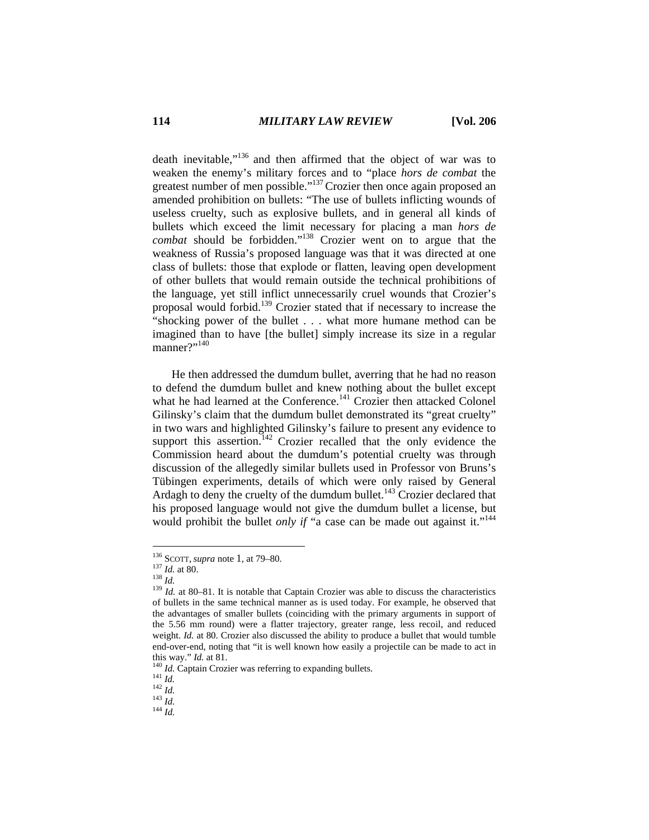death inevitable,"136 and then affirmed that the object of war was to weaken the enemy's military forces and to "place *hors de combat* the greatest number of men possible."137 Crozier then once again proposed an amended prohibition on bullets: "The use of bullets inflicting wounds of useless cruelty, such as explosive bullets, and in general all kinds of bullets which exceed the limit necessary for placing a man *hors de combat* should be forbidden."138 Crozier went on to argue that the weakness of Russia's proposed language was that it was directed at one class of bullets: those that explode or flatten, leaving open development of other bullets that would remain outside the technical prohibitions of the language, yet still inflict unnecessarily cruel wounds that Crozier's proposal would forbid.139 Crozier stated that if necessary to increase the "shocking power of the bullet . . . what more humane method can be imagined than to have [the bullet] simply increase its size in a regular manner?"<sup>140</sup>

He then addressed the dumdum bullet, averring that he had no reason to defend the dumdum bullet and knew nothing about the bullet except what he had learned at the Conference.<sup>141</sup> Crozier then attacked Colonel Gilinsky's claim that the dumdum bullet demonstrated its "great cruelty" in two wars and highlighted Gilinsky's failure to present any evidence to support this assertion.<sup>142</sup> Crozier recalled that the only evidence the Commission heard about the dumdum's potential cruelty was through discussion of the allegedly similar bullets used in Professor von Bruns's Tübingen experiments, details of which were only raised by General Ardagh to deny the cruelty of the dumdum bullet.<sup>143</sup> Crozier declared that his proposed language would not give the dumdum bullet a license, but would prohibit the bullet *only if* "a case can be made out against it."<sup>144</sup>

<sup>&</sup>lt;sup>136</sup> SCOTT, *supra* note 1, at 79–80.<br><sup>137</sup> *Id.* at 80.<br><sup>138</sup> *Id.* at 80–81. It is notable that Captain Crozier was able to discuss the characteristics of bullets in the same technical manner as is used today. For example, he observed that the advantages of smaller bullets (coinciding with the primary arguments in support of the 5.56 mm round) were a flatter trajectory, greater range, less recoil, and reduced weight. *Id.* at 80. Crozier also discussed the ability to produce a bullet that would tumble end-over-end, noting that "it is well known how easily a projectile can be made to act in this way." *Id.* at 81.<br><sup>140</sup> *Id.* Captain Crozier was referring to expanding bullets.<br><sup>141</sup> *Id.* <sup>142</sup> *Id.* <sup>143</sup> *Id.* <sup>143</sup> *Id.* <sup>144</sup> *Id.*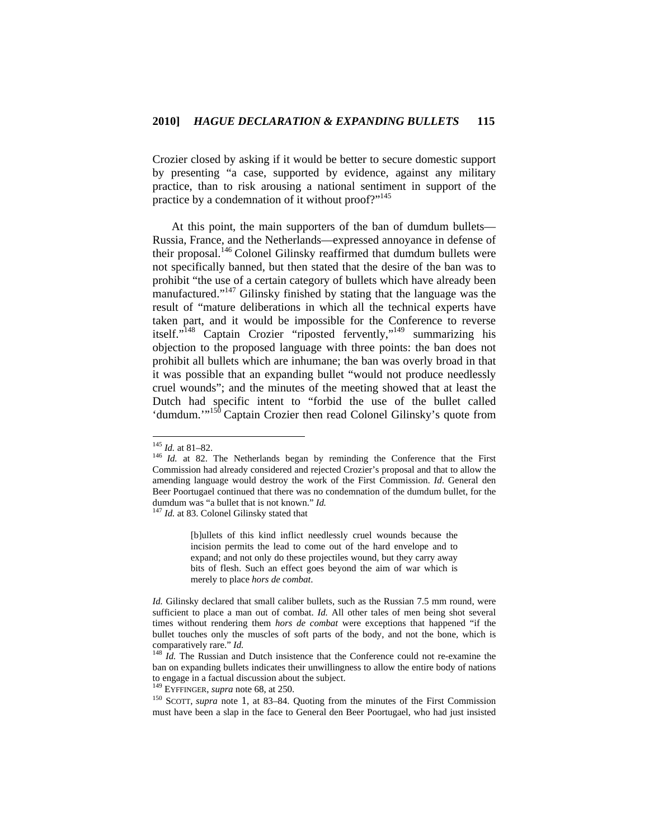Crozier closed by asking if it would be better to secure domestic support by presenting "a case, supported by evidence, against any military practice, than to risk arousing a national sentiment in support of the practice by a condemnation of it without proof?"<sup>145</sup>

At this point, the main supporters of the ban of dumdum bullets— Russia, France, and the Netherlands—expressed annoyance in defense of their proposal.<sup>146</sup> Colonel Gilinsky reaffirmed that dumdum bullets were not specifically banned, but then stated that the desire of the ban was to prohibit "the use of a certain category of bullets which have already been manufactured."147 Gilinsky finished by stating that the language was the result of "mature deliberations in which all the technical experts have taken part, and it would be impossible for the Conference to reverse itself."148 Captain Crozier "riposted fervently,"149 summarizing his objection to the proposed language with three points: the ban does not prohibit all bullets which are inhumane; the ban was overly broad in that it was possible that an expanding bullet "would not produce needlessly cruel wounds"; and the minutes of the meeting showed that at least the Dutch had specific intent to "forbid the use of the bullet called 'dumdum."<sup>150</sup> Captain Crozier then read Colonel Gilinsky's quote from

[b]ullets of this kind inflict needlessly cruel wounds because the incision permits the lead to come out of the hard envelope and to expand; and not only do these projectiles wound, but they carry away bits of flesh. Such an effect goes beyond the aim of war which is merely to place *hors de combat*.

149 EYFFINGER, *supra* note 68, at 250.

 $145$  *Id.* at 81-82.

<sup>&</sup>lt;sup>146</sup> *Id.* at 82. The Netherlands began by reminding the Conference that the First Commission had already considered and rejected Crozier's proposal and that to allow the amending language would destroy the work of the First Commission. *Id*. General den Beer Poortugael continued that there was no condemnation of the dumdum bullet, for the dumdum was "a bullet that is not known." *Id.* <sup>147</sup> *Id.* at 83. Colonel Gilinsky stated that

*Id.* Gilinsky declared that small caliber bullets, such as the Russian 7.5 mm round, were sufficient to place a man out of combat. *Id.* All other tales of men being shot several times without rendering them *hors de combat* were exceptions that happened "if the bullet touches only the muscles of soft parts of the body, and not the bone, which is comparatively rare." *Id.* 148 *Id.* The Russian and Dutch insistence that the Conference could not re-examine the

ban on expanding bullets indicates their unwillingness to allow the entire body of nations to engage in a factual discussion about the subject.

<sup>150</sup> SCOTT, *supra* note 1, at 83–84. Quoting from the minutes of the First Commission must have been a slap in the face to General den Beer Poortugael, who had just insisted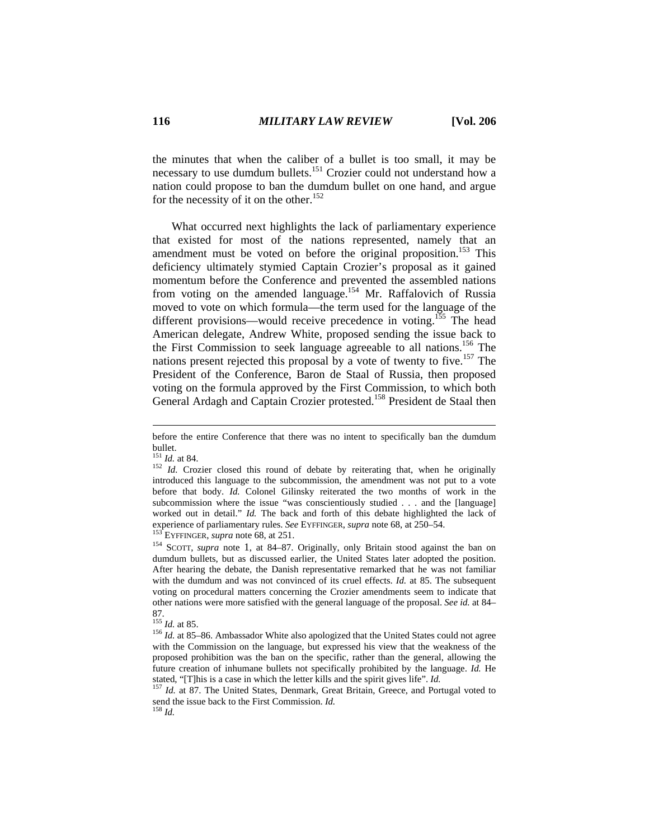the minutes that when the caliber of a bullet is too small, it may be necessary to use dumdum bullets.<sup>151</sup> Crozier could not understand how a nation could propose to ban the dumdum bullet on one hand, and argue for the necessity of it on the other.<sup>152</sup>

What occurred next highlights the lack of parliamentary experience that existed for most of the nations represented, namely that an amendment must be voted on before the original proposition.<sup>153</sup> This deficiency ultimately stymied Captain Crozier's proposal as it gained momentum before the Conference and prevented the assembled nations from voting on the amended language.<sup>154</sup> Mr. Raffalovich of Russia moved to vote on which formula—the term used for the language of the different provisions—would receive precedence in voting.<sup>155</sup> The head American delegate, Andrew White, proposed sending the issue back to the First Commission to seek language agreeable to all nations.156 The nations present rejected this proposal by a vote of twenty to five.<sup>157</sup> The President of the Conference, Baron de Staal of Russia, then proposed voting on the formula approved by the First Commission, to which both General Ardagh and Captain Crozier protested.<sup>158</sup> President de Staal then

before the entire Conference that there was no intent to specifically ban the dumdum bullet.<br> $^{151}$  *Id.* at 84.

 $152$  *Id.* Crozier closed this round of debate by reiterating that, when he originally introduced this language to the subcommission, the amendment was not put to a vote before that body. *Id.* Colonel Gilinsky reiterated the two months of work in the subcommission where the issue "was conscientiously studied . . . and the [language] worked out in detail." *Id.* The back and forth of this debate highlighted the lack of experience of parliamentary rules. See EYFFINGER, supra note 68, at 250–54.<br><sup>153</sup> EYFFINGER, supra note 68, at 251.<br><sup>154</sup> SCOTT, supra note 1, at 84–87. Originally, only Britain stood against the ban on

dumdum bullets, but as discussed earlier, the United States later adopted the position. After hearing the debate, the Danish representative remarked that he was not familiar with the dumdum and was not convinced of its cruel effects. *Id.* at 85. The subsequent voting on procedural matters concerning the Crozier amendments seem to indicate that other nations were more satisfied with the general language of the proposal. *See id.* at 84–

<sup>87.&</sup>lt;br> $^{155}$  *Id.* at 85.

<sup>&</sup>lt;sup>156</sup> *Id.* at 85-86. Ambassador White also apologized that the United States could not agree with the Commission on the language, but expressed his view that the weakness of the proposed prohibition was the ban on the specific, rather than the general, allowing the future creation of inhumane bullets not specifically prohibited by the language. *Id.* He stated, "[T]his is a case in which the letter kills and the spirit gives life". *Id.* 157 *Id.* at 87. The United States, Denmark, Great Britain, Greece, and Portugal voted to

send the issue back to the First Commission. *Id.* <sup>158</sup> *Id.*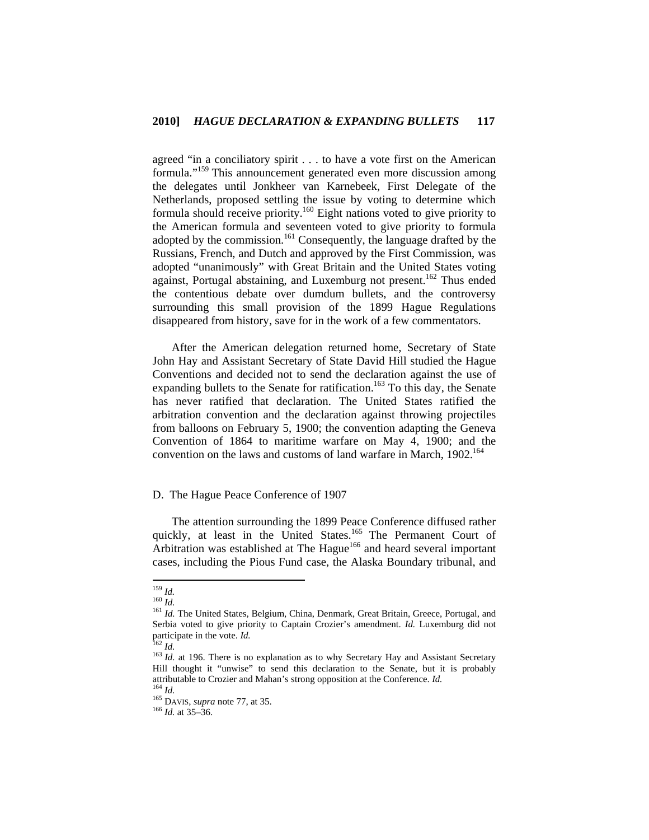agreed "in a conciliatory spirit . . . to have a vote first on the American formula."159 This announcement generated even more discussion among the delegates until Jonkheer van Karnebeek, First Delegate of the Netherlands, proposed settling the issue by voting to determine which formula should receive priority.160 Eight nations voted to give priority to the American formula and seventeen voted to give priority to formula adopted by the commission.<sup>161</sup> Consequently, the language drafted by the Russians, French, and Dutch and approved by the First Commission, was adopted "unanimously" with Great Britain and the United States voting against, Portugal abstaining, and Luxemburg not present.<sup>162</sup> Thus ended the contentious debate over dumdum bullets, and the controversy surrounding this small provision of the 1899 Hague Regulations disappeared from history, save for in the work of a few commentators.

After the American delegation returned home, Secretary of State John Hay and Assistant Secretary of State David Hill studied the Hague Conventions and decided not to send the declaration against the use of expanding bullets to the Senate for ratification.<sup>163</sup> To this day, the Senate has never ratified that declaration. The United States ratified the arbitration convention and the declaration against throwing projectiles from balloons on February 5, 1900; the convention adapting the Geneva Convention of 1864 to maritime warfare on May 4, 1900; and the convention on the laws and customs of land warfare in March, 1902.<sup>164</sup>

# D. The Hague Peace Conference of 1907

The attention surrounding the 1899 Peace Conference diffused rather quickly, at least in the United States.<sup>165</sup> The Permanent Court of Arbitration was established at The Hague<sup>166</sup> and heard several important cases, including the Pious Fund case, the Alaska Boundary tribunal, and

 $159$  *Id.* 

<sup>160</sup> *Id.*<br><sup>160</sup> *Id.*<br><sup>161</sup> *Id.* The United States, Belgium, China, Denmark, Great Britain, Greece, Portugal, and Serbia voted to give priority to Captain Crozier's amendment. *Id.* Luxemburg did not participate in the vote. *Id.*<br><sup>162</sup> *Id.* 

<sup>&</sup>lt;sup>163</sup> *Id.* at 196. There is no explanation as to why Secretary Hay and Assistant Secretary Hill thought it "unwise" to send this declaration to the Senate, but it is probably attributable to Crozier and Mahan's strong opposition at the Conference. *Id.* <sup>164</sup> *Id.* 165 DAVIS, *supra* note 77, at 35. 166 *Id.* at 35–36.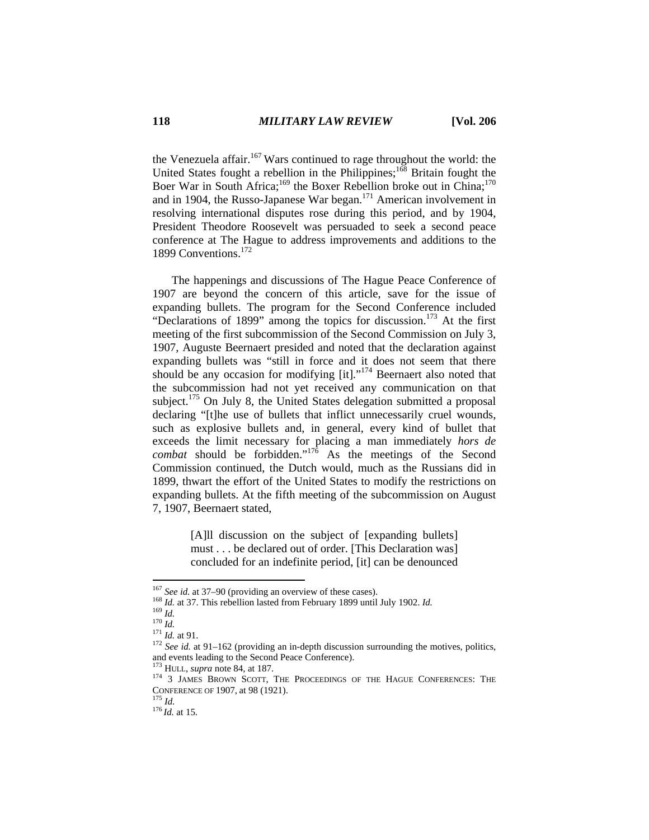the Venezuela affair.<sup>167</sup> Wars continued to rage throughout the world: the United States fought a rebellion in the Philippines;<sup>168</sup> Britain fought the Boer War in South Africa;<sup>169</sup> the Boxer Rebellion broke out in China;<sup>170</sup> and in 1904, the Russo-Japanese War began.171 American involvement in resolving international disputes rose during this period, and by 1904, President Theodore Roosevelt was persuaded to seek a second peace conference at The Hague to address improvements and additions to the 1899 Conventions.<sup>172</sup>

The happenings and discussions of The Hague Peace Conference of 1907 are beyond the concern of this article, save for the issue of expanding bullets. The program for the Second Conference included "Declarations of 1899" among the topics for discussion.<sup>173</sup> At the first meeting of the first subcommission of the Second Commission on July 3, 1907, Auguste Beernaert presided and noted that the declaration against expanding bullets was "still in force and it does not seem that there should be any occasion for modifying [it]."<sup>174</sup> Beernaert also noted that the subcommission had not yet received any communication on that subject.<sup>175</sup> On July 8, the United States delegation submitted a proposal declaring "[t]he use of bullets that inflict unnecessarily cruel wounds, such as explosive bullets and, in general, every kind of bullet that exceeds the limit necessary for placing a man immediately *hors de combat* should be forbidden."176 As the meetings of the Second Commission continued, the Dutch would, much as the Russians did in 1899, thwart the effort of the United States to modify the restrictions on expanding bullets. At the fifth meeting of the subcommission on August 7, 1907, Beernaert stated,

> [A]ll discussion on the subject of [expanding bullets] must . . . be declared out of order. [This Declaration was] concluded for an indefinite period, [it] can be denounced

 $167$  See id. at 37-90 (providing an overview of these cases).

<sup>&</sup>lt;sup>168</sup>*Id.* at 37. This rebellion lasted from February 1899 until July 1902. *Id.*<br><sup>169</sup>*Id. Id.*<br><sup>170</sup>*Id.* at 91.<br><sup>171</sup>*Id.* at 91.<br><sup>172</sup> *See id.* at 91–162 (providing an in-depth discussion surrounding the motives, p and events leading to the Second Peace Conference).<br><sup>173</sup> HULL, *supra* note 84, at 187.

<sup>&</sup>lt;sup>174</sup> 3 JAMES BROWN SCOTT, THE PROCEEDINGS OF THE HAGUE CONFERENCES: THE CONFERENCE OF 1907, at 98 (1921). 175 *Id.* <sup>176</sup>*Id.* at 15.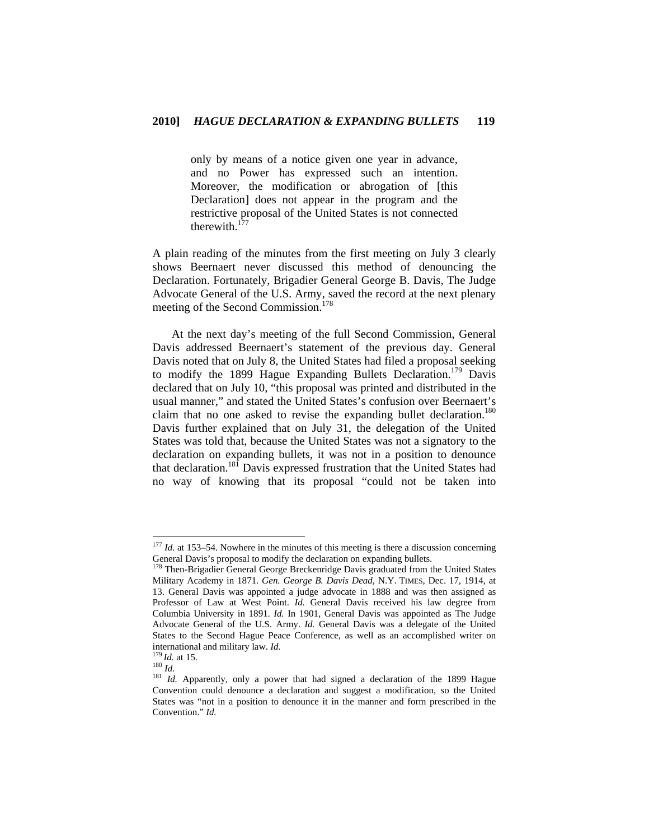only by means of a notice given one year in advance, and no Power has expressed such an intention. Moreover, the modification or abrogation of [this Declaration] does not appear in the program and the restrictive proposal of the United States is not connected therewith.<sup>177</sup>

A plain reading of the minutes from the first meeting on July 3 clearly shows Beernaert never discussed this method of denouncing the Declaration. Fortunately, Brigadier General George B. Davis, The Judge Advocate General of the U.S. Army, saved the record at the next plenary meeting of the Second Commission.<sup>178</sup>

At the next day's meeting of the full Second Commission, General Davis addressed Beernaert's statement of the previous day. General Davis noted that on July 8, the United States had filed a proposal seeking to modify the 1899 Hague Expanding Bullets Declaration.<sup>179</sup> Davis declared that on July 10, "this proposal was printed and distributed in the usual manner," and stated the United States's confusion over Beernaert's claim that no one asked to revise the expanding bullet declaration.<sup>180</sup> Davis further explained that on July 31, the delegation of the United States was told that, because the United States was not a signatory to the declaration on expanding bullets, it was not in a position to denounce that declaration.<sup>181</sup> Davis expressed frustration that the United States had no way of knowing that its proposal "could not be taken into

<sup>&</sup>lt;sup>177</sup> *Id.* at 153–54. Nowhere in the minutes of this meeting is there a discussion concerning General Davis's proposal to modify the declaration on expanding bullets.<br><sup>178</sup> Then-Brigadier General George Breckenridge Davis graduated from the United States

Military Academy in 1871. *Gen. George B. Davis Dead*, N.Y. TIMES, Dec. 17, 1914, at 13. General Davis was appointed a judge advocate in 1888 and was then assigned as Professor of Law at West Point. *Id.* General Davis received his law degree from Columbia University in 1891. *Id.* In 1901, General Davis was appointed as The Judge Advocate General of the U.S. Army. *Id.* General Davis was a delegate of the United States to the Second Hague Peace Conference, as well as an accomplished writer on

international and military law. *Id.*<br><sup>179</sup>*Id.* at 15.<br><sup>180</sup>*Id.* Apparently, only a power that had signed a declaration of the 1899 Hague Convention could denounce a declaration and suggest a modification, so the United States was "not in a position to denounce it in the manner and form prescribed in the Convention." *Id.*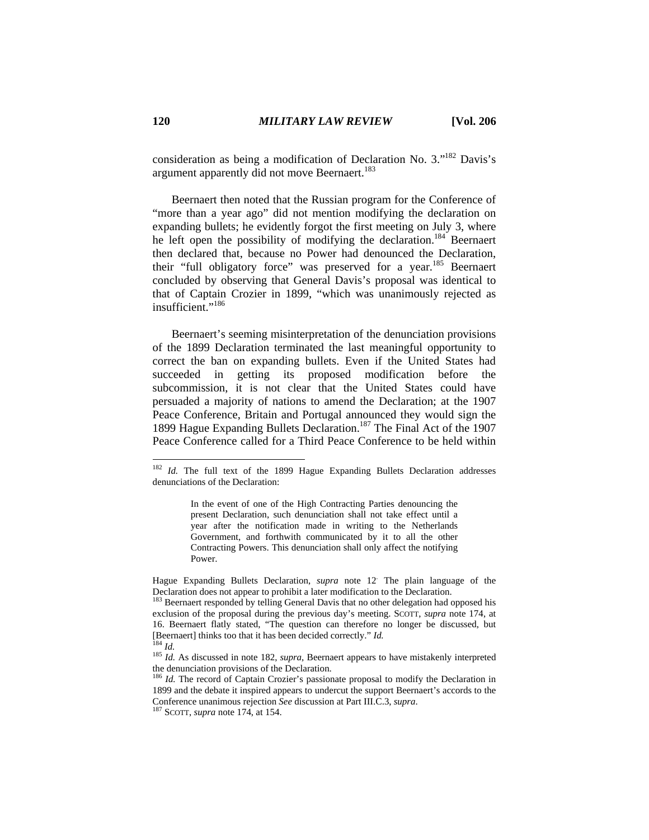consideration as being a modification of Declaration No. 3."182 Davis's argument apparently did not move Beernaert.<sup>183</sup>

Beernaert then noted that the Russian program for the Conference of "more than a year ago" did not mention modifying the declaration on expanding bullets; he evidently forgot the first meeting on July 3, where he left open the possibility of modifying the declaration.<sup>184</sup> Beernaert then declared that, because no Power had denounced the Declaration, their "full obligatory force" was preserved for a year.<sup>185</sup> Beernaert concluded by observing that General Davis's proposal was identical to that of Captain Crozier in 1899, "which was unanimously rejected as insufficient."<sup>186</sup>

Beernaert's seeming misinterpretation of the denunciation provisions of the 1899 Declaration terminated the last meaningful opportunity to correct the ban on expanding bullets. Even if the United States had succeeded in getting its proposed modification before the subcommission, it is not clear that the United States could have persuaded a majority of nations to amend the Declaration; at the 1907 Peace Conference, Britain and Portugal announced they would sign the 1899 Hague Expanding Bullets Declaration.<sup>187</sup> The Final Act of the 1907 Peace Conference called for a Third Peace Conference to be held within

In the event of one of the High Contracting Parties denouncing the present Declaration, such denunciation shall not take effect until a year after the notification made in writing to the Netherlands Government, and forthwith communicated by it to all the other Contracting Powers. This denunciation shall only affect the notifying Power.

Hague Expanding Bullets Declaration, *supra* note 12. The plain language of the Declaration does not appear to prohibit a later modification to the Declaration.

<sup>&</sup>lt;sup>182</sup> *Id.* The full text of the 1899 Hague Expanding Bullets Declaration addresses denunciations of the Declaration:

<sup>&</sup>lt;sup>183</sup> Beernaert responded by telling General Davis that no other delegation had opposed his exclusion of the proposal during the previous day's meeting. SCOTT, *supra* note 174, at 16. Beernaert flatly stated, "The question can therefore no longer be discussed, but [Beernaert] thinks too that it has been decided correctly." *Id.* <sup>184</sup> *Id.* <sup>185</sup> *Id.* As discussed in note 182, *supra*, Beernaert appears to have mistakenly interpreted

the denunciation provisions of the Declaration.

<sup>&</sup>lt;sup>186</sup> *Id.* The record of Captain Crozier's passionate proposal to modify the Declaration in 1899 and the debate it inspired appears to undercut the support Beernaert's accords to the Conference unanimous rejection *See* discussion at Part III.C.3, *supra*. 187 SCOTT, *supra* note 174, at 154.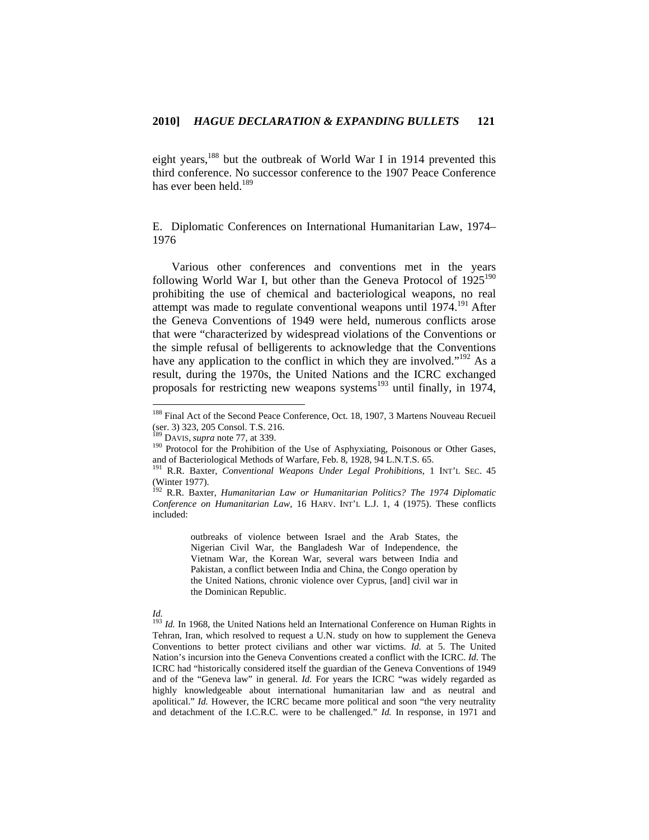eight years,<sup>188</sup> but the outbreak of World War I in 1914 prevented this third conference. No successor conference to the 1907 Peace Conference has ever been held  $^{189}$ 

E. Diplomatic Conferences on International Humanitarian Law, 1974– 1976

Various other conferences and conventions met in the years following World War I, but other than the Geneva Protocol of  $1925^{190}$ prohibiting the use of chemical and bacteriological weapons, no real attempt was made to regulate conventional weapons until 1974.<sup>191</sup> After the Geneva Conventions of 1949 were held, numerous conflicts arose that were "characterized by widespread violations of the Conventions or the simple refusal of belligerents to acknowledge that the Conventions have any application to the conflict in which they are involved."<sup>192</sup> As a result, during the 1970s, the United Nations and the ICRC exchanged proposals for restricting new weapons systems<sup>193</sup> until finally, in 1974,

outbreaks of violence between Israel and the Arab States, the Nigerian Civil War, the Bangladesh War of Independence, the Vietnam War, the Korean War, several wars between India and Pakistan, a conflict between India and China, the Congo operation by the United Nations, chronic violence over Cyprus, [and] civil war in the Dominican Republic.

<sup>&</sup>lt;sup>188</sup> Final Act of the Second Peace Conference, Oct. 18, 1907, 3 Martens Nouveau Recueil (ser. 3) 323, 205 Consol. T.S. 216.<br><sup>189</sup> DAVIS, *supra* note 77, at 339.

<sup>&</sup>lt;sup>190</sup> Protocol for the Prohibition of the Use of Asphyxiating, Poisonous or Other Gases, and of Bacteriological Methods of Warfare, Feb. 8, 1928, 94 L.N.T.S. 65.

<sup>&</sup>lt;sup>191</sup> R.R. Baxter, *Conventional Weapons Under Legal Prohibitions*, 1 INT'L SEC. 45 (Winter 1977).

<sup>192</sup> R.R. Baxter, *Humanitarian Law or Humanitarian Politics? The 1974 Diplomatic Conference on Humanitarian Law*, 16 HARV. INT'L L.J. 1, 4 (1975). These conflicts included:

*Id.*

<sup>&</sup>lt;sup>193</sup> *Id.* In 1968, the United Nations held an International Conference on Human Rights in Tehran, Iran, which resolved to request a U.N. study on how to supplement the Geneva Conventions to better protect civilians and other war victims. *Id.* at 5. The United Nation's incursion into the Geneva Conventions created a conflict with the ICRC. *Id.* The ICRC had "historically considered itself the guardian of the Geneva Conventions of 1949 and of the "Geneva law" in general. *Id.* For years the ICRC "was widely regarded as highly knowledgeable about international humanitarian law and as neutral and apolitical." *Id.* However, the ICRC became more political and soon "the very neutrality and detachment of the I.C.R.C. were to be challenged." *Id.* In response, in 1971 and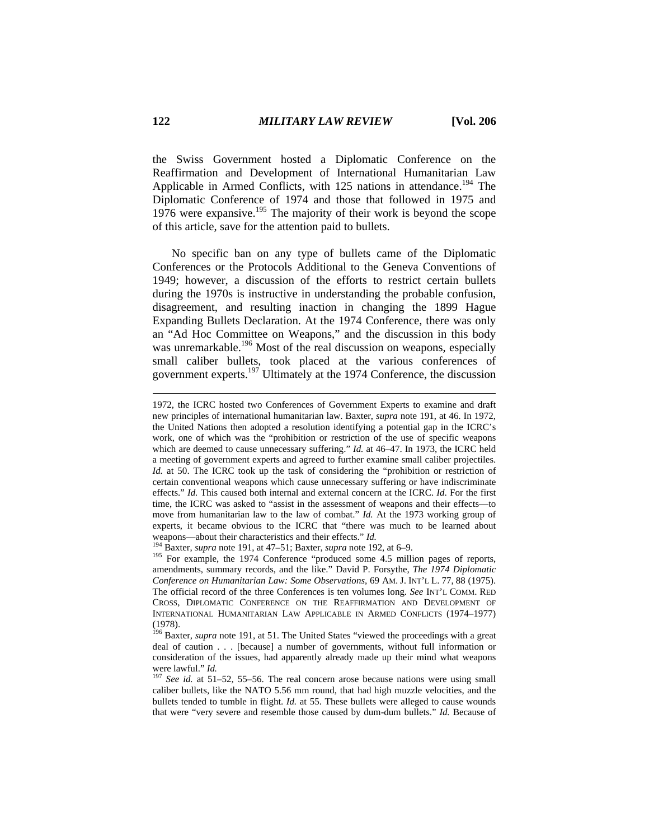the Swiss Government hosted a Diplomatic Conference on the Reaffirmation and Development of International Humanitarian Law Applicable in Armed Conflicts, with 125 nations in attendance.<sup>194</sup> The Diplomatic Conference of 1974 and those that followed in 1975 and 1976 were expansive.195 The majority of their work is beyond the scope of this article, save for the attention paid to bullets.

No specific ban on any type of bullets came of the Diplomatic Conferences or the Protocols Additional to the Geneva Conventions of 1949; however, a discussion of the efforts to restrict certain bullets during the 1970s is instructive in understanding the probable confusion, disagreement, and resulting inaction in changing the 1899 Hague Expanding Bullets Declaration. At the 1974 Conference, there was only an "Ad Hoc Committee on Weapons," and the discussion in this body was unremarkable.<sup>196</sup> Most of the real discussion on weapons, especially small caliber bullets, took placed at the various conferences of government experts.197 Ultimately at the 1974 Conference, the discussion

<sup>1972,</sup> the ICRC hosted two Conferences of Government Experts to examine and draft new principles of international humanitarian law. Baxter, *supra* note 191, at 46. In 1972, the United Nations then adopted a resolution identifying a potential gap in the ICRC's work, one of which was the "prohibition or restriction of the use of specific weapons which are deemed to cause unnecessary suffering." *Id.* at 46–47. In 1973, the ICRC held a meeting of government experts and agreed to further examine small caliber projectiles. *Id.* at 50. The ICRC took up the task of considering the "prohibition or restriction of certain conventional weapons which cause unnecessary suffering or have indiscriminate effects." *Id.* This caused both internal and external concern at the ICRC. *Id*. For the first time, the ICRC was asked to "assist in the assessment of weapons and their effects—to move from humanitarian law to the law of combat." *Id.* At the 1973 working group of experts, it became obvious to the ICRC that "there was much to be learned about weapons—about their characteristics and their effects." *Id.*<br><sup>194</sup> Baxter, *supra* note 191, at 47–51; Baxter, *supra* note 192, at 6–9.<br><sup>195</sup> For example, the 1974 Conference "produced some 4.5 million pages of reports,

amendments, summary records, and the like." David P. Forsythe, *The 1974 Diplomatic Conference on Humanitarian Law: Some Observations*, 69 AM. J. INT'L L. 77, 88 (1975). The official record of the three Conferences is ten volumes long. *See* INT'L COMM. RED CROSS, DIPLOMATIC CONFERENCE ON THE REAFFIRMATION AND DEVELOPMENT OF INTERNATIONAL HUMANITARIAN LAW APPLICABLE IN ARMED CONFLICTS (1974–1977) (1978).

<sup>&</sup>lt;sup>196</sup> Baxter, *supra* note 191, at 51. The United States "viewed the proceedings with a great deal of caution . . . [because] a number of governments, without full information or consideration of the issues, had apparently already made up their mind what weapons were lawful." *Id.* 197 *See id.* at 51–52, 55–56. The real concern arose because nations were using small

caliber bullets, like the NATO 5.56 mm round, that had high muzzle velocities, and the bullets tended to tumble in flight. *Id.* at 55. These bullets were alleged to cause wounds that were "very severe and resemble those caused by dum-dum bullets." *Id.* Because of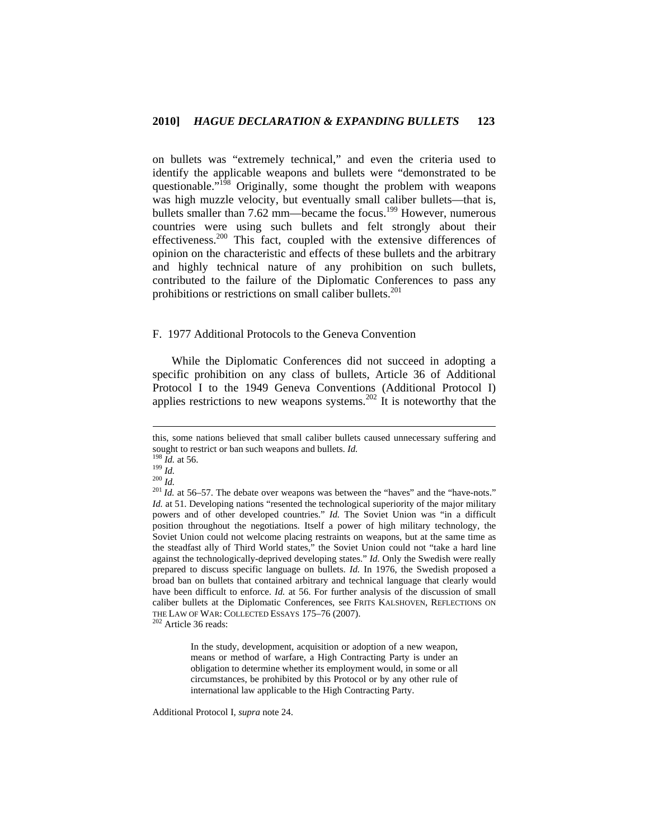on bullets was "extremely technical," and even the criteria used to identify the applicable weapons and bullets were "demonstrated to be questionable."<sup>198</sup> Originally, some thought the problem with weapons was high muzzle velocity, but eventually small caliber bullets—that is, bullets smaller than 7.62 mm—became the focus.<sup>199</sup> However, numerous countries were using such bullets and felt strongly about their effectiveness.200 This fact, coupled with the extensive differences of opinion on the characteristic and effects of these bullets and the arbitrary and highly technical nature of any prohibition on such bullets, contributed to the failure of the Diplomatic Conferences to pass any prohibitions or restrictions on small caliber bullets.<sup>201</sup>

## F. 1977 Additional Protocols to the Geneva Convention

While the Diplomatic Conferences did not succeed in adopting a specific prohibition on any class of bullets, Article 36 of Additional Protocol I to the 1949 Geneva Conventions (Additional Protocol I) applies restrictions to new weapons systems.<sup>202</sup> It is noteworthy that the

 $\overline{a}$ 

In the study, development, acquisition or adoption of a new weapon, means or method of warfare, a High Contracting Party is under an obligation to determine whether its employment would, in some or all circumstances, be prohibited by this Protocol or by any other rule of international law applicable to the High Contracting Party.

Additional Protocol I, *supra* note 24.

this, some nations believed that small caliber bullets caused unnecessary suffering and

sought to restrict or ban such weapons and bullets. *Id.* <sup>198</sup> *Id.* at 56. <sup>199</sup> *Id.*  $\frac{109}{100}$  *Id.*  $\frac{200}{100}$  *Id.* at 56–57. The debate over weapons was between the "haves" and the "have-nots." *Id.* at 51. Developing nations "resented the technological superiority of the major military powers and of other developed countries." *Id.* The Soviet Union was "in a difficult position throughout the negotiations. Itself a power of high military technology, the Soviet Union could not welcome placing restraints on weapons, but at the same time as the steadfast ally of Third World states," the Soviet Union could not "take a hard line against the technologically-deprived developing states." *Id.* Only the Swedish were really prepared to discuss specific language on bullets. *Id.* In 1976, the Swedish proposed a broad ban on bullets that contained arbitrary and technical language that clearly would have been difficult to enforce. *Id.* at 56. For further analysis of the discussion of small caliber bullets at the Diplomatic Conferences, see FRITS KALSHOVEN, REFLECTIONS ON THE LAW OF WAR: COLLECTED ESSAYS 175–76 (2007). 202 Article 36 reads: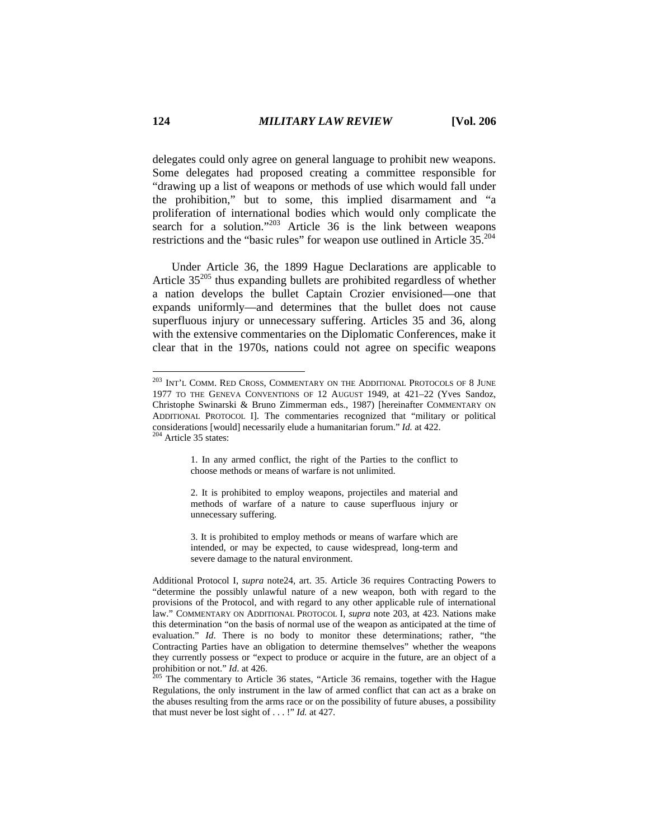delegates could only agree on general language to prohibit new weapons. Some delegates had proposed creating a committee responsible for "drawing up a list of weapons or methods of use which would fall under the prohibition," but to some, this implied disarmament and "a proliferation of international bodies which would only complicate the search for a solution."<sup>203</sup> Article 36 is the link between weapons restrictions and the "basic rules" for weapon use outlined in Article 35.204

Under Article 36, the 1899 Hague Declarations are applicable to Article  $35^{205}$  thus expanding bullets are prohibited regardless of whether a nation develops the bullet Captain Crozier envisioned—one that expands uniformly—and determines that the bullet does not cause superfluous injury or unnecessary suffering. Articles 35 and 36, along with the extensive commentaries on the Diplomatic Conferences, make it clear that in the 1970s, nations could not agree on specific weapons

1. In any armed conflict, the right of the Parties to the conflict to choose methods or means of warfare is not unlimited.

3. It is prohibited to employ methods or means of warfare which are intended, or may be expected, to cause widespread, long-term and severe damage to the natural environment.

 $^{203}$  Int'l Comm. Red Cross, Commentary on the Additional Protocols of 8 June 1977 TO THE GENEVA CONVENTIONS OF 12 AUGUST 1949, at 421–22 (Yves Sandoz, Christophe Swinarski & Bruno Zimmerman eds., 1987) [hereinafter COMMENTARY ON ADDITIONAL PROTOCOL I]. The commentaries recognized that "military or political considerations [would] necessarily elude a humanitarian forum." *Id.* at 422. 204 Article 35 states:

<sup>2.</sup> It is prohibited to employ weapons, projectiles and material and methods of warfare of a nature to cause superfluous injury or unnecessary suffering.

Additional Protocol I, *supra* note24, art. 35. Article 36 requires Contracting Powers to "determine the possibly unlawful nature of a new weapon, both with regard to the provisions of the Protocol, and with regard to any other applicable rule of international law." COMMENTARY ON ADDITIONAL PROTOCOL I, *supra* note 203, at 423. Nations make this determination "on the basis of normal use of the weapon as anticipated at the time of evaluation." *Id*. There is no body to monitor these determinations; rather, "the Contracting Parties have an obligation to determine themselves" whether the weapons they currently possess or "expect to produce or acquire in the future, are an object of a prohibition or not." *Id.* at 426. 205 The commentary to Article 36 states, "Article 36 remains, together with the Hague

Regulations, the only instrument in the law of armed conflict that can act as a brake on the abuses resulting from the arms race or on the possibility of future abuses, a possibility that must never be lost sight of . . . !" *Id.* at 427.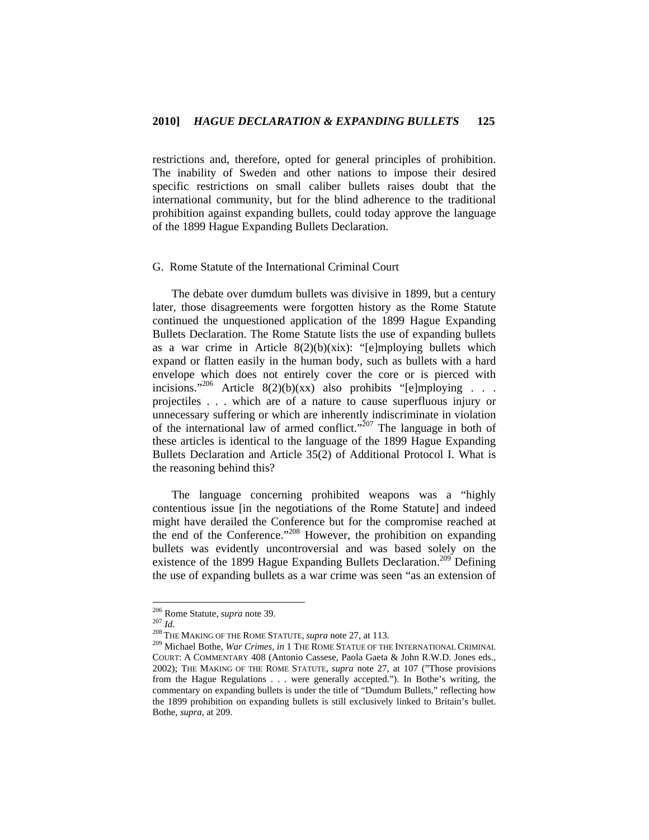restrictions and, therefore, opted for general principles of prohibition. The inability of Sweden and other nations to impose their desired specific restrictions on small caliber bullets raises doubt that the international community, but for the blind adherence to the traditional prohibition against expanding bullets, could today approve the language of the 1899 Hague Expanding Bullets Declaration.

# G. Rome Statute of the International Criminal Court

The debate over dumdum bullets was divisive in 1899, but a century later, those disagreements were forgotten history as the Rome Statute continued the unquestioned application of the 1899 Hague Expanding Bullets Declaration. The Rome Statute lists the use of expanding bullets as a war crime in Article  $8(2)(b)(xix)$ : "[e]mploying bullets which expand or flatten easily in the human body, such as bullets with a hard envelope which does not entirely cover the core or is pierced with incisions."<sup>206</sup> Article 8(2)(b)(xx) also prohibits "[e]mploying . . . projectiles . . . which are of a nature to cause superfluous injury or unnecessary suffering or which are inherently indiscriminate in violation of the international law of armed conflict."<sup>207</sup> The language in both of these articles is identical to the language of the 1899 Hague Expanding Bullets Declaration and Article 35(2) of Additional Protocol I. What is the reasoning behind this?

The language concerning prohibited weapons was a "highly contentious issue [in the negotiations of the Rome Statute] and indeed might have derailed the Conference but for the compromise reached at the end of the Conference."<sup>208</sup> However, the prohibition on expanding bullets was evidently uncontroversial and was based solely on the existence of the 1899 Hague Expanding Bullets Declaration.<sup>209</sup> Defining the use of expanding bullets as a war crime was seen "as an extension of

<sup>&</sup>lt;sup>206</sup> Rome Statute, *supra* note 39.

<sup>207</sup> *Id.*<br><sup>206</sup> THE MAKING OF THE ROME STATUTE, *supra* note 27, at 113.<br><sup>209</sup> Michael Bothe, *War Crimes*, *in* 1 THE ROME STATUE OF THE INTERNATIONAL CRIMINAL COURT: A COMMENTARY 408 (Antonio Cassese, Paola Gaeta & John R.W.D. Jones eds., 2002); THE MAKING OF THE ROME STATUTE, *supra* note 27, at 107 ("Those provisions from the Hague Regulations . . . were generally accepted."). In Bothe's writing, the commentary on expanding bullets is under the title of "Dumdum Bullets," reflecting how the 1899 prohibition on expanding bullets is still exclusively linked to Britain's bullet. Bothe, *supra*, at 209.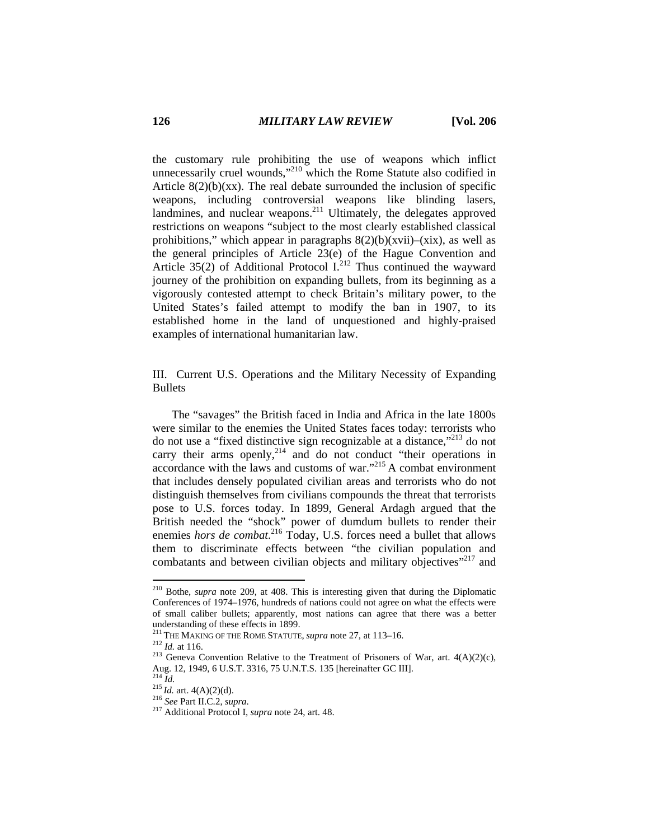the customary rule prohibiting the use of weapons which inflict unnecessarily cruel wounds,"<sup>210</sup> which the Rome Statute also codified in Article  $8(2)(b)(xx)$ . The real debate surrounded the inclusion of specific weapons, including controversial weapons like blinding lasers, landmines, and nuclear weapons.<sup>211</sup> Ultimately, the delegates approved restrictions on weapons "subject to the most clearly established classical prohibitions," which appear in paragraphs  $8(2)(b)(xvii)$ –(xix), as well as the general principles of Article 23(e) of the Hague Convention and Article  $35(2)$  of Additional Protocol I.<sup>212</sup> Thus continued the wayward journey of the prohibition on expanding bullets, from its beginning as a vigorously contested attempt to check Britain's military power, to the United States's failed attempt to modify the ban in 1907, to its established home in the land of unquestioned and highly-praised examples of international humanitarian law.

III. Current U.S. Operations and the Military Necessity of Expanding **Bullets** 

The "savages" the British faced in India and Africa in the late 1800s were similar to the enemies the United States faces today: terrorists who do not use a "fixed distinctive sign recognizable at a distance,"213 do not carry their arms openly, $2^{14}$  and do not conduct "their operations in accordance with the laws and customs of war."215 A combat environment that includes densely populated civilian areas and terrorists who do not distinguish themselves from civilians compounds the threat that terrorists pose to U.S. forces today. In 1899, General Ardagh argued that the British needed the "shock" power of dumdum bullets to render their enemies *hors de combat*. 216 Today, U.S. forces need a bullet that allows them to discriminate effects between "the civilian population and combatants and between civilian objects and military objectives"<sup>217</sup> and

<sup>210</sup> Bothe, *supra* note 209, at 408. This is interesting given that during the Diplomatic Conferences of 1974–1976, hundreds of nations could not agree on what the effects were of small caliber bullets; apparently, most nations can agree that there was a better understanding of these effects in 1899.<br><sup>211</sup> THE MAKING OF THE ROME STATUTE, *supra* note 27, at 113–16.

<sup>&</sup>lt;sup>212</sup> *Id.* at 116. <sup>213</sup> Geneva Convention Relative to the Treatment of Prisoners of War, art. 4(A)(2)(c), <sup>213</sup> Geneva Convention Relative to the Treatment of Prisoners of War, art. 4(A)(2)(c), Aug. 12, 1949, 6 U.S.T. 3316, 75 U.N.T.S. 135 [hereinafter GC III]. 214 *Id.* <sup>215</sup>*Id.* art. 4(A)(2)(d). 216 *See* Part II.C.2, *supra*. 217 Additional Protocol I, *supra* note 24, art. 48.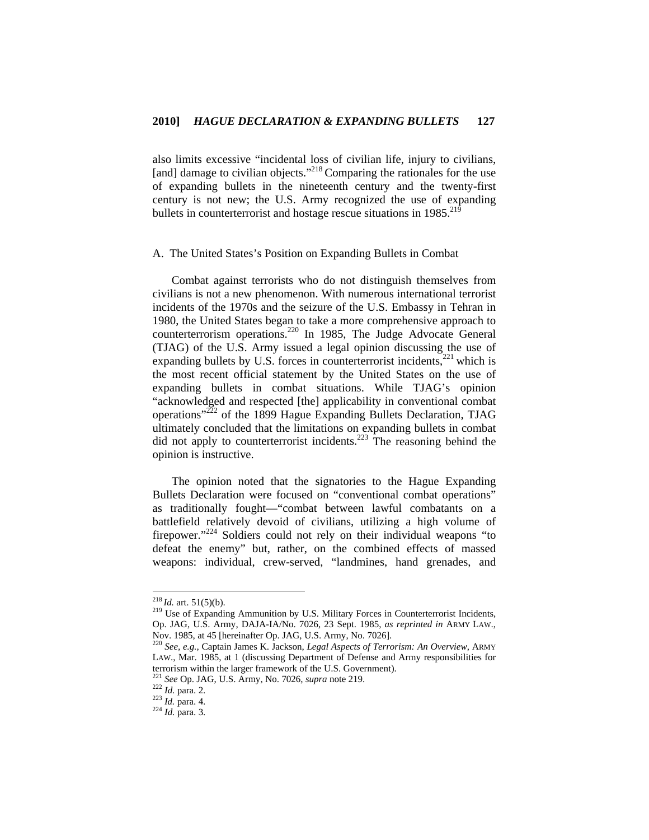also limits excessive "incidental loss of civilian life, injury to civilians, [and] damage to civilian objects."<sup>218</sup> Comparing the rationales for the use of expanding bullets in the nineteenth century and the twenty-first century is not new; the U.S. Army recognized the use of expanding bullets in counterterrorist and hostage rescue situations in  $1985$ <sup>21</sup>

### A. The United States's Position on Expanding Bullets in Combat

Combat against terrorists who do not distinguish themselves from civilians is not a new phenomenon. With numerous international terrorist incidents of the 1970s and the seizure of the U.S. Embassy in Tehran in 1980, the United States began to take a more comprehensive approach to counterterrorism operations.220 In 1985, The Judge Advocate General (TJAG) of the U.S. Army issued a legal opinion discussing the use of expanding bullets by U.S. forces in counterterrorist incidents,<sup>221</sup> which is the most recent official statement by the United States on the use of expanding bullets in combat situations. While TJAG's opinion "acknowledged and respected [the] applicability in conventional combat operations"222 of the 1899 Hague Expanding Bullets Declaration, TJAG ultimately concluded that the limitations on expanding bullets in combat did not apply to counterterrorist incidents.<sup>223</sup> The reasoning behind the opinion is instructive.

The opinion noted that the signatories to the Hague Expanding Bullets Declaration were focused on "conventional combat operations" as traditionally fought—"combat between lawful combatants on a battlefield relatively devoid of civilians, utilizing a high volume of firepower."224 Soldiers could not rely on their individual weapons "to defeat the enemy" but, rather, on the combined effects of massed weapons: individual, crew-served, "landmines, hand grenades, and

 $218$  *Id.* art. 51(5)(b).

<sup>&</sup>lt;sup>219</sup> Use of Expanding Ammunition by U.S. Military Forces in Counterterrorist Incidents, Op. JAG, U.S. Army, DAJA-IA/No. 7026, 23 Sept. 1985, *as reprinted in* ARMY LAW., Nov. 1985, at 45 [hereinafter Op. JAG, U.S. Army, No. 7026].

<sup>220</sup> *See, e.g.*, Captain James K. Jackson, *Legal Aspects of Terrorism: An Overview*, ARMY LAW., Mar. 1985, at 1 (discussing Department of Defense and Army responsibilities for terrorism within the larger framework of the U.S. Government).

<sup>&</sup>lt;sup>221</sup> *See* Op. JAG, U.S. Army, No. 7026, *supra* note 219.<br><sup>222</sup> *Id.* para. 2.<br><sup>223</sup> *Id.* para. 4.<br>*Id.* para. 3.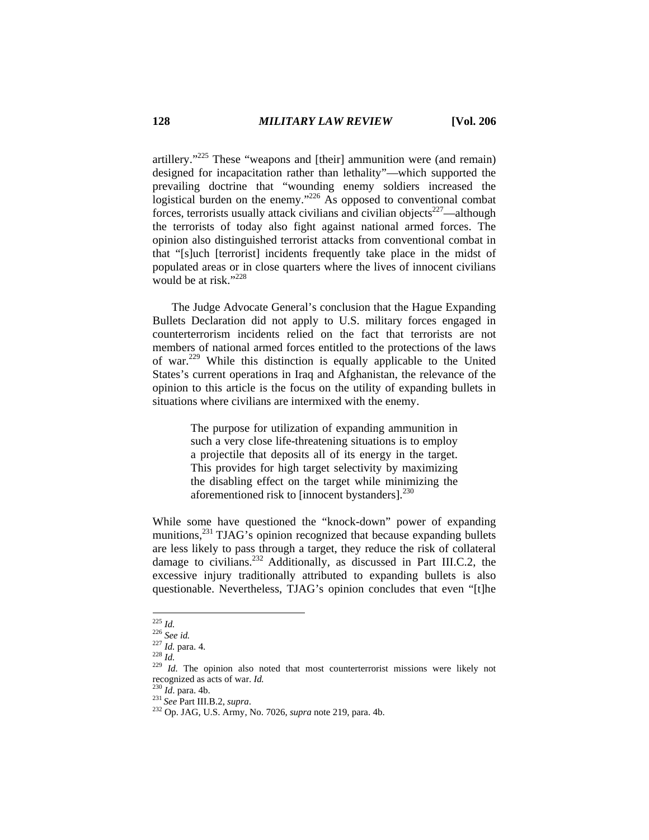artillery."<sup>225</sup> These "weapons and [their] ammunition were (and remain) designed for incapacitation rather than lethality"—which supported the prevailing doctrine that "wounding enemy soldiers increased the logistical burden on the enemy."<sup>226</sup> As opposed to conventional combat forces, terrorists usually attack civilians and civilian objects<sup>227</sup>—although the terrorists of today also fight against national armed forces. The opinion also distinguished terrorist attacks from conventional combat in that "[s]uch [terrorist] incidents frequently take place in the midst of populated areas or in close quarters where the lives of innocent civilians would be at risk." $^{228}$ 

The Judge Advocate General's conclusion that the Hague Expanding Bullets Declaration did not apply to U.S. military forces engaged in counterterrorism incidents relied on the fact that terrorists are not members of national armed forces entitled to the protections of the laws of war.229 While this distinction is equally applicable to the United States's current operations in Iraq and Afghanistan, the relevance of the opinion to this article is the focus on the utility of expanding bullets in situations where civilians are intermixed with the enemy.

> The purpose for utilization of expanding ammunition in such a very close life-threatening situations is to employ a projectile that deposits all of its energy in the target. This provides for high target selectivity by maximizing the disabling effect on the target while minimizing the aforementioned risk to [innocent bystanders].<sup>230</sup>

While some have questioned the "knock-down" power of expanding munitions,<sup>231</sup> TJAG's opinion recognized that because expanding bullets are less likely to pass through a target, they reduce the risk of collateral damage to civilians.<sup>232</sup> Additionally, as discussed in Part III.C.2, the excessive injury traditionally attributed to expanding bullets is also questionable. Nevertheless, TJAG's opinion concludes that even "[t]he

 $^{225}$  *Id.* 

<sup>226</sup> *See id.*<br>227 *Id.* para. 4. 227 *Id.* para. 4. 228 *Id.* 228 *Id.* 228 *Id.* The opinion also noted that most counterterrorist missions were likely not recognized as acts of war. *Id.* <sup>230</sup> *Id*. para. 4b. 231 *See* Part III.B.2, *supra*. 232 Op. JAG, U.S. Army, No. 7026, *supra* note 219, para. 4b.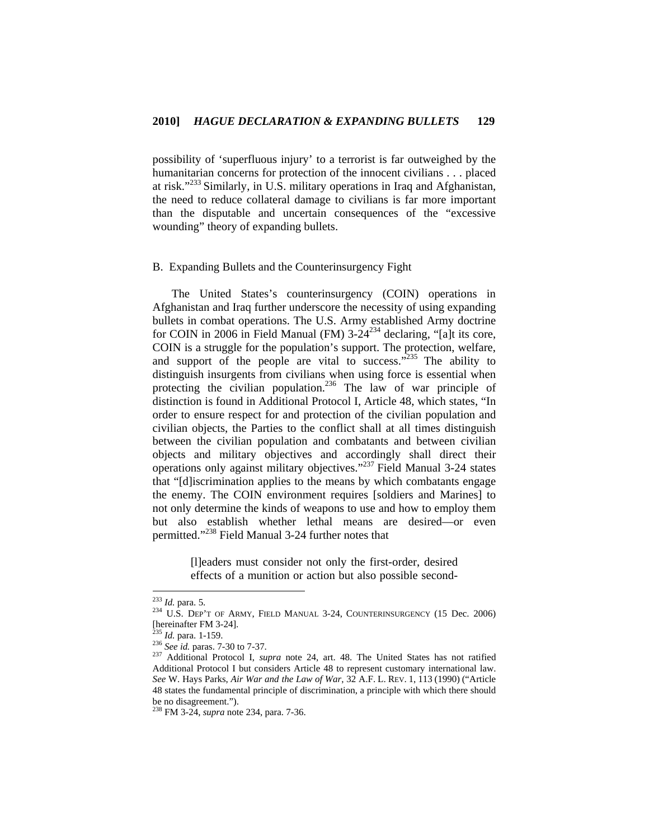possibility of 'superfluous injury' to a terrorist is far outweighed by the humanitarian concerns for protection of the innocent civilians . . . placed at risk."233 Similarly, in U.S. military operations in Iraq and Afghanistan, the need to reduce collateral damage to civilians is far more important than the disputable and uncertain consequences of the "excessive wounding" theory of expanding bullets.

### B. Expanding Bullets and the Counterinsurgency Fight

The United States's counterinsurgency (COIN) operations in Afghanistan and Iraq further underscore the necessity of using expanding bullets in combat operations. The U.S. Army established Army doctrine for COIN in 2006 in Field Manual (FM)  $3-24^{234}$  declaring, "[a]t its core, COIN is a struggle for the population's support. The protection, welfare, and support of the people are vital to success."<sup>235</sup> The ability to distinguish insurgents from civilians when using force is essential when protecting the civilian population.<sup>236</sup> The law of war principle of distinction is found in Additional Protocol I, Article 48, which states, "In order to ensure respect for and protection of the civilian population and civilian objects, the Parties to the conflict shall at all times distinguish between the civilian population and combatants and between civilian objects and military objectives and accordingly shall direct their operations only against military objectives."237 Field Manual 3-24 states that "[d]iscrimination applies to the means by which combatants engage the enemy. The COIN environment requires [soldiers and Marines] to not only determine the kinds of weapons to use and how to employ them but also establish whether lethal means are desired—or even permitted."238 Field Manual 3-24 further notes that

> [l]eaders must consider not only the first-order, desired effects of a munition or action but also possible second-

 $233$  *Id.* para. 5.

<sup>&</sup>lt;sup>234</sup> U.S. DEP'T OF ARMY, FIELD MANUAL 3-24, COUNTERINSURGENCY (15 Dec. 2006) [hereinafter FM 3-24].<br> $^{235}$  *Id.* para. 1-159.

<sup>&</sup>lt;sup>236</sup> See id. paras. 7-30 to 7-37.<br><sup>237</sup> Additional Protocol I, *supra* note 24, art. 48. The United States has not ratified Additional Protocol I but considers Article 48 to represent customary international law. *See* W. Hays Parks, *Air War and the Law of War*, 32 A.F. L. REV. 1, 113 (1990) ("Article 48 states the fundamental principle of discrimination, a principle with which there should be no disagreement.").

<sup>238</sup> FM 3-24, *supra* note 234, para. 7-36.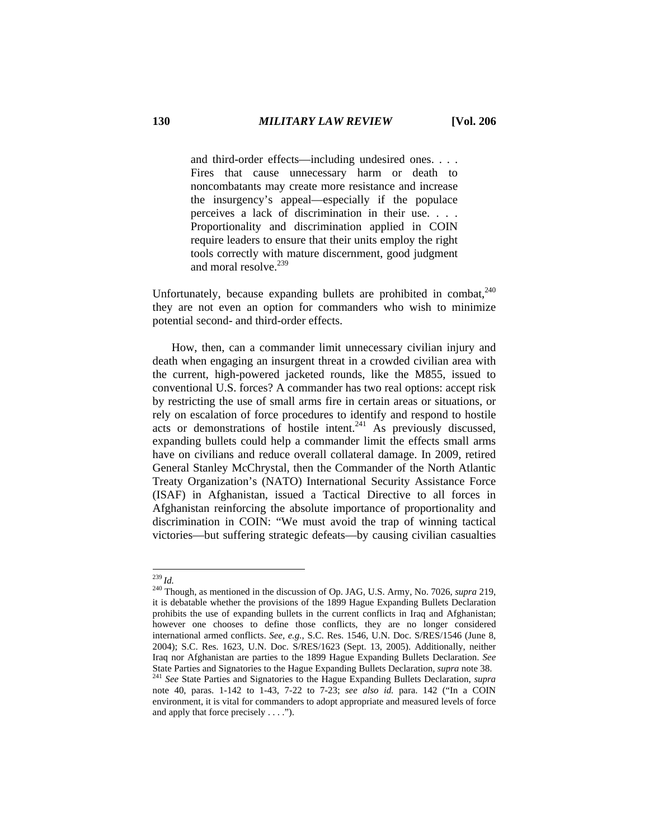and third-order effects—including undesired ones. . . . Fires that cause unnecessary harm or death to noncombatants may create more resistance and increase the insurgency's appeal—especially if the populace perceives a lack of discrimination in their use. . . . Proportionality and discrimination applied in COIN require leaders to ensure that their units employ the right tools correctly with mature discernment, good judgment and moral resolve  $^{239}$ 

Unfortunately, because expanding bullets are prohibited in combat. $240$ they are not even an option for commanders who wish to minimize potential second- and third-order effects.

How, then, can a commander limit unnecessary civilian injury and death when engaging an insurgent threat in a crowded civilian area with the current, high-powered jacketed rounds, like the M855, issued to conventional U.S. forces? A commander has two real options: accept risk by restricting the use of small arms fire in certain areas or situations, or rely on escalation of force procedures to identify and respond to hostile acts or demonstrations of hostile intent.<sup>241</sup> As previously discussed, expanding bullets could help a commander limit the effects small arms have on civilians and reduce overall collateral damage. In 2009, retired General Stanley McChrystal, then the Commander of the North Atlantic Treaty Organization's (NATO) International Security Assistance Force (ISAF) in Afghanistan, issued a Tactical Directive to all forces in Afghanistan reinforcing the absolute importance of proportionality and discrimination in COIN: "We must avoid the trap of winning tactical victories—but suffering strategic defeats—by causing civilian casualties

 $^{239}$  *Id.* 

<sup>239</sup>*Id.* 240 Though, as mentioned in the discussion of Op. JAG, U.S. Army, No. 7026, *supra* 219, it is debatable whether the provisions of the 1899 Hague Expanding Bullets Declaration prohibits the use of expanding bullets in the current conflicts in Iraq and Afghanistan; however one chooses to define those conflicts, they are no longer considered international armed conflicts. *See, e.g.*, S.C. Res. 1546, U.N. Doc. S/RES/1546 (June 8, 2004); S.C. Res. 1623, U.N. Doc. S/RES/1623 (Sept. 13, 2005). Additionally, neither Iraq nor Afghanistan are parties to the 1899 Hague Expanding Bullets Declaration. *See* State Parties and Signatories to the Hague Expanding Bullets Declaration, *supra* note 38. 241 *See* State Parties and Signatories to the Hague Expanding Bullets Declaration, *supra* 

note 40, paras. 1-142 to 1-43, 7-22 to 7-23; *see also id.* para. 142 ("In a COIN environment, it is vital for commanders to adopt appropriate and measured levels of force and apply that force precisely . . . .").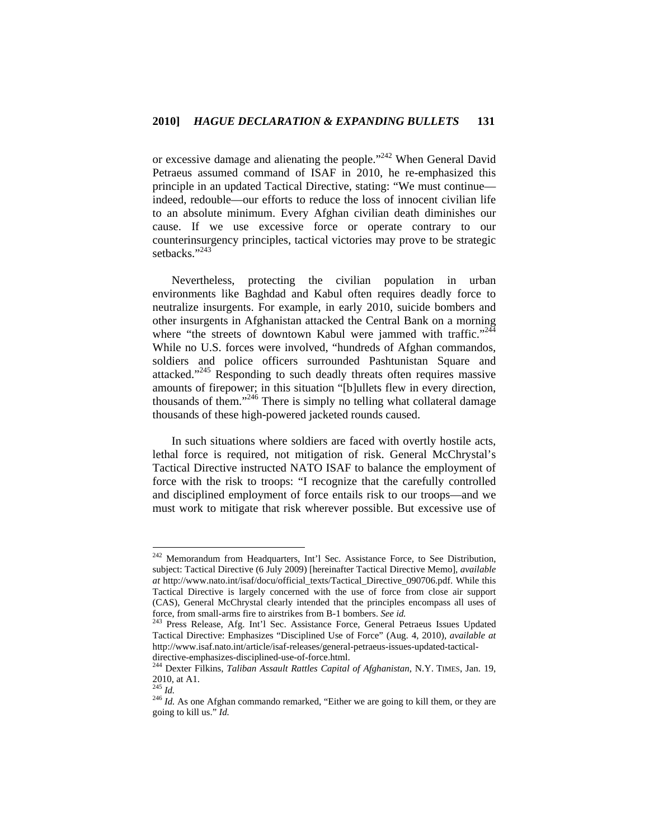or excessive damage and alienating the people."<sup>242</sup> When General David Petraeus assumed command of ISAF in 2010, he re-emphasized this principle in an updated Tactical Directive, stating: "We must continue indeed, redouble—our efforts to reduce the loss of innocent civilian life to an absolute minimum. Every Afghan civilian death diminishes our cause. If we use excessive force or operate contrary to our counterinsurgency principles, tactical victories may prove to be strategic setbacks."<sup>243</sup>

Nevertheless, protecting the civilian population in urban environments like Baghdad and Kabul often requires deadly force to neutralize insurgents. For example, in early 2010, suicide bombers and other insurgents in Afghanistan attacked the Central Bank on a morning where "the streets of downtown Kabul were jammed with traffic."<sup>244</sup> While no U.S. forces were involved, "hundreds of Afghan commandos, soldiers and police officers surrounded Pashtunistan Square and attacked."245 Responding to such deadly threats often requires massive amounts of firepower; in this situation "[b]ullets flew in every direction, thousands of them."<sup>246</sup> There is simply no telling what collateral damage thousands of these high-powered jacketed rounds caused.

In such situations where soldiers are faced with overtly hostile acts, lethal force is required, not mitigation of risk. General McChrystal's Tactical Directive instructed NATO ISAF to balance the employment of force with the risk to troops: "I recognize that the carefully controlled and disciplined employment of force entails risk to our troops—and we must work to mitigate that risk wherever possible. But excessive use of

<sup>&</sup>lt;sup>242</sup> Memorandum from Headquarters, Int'l Sec. Assistance Force, to See Distribution, subject: Tactical Directive (6 July 2009) [hereinafter Tactical Directive Memo], *available at* http://www.nato.int/isaf/docu/official\_texts/Tactical\_Directive\_090706.pdf. While this Tactical Directive is largely concerned with the use of force from close air support (CAS), General McChrystal clearly intended that the principles encompass all uses of force, from small-arms fire to airstrikes from B-1 bombers. *See id.* 243 Press Release, Afg. Int'l Sec. Assistance Force, General Petraeus Issues Updated

Tactical Directive: Emphasizes "Disciplined Use of Force" (Aug. 4, 2010), *available at* http://www.isaf.nato.int/article/isaf-releases/general-petraeus-issues-updated-tactical-

directive-emphasizes-disciplined-use-of-force.html. 244 Dexter Filkins, *Taliban Assault Rattles Capital of Afghanistan*, N.Y. TIMES, Jan. 19, 2010, at A1.<br> $^{245}$  *Id.* 

<sup>&</sup>lt;sup>246</sup> *Id.* As one Afghan commando remarked, "Either we are going to kill them, or they are going to kill us." *Id.*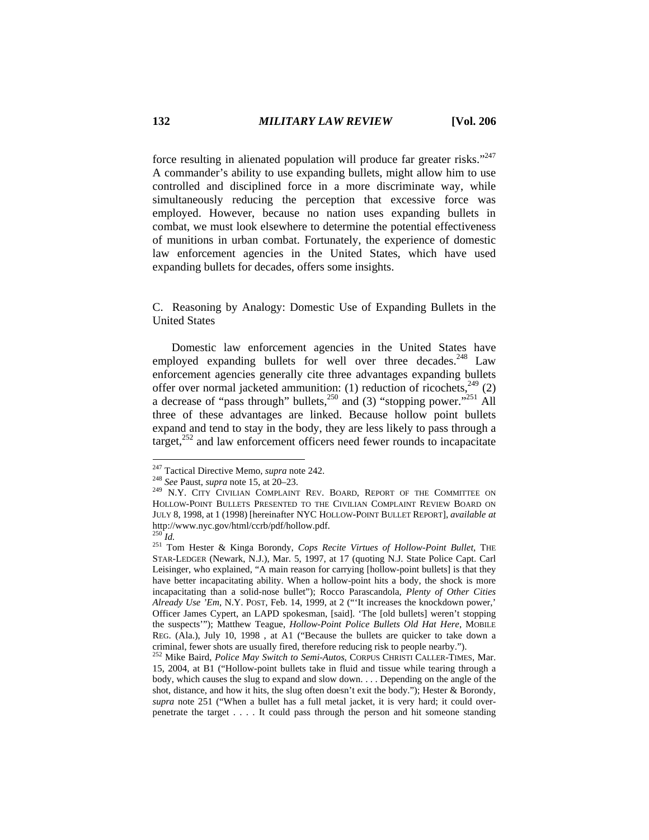force resulting in alienated population will produce far greater risks."<sup>247</sup> A commander's ability to use expanding bullets, might allow him to use controlled and disciplined force in a more discriminate way, while simultaneously reducing the perception that excessive force was employed. However, because no nation uses expanding bullets in combat, we must look elsewhere to determine the potential effectiveness of munitions in urban combat. Fortunately, the experience of domestic law enforcement agencies in the United States, which have used expanding bullets for decades, offers some insights.

C. Reasoning by Analogy: Domestic Use of Expanding Bullets in the United States

Domestic law enforcement agencies in the United States have employed expanding bullets for well over three decades.  $248$  Law enforcement agencies generally cite three advantages expanding bullets offer over normal jacketed ammunition: (1) reduction of ricochets,  $249$  (2) a decrease of "pass through" bullets,  $250$  and (3) "stopping power."<sup>251</sup> All three of these advantages are linked. Because hollow point bullets expand and tend to stay in the body, they are less likely to pass through a target, $^{252}$  and law enforcement officers need fewer rounds to incapacitate

<sup>&</sup>lt;sup>247</sup> Tactical Directive Memo, *supra* note 242.

<sup>&</sup>lt;sup>248</sup> See Paust, *supra* note 15, at 20–23. <sup>249</sup> N.Y. CITY CIVILIAN COMPLAINT REV. BOARD, REPORT OF THE COMMITTEE ON HOLLOW-POINT BULLETS PRESENTED TO THE CIVILIAN COMPLAINT REVIEW BOARD ON JULY 8, 1998, at 1 (1998) [hereinafter NYC HOLLOW-POINT BULLET REPORT], *available at*  http://www.nyc.gov/html/ccrb/pdf/hollow.pdf.

<sup>&</sup>lt;sup>251</sup> Tom Hester & Kinga Borondy, *Cops Recite Virtues of Hollow-Point Bullet*, THE STAR-LEDGER (Newark, N.J.), Mar. 5, 1997, at 17 (quoting N.J. State Police Capt. Carl Leisinger, who explained, "A main reason for carrying [hollow-point bullets] is that they have better incapacitating ability. When a hollow-point hits a body, the shock is more incapacitating than a solid-nose bullet"); Rocco Parascandola, *Plenty of Other Cities Already Use 'Em*, N.Y. POST, Feb. 14, 1999, at 2 ("'It increases the knockdown power,' Officer James Cypert, an LAPD spokesman, [said]. 'The [old bullets] weren't stopping the suspects'"); Matthew Teague, *Hollow-Point Police Bullets Old Hat Here*, MOBILE REG. (Ala.), July 10, 1998 , at A1 ("Because the bullets are quicker to take down a

criminal, fewer shots are usually fired, therefore reducing risk to people nearby."). 252 Mike Baird, *Police May Switch to Semi-Autos*, CORPUS CHRISTI CALLER-TIMES, Mar. 15, 2004, at B1 ("Hollow-point bullets take in fluid and tissue while tearing through a body, which causes the slug to expand and slow down. . . . Depending on the angle of the shot, distance, and how it hits, the slug often doesn't exit the body."); Hester & Borondy, *supra* note 251 ("When a bullet has a full metal jacket, it is very hard; it could overpenetrate the target . . . . It could pass through the person and hit someone standing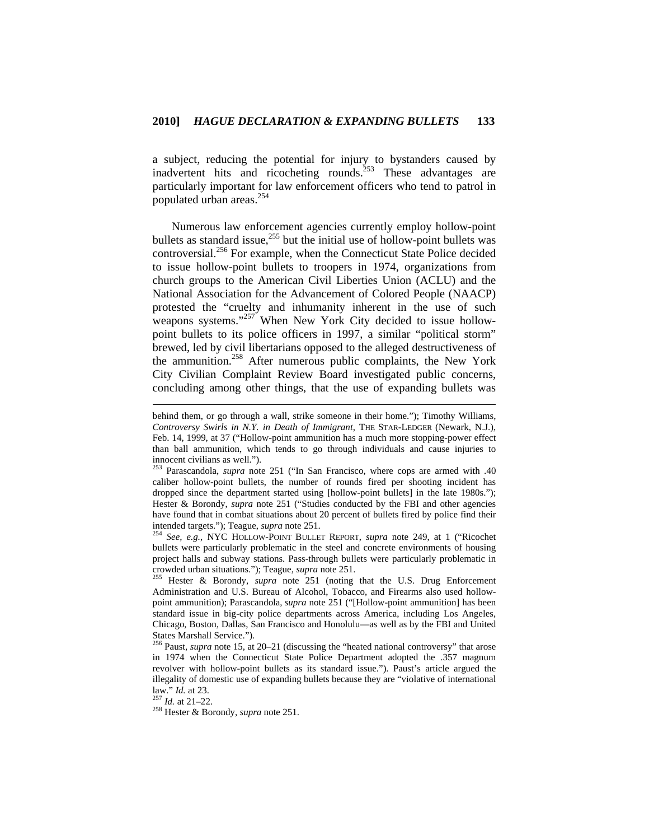a subject, reducing the potential for injury to bystanders caused by inadvertent hits and ricocheting rounds.<sup>253</sup> These advantages are particularly important for law enforcement officers who tend to patrol in populated urban areas.<sup>254</sup>

Numerous law enforcement agencies currently employ hollow-point bullets as standard issue,<sup>255</sup> but the initial use of hollow-point bullets was controversial.256 For example, when the Connecticut State Police decided to issue hollow-point bullets to troopers in 1974, organizations from church groups to the American Civil Liberties Union (ACLU) and the National Association for the Advancement of Colored People (NAACP) protested the "cruelty and inhumanity inherent in the use of such weapons systems."<sup>257</sup> When New York City decided to issue hollowpoint bullets to its police officers in 1997, a similar "political storm" brewed, led by civil libertarians opposed to the alleged destructiveness of the ammunition.<sup>258</sup> After numerous public complaints, the New York City Civilian Complaint Review Board investigated public concerns, concluding among other things, that the use of expanding bullets was

bullets were particularly problematic in the steel and concrete environments of housing project halls and subway stations. Pass-through bullets were particularly problematic in crowded urban situations."); Teague, *supra* note 251. 255 Hester & Borondy, *supra* note 251 (noting that the U.S. Drug Enforcement

Administration and U.S. Bureau of Alcohol, Tobacco, and Firearms also used hollowpoint ammunition); Parascandola, *supra* note 251 ("[Hollow-point ammunition] has been standard issue in big-city police departments across America, including Los Angeles, Chicago, Boston, Dallas, San Francisco and Honolulu—as well as by the FBI and United States Marshall Service.").

256 Paust, *supra* note 15, at 20–21 (discussing the "heated national controversy" that arose in 1974 when the Connecticut State Police Department adopted the .357 magnum revolver with hollow-point bullets as its standard issue."). Paust's article argued the illegality of domestic use of expanding bullets because they are "violative of international law." *Id.* at 23. 257 *Id.* at 21–22. 258 Hester & Borondy, *supra* note 251.

behind them, or go through a wall, strike someone in their home."); Timothy Williams, *Controversy Swirls in N.Y. in Death of Immigrant*, THE STAR-LEDGER (Newark, N.J.), Feb. 14, 1999, at 37 ("Hollow-point ammunition has a much more stopping-power effect than ball ammunition, which tends to go through individuals and cause injuries to innocent civilians as well.").

<sup>253</sup> Parascandola, *supra* note 251 ("In San Francisco, where cops are armed with .40 caliber hollow-point bullets, the number of rounds fired per shooting incident has dropped since the department started using [hollow-point bullets] in the late 1980s."); Hester & Borondy, *supra* note 251 ("Studies conducted by the FBI and other agencies have found that in combat situations about 20 percent of bullets fired by police find their intended targets."); Teague, *supra* note 251. 254 *See, e.g.*, NYC HOLLOW-POINT BULLET REPORT, *supra* note 249, at 1 ("Ricochet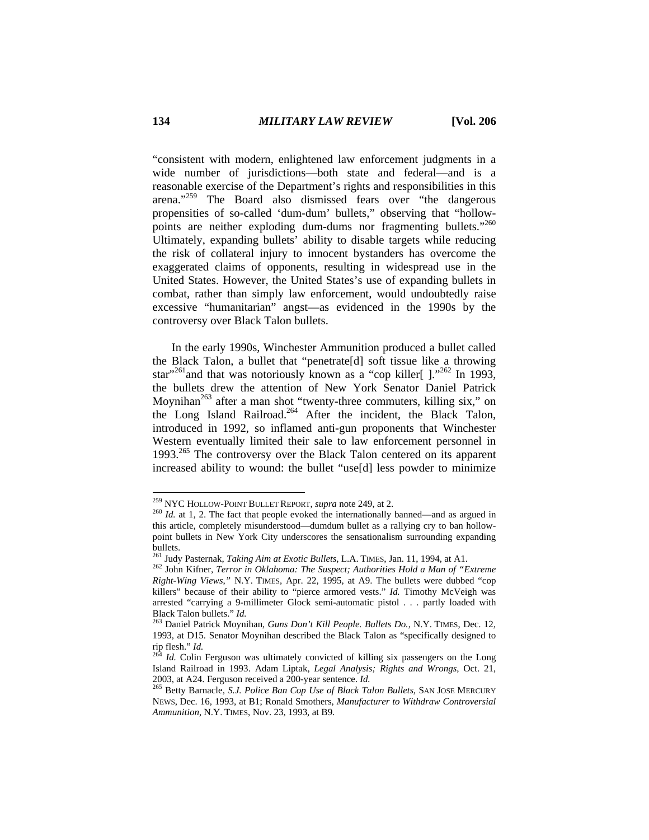"consistent with modern, enlightened law enforcement judgments in a wide number of jurisdictions—both state and federal—and is a reasonable exercise of the Department's rights and responsibilities in this arena."259 The Board also dismissed fears over "the dangerous propensities of so-called 'dum-dum' bullets," observing that "hollowpoints are neither exploding dum-dums nor fragmenting bullets."<sup>260</sup> Ultimately, expanding bullets' ability to disable targets while reducing the risk of collateral injury to innocent bystanders has overcome the exaggerated claims of opponents, resulting in widespread use in the United States. However, the United States's use of expanding bullets in combat, rather than simply law enforcement, would undoubtedly raise excessive "humanitarian" angst—as evidenced in the 1990s by the controversy over Black Talon bullets.

In the early 1990s, Winchester Ammunition produced a bullet called the Black Talon, a bullet that "penetrate[d] soft tissue like a throwing star"<sup>261</sup>and that was notoriously known as a "cop killer[  $\cdot$ <sup>262</sup> In 1993, the bullets drew the attention of New York Senator Daniel Patrick Moynihan<sup>263</sup> after a man shot "twenty-three commuters, killing six," on the Long Island Railroad.<sup>264</sup> After the incident, the Black Talon, introduced in 1992, so inflamed anti-gun proponents that Winchester Western eventually limited their sale to law enforcement personnel in 1993.<sup>265</sup> The controversy over the Black Talon centered on its apparent increased ability to wound: the bullet "use[d] less powder to minimize

<sup>&</sup>lt;sup>259</sup> NYC HOLLOW-POINT BULLET REPORT, *supra* note 249, at 2.

<sup>&</sup>lt;sup>260</sup> Id. at 1, 2. The fact that people evoked the internationally banned—and as argued in this article, completely misunderstood—dumdum bullet as a rallying cry to ban hollowpoint bullets in New York City underscores the sensationalism surrounding expanding bullets.

<sup>261</sup> Judy Pasternak, *Taking Aim at Exotic Bullets,* L.A. TIMES, Jan. 11, 1994, at A1. 262 John Kifner, *Terror in Oklahoma: The Suspect; Authorities Hold a Man of "Extreme Right-Wing Views*,*"* N.Y. TIMES, Apr. 22, 1995, at A9. The bullets were dubbed "cop killers" because of their ability to "pierce armored vests." *Id.* Timothy McVeigh was arrested "carrying a 9-millimeter Glock semi-automatic pistol . . . partly loaded with Black Talon bullets." *Id.* 263 Daniel Patrick Moynihan, *Guns Don't Kill People. Bullets Do.*, N.Y. TIMES, Dec. 12,

<sup>1993,</sup> at D15. Senator Moynihan described the Black Talon as "specifically designed to<br>rip flesh." *Id.*<br> $^{264}$  *Id.* Colin Ferguson was ultimately convicted of billing air personnels on the Later

*Id.* Colin Ferguson was ultimately convicted of killing six passengers on the Long Island Railroad in 1993. Adam Liptak, *Legal Analysis; Rights and Wrongs*, Oct. 21, 2003, at A24. Ferguson received a 200-year sentence. *Id.* 265 Betty Barnacle, *S.J. Police Ban Cop Use of Black Talon Bullets*, SAN JOSE MERCURY

NEWS, Dec. 16, 1993, at B1; Ronald Smothers, *Manufacturer to Withdraw Controversial Ammunition*, N.Y. TIMES, Nov. 23, 1993, at B9.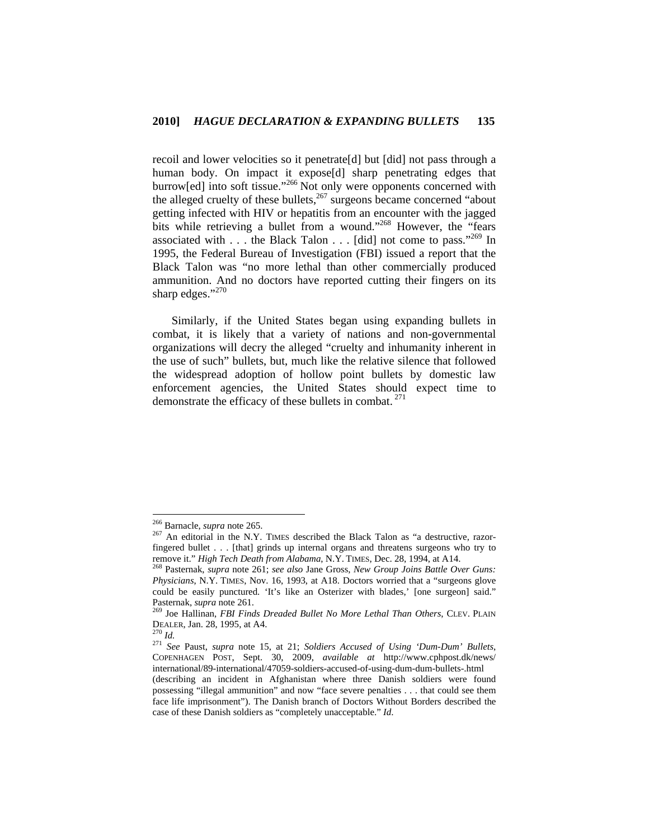recoil and lower velocities so it penetrate[d] but [did] not pass through a human body. On impact it expose[d] sharp penetrating edges that burrow[ed] into soft tissue."<sup>266</sup> Not only were opponents concerned with the alleged cruelty of these bullets,  $267$  surgeons became concerned "about getting infected with HIV or hepatitis from an encounter with the jagged bits while retrieving a bullet from a wound."<sup>268</sup> However, the "fears" associated with  $\dots$  the Black Talon  $\dots$  [did] not come to pass."<sup>269</sup> In 1995, the Federal Bureau of Investigation (FBI) issued a report that the Black Talon was "no more lethal than other commercially produced ammunition. And no doctors have reported cutting their fingers on its sharp edges." $270$ 

Similarly, if the United States began using expanding bullets in combat, it is likely that a variety of nations and non-governmental organizations will decry the alleged "cruelty and inhumanity inherent in the use of such" bullets, but, much like the relative silence that followed the widespread adoption of hollow point bullets by domestic law enforcement agencies, the United States should expect time to demonstrate the efficacy of these bullets in combat.  $271$ 

<sup>&</sup>lt;sup>266</sup> Barnacle, *supra* note 265.<br><sup>267</sup> An editorial in the N.Y. TIMES described the Black Talon as "a destructive, razorfingered bullet . . . [that] grinds up internal organs and threatens surgeons who try to remove it." *High Tech Death from Alabama*, N.Y. TIMES, Dec. 28, 1994, at A14. 268 Pasternak, *supra* note 261; *see also* Jane Gross, *New Group Joins Battle Over Guns:* 

*Physicians*, N.Y. TIMES, Nov. 16, 1993, at A18. Doctors worried that a "surgeons glove could be easily punctured. 'It's like an Osterizer with blades,' [one surgeon] said." Pasternak, *supra* note 261.<br><sup>269</sup> Joe Hallinan, *FBI Finds Dreaded Bullet No More Lethal Than Others*, CLEV. PLAIN

DEALER, Jan. 28, 1995, at A4. 270 *Id.* <sup>271</sup> *See* Paust, *supra* note 15, at 21; *Soldiers Accused of Using 'Dum-Dum' Bullets*, COPENHAGEN POST, Sept. 30, 2009, *available at* http://www.cphpost.dk/news/ international/89-international/47059-soldiers-accused-of-using-dum-dum-bullets-.html

<sup>(</sup>describing an incident in Afghanistan where three Danish soldiers were found possessing "illegal ammunition" and now "face severe penalties . . . that could see them face life imprisonment"). The Danish branch of Doctors Without Borders described the case of these Danish soldiers as "completely unacceptable." *Id*.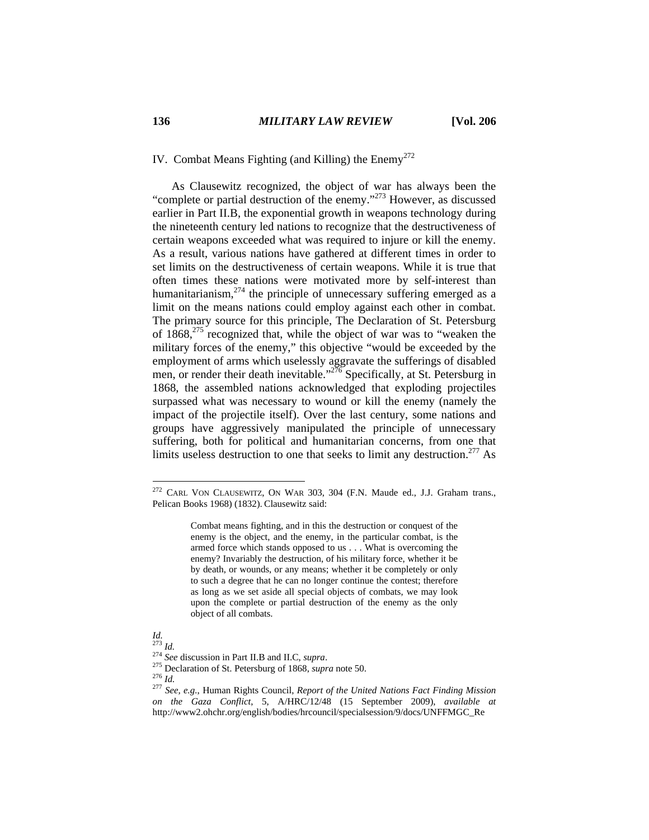IV. Combat Means Fighting (and Killing) the  $\text{Enemy}^{272}$ 

As Clausewitz recognized, the object of war has always been the "complete or partial destruction of the enemy."273 However, as discussed earlier in Part II.B, the exponential growth in weapons technology during the nineteenth century led nations to recognize that the destructiveness of certain weapons exceeded what was required to injure or kill the enemy. As a result, various nations have gathered at different times in order to set limits on the destructiveness of certain weapons. While it is true that often times these nations were motivated more by self-interest than humanitarianism, $274$  the principle of unnecessary suffering emerged as a limit on the means nations could employ against each other in combat. The primary source for this principle, The Declaration of St. Petersburg of 1868,275 recognized that, while the object of war was to "weaken the military forces of the enemy," this objective "would be exceeded by the employment of arms which uselessly aggravate the sufferings of disabled men, or render their death inevitable."<sup> $276$ </sup> Specifically, at St. Petersburg in 1868, the assembled nations acknowledged that exploding projectiles surpassed what was necessary to wound or kill the enemy (namely the impact of the projectile itself). Over the last century, some nations and groups have aggressively manipulated the principle of unnecessary suffering, both for political and humanitarian concerns, from one that limits useless destruction to one that seeks to limit any destruction.<sup>277</sup> As

 $272$  CARL VON CLAUSEWITZ, ON WAR 303, 304 (F.N. Maude ed., J.J. Graham trans., Pelican Books 1968) (1832). Clausewitz said:

Combat means fighting, and in this the destruction or conquest of the enemy is the object, and the enemy, in the particular combat, is the armed force which stands opposed to us . . . What is overcoming the enemy? Invariably the destruction, of his military force, whether it be by death, or wounds, or any means; whether it be completely or only to such a degree that he can no longer continue the contest; therefore as long as we set aside all special objects of combats, we may look upon the complete or partial destruction of the enemy as the only object of all combats.

*Id.* 

<sup>&</sup>lt;sup>274</sup> See discussion in Part II.B and II.C, *supra*.<br><sup>275</sup> Declaration of St. Petersburg of 1868, *supra* note 50.<br><sup>275</sup> Id.<br><sup>276</sup> Id. <sup>277</sup> See, e.g., Human Rights Council, *Report of the United Nations Fact Finding Miss on the Gaza Conflict*, 5, A/HRC/12/48 (15 September 2009), *available at*  http://www2.ohchr.org/english/bodies/hrcouncil/specialsession/9/docs/UNFFMGC\_Re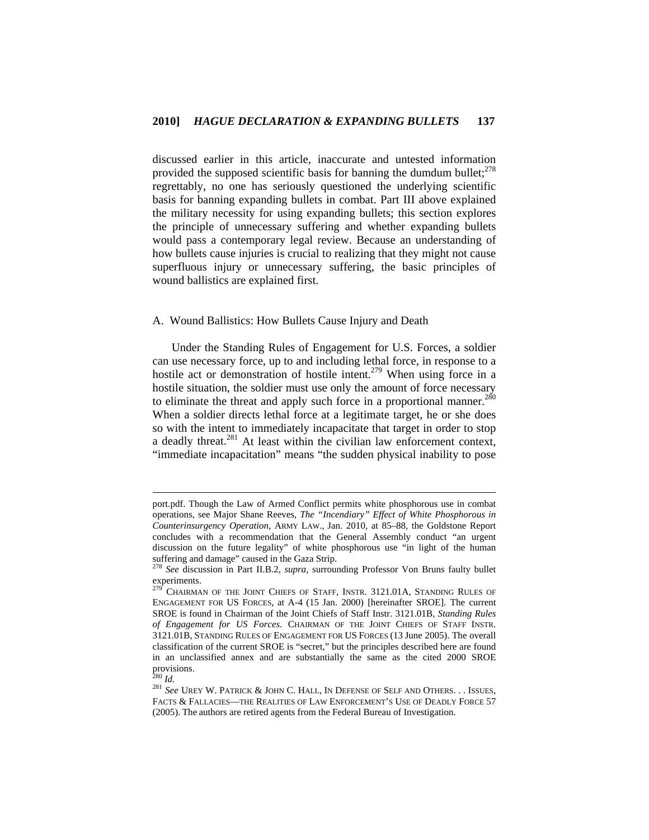discussed earlier in this article, inaccurate and untested information provided the supposed scientific basis for banning the dumdum bullet; $^{278}$ regrettably, no one has seriously questioned the underlying scientific basis for banning expanding bullets in combat. Part III above explained the military necessity for using expanding bullets; this section explores the principle of unnecessary suffering and whether expanding bullets would pass a contemporary legal review. Because an understanding of how bullets cause injuries is crucial to realizing that they might not cause superfluous injury or unnecessary suffering, the basic principles of wound ballistics are explained first.

# A. Wound Ballistics: How Bullets Cause Injury and Death

Under the Standing Rules of Engagement for U.S. Forces, a soldier can use necessary force, up to and including lethal force, in response to a hostile act or demonstration of hostile intent.<sup>279</sup> When using force in a hostile situation, the soldier must use only the amount of force necessary to eliminate the threat and apply such force in a proportional manner.<sup>280</sup> When a soldier directs lethal force at a legitimate target, he or she does so with the intent to immediately incapacitate that target in order to stop a deadly threat.<sup>281</sup> At least within the civilian law enforcement context, "immediate incapacitation" means "the sudden physical inability to pose

port.pdf. Though the Law of Armed Conflict permits white phosphorous use in combat operations, see Major Shane Reeves, *The "Incendiary" Effect of White Phosphorous in Counterinsurgency Operation*, ARMY LAW., Jan. 2010, at 85–88, the Goldstone Report concludes with a recommendation that the General Assembly conduct "an urgent discussion on the future legality" of white phosphorous use "in light of the human suffering and damage" caused in the Gaza Strip.

<sup>278</sup> *See* discussion in Part II.B.2, *supra*, surrounding Professor Von Bruns faulty bullet experiments.

CHAIRMAN OF THE JOINT CHIEFS OF STAFF, INSTR. 3121.01A, STANDING RULES OF ENGAGEMENT FOR US FORCES, at A-4 (15 Jan. 2000) [hereinafter SROE]. The current SROE is found in Chairman of the Joint Chiefs of Staff Instr. 3121.01B, *Standing Rules of Engagement for US Forces*. CHAIRMAN OF THE JOINT CHIEFS OF STAFF INSTR. 3121.01B, STANDING RULES OF ENGAGEMENT FOR US FORCES (13 June 2005). The overall classification of the current SROE is "secret," but the principles described here are found in an unclassified annex and are substantially the same as the cited 2000 SROE provisions.<br> $^{280}$  *Id.* 

 $^{281}$   $See$  UREY W. PATRICK  $\&$  JOHN C. HALL, IN DEFENSE OF SELF AND OTHERS. . . ISSUES, FACTS & FALLACIES—THE REALITIES OF LAW ENFORCEMENT'S USE OF DEADLY FORCE 57 (2005). The authors are retired agents from the Federal Bureau of Investigation.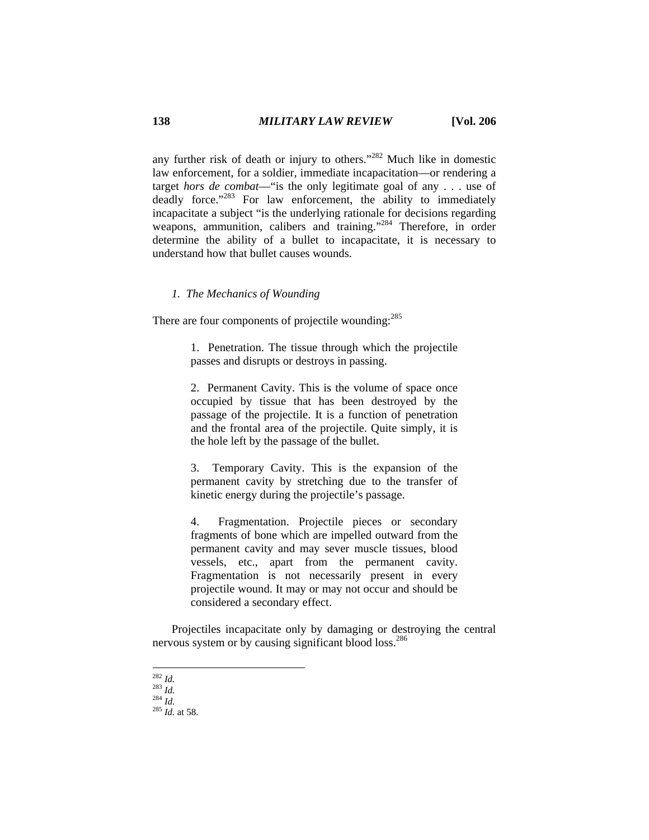any further risk of death or injury to others."282 Much like in domestic law enforcement, for a soldier, immediate incapacitation—or rendering a target *hors de combat*—"is the only legitimate goal of any . . . use of deadly force."<sup>283</sup> For law enforcement, the ability to immediately incapacitate a subject "is the underlying rationale for decisions regarding weapons, ammunition, calibers and training."<sup>284</sup> Therefore, in order determine the ability of a bullet to incapacitate, it is necessary to understand how that bullet causes wounds.

# *1. The Mechanics of Wounding*

There are four components of projectile wounding:<sup>285</sup>

1. Penetration. The tissue through which the projectile passes and disrupts or destroys in passing.

2. Permanent Cavity. This is the volume of space once occupied by tissue that has been destroyed by the passage of the projectile. It is a function of penetration and the frontal area of the projectile. Quite simply, it is the hole left by the passage of the bullet.

3. Temporary Cavity. This is the expansion of the permanent cavity by stretching due to the transfer of kinetic energy during the projectile's passage.

4. Fragmentation. Projectile pieces or secondary fragments of bone which are impelled outward from the permanent cavity and may sever muscle tissues, blood vessels, etc., apart from the permanent cavity. Fragmentation is not necessarily present in every projectile wound. It may or may not occur and should be considered a secondary effect.

Projectiles incapacitate only by damaging or destroying the central nervous system or by causing significant blood loss.<sup>286</sup>

 $^{282}$  *Id.* 

<sup>282</sup> *Id.* <sup>283</sup> *Id.* <sup>284</sup> *Id.* <sup>285</sup> *Id.* at 58.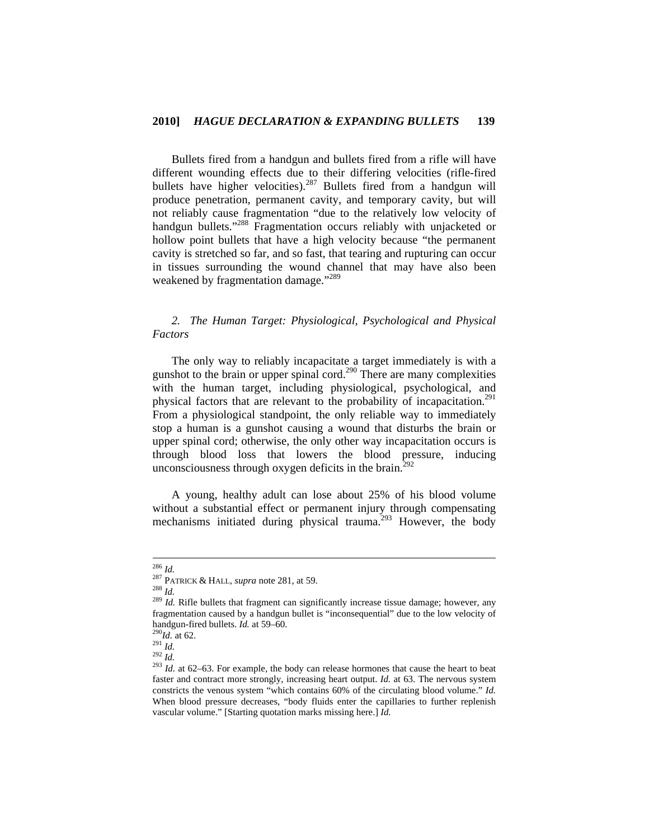Bullets fired from a handgun and bullets fired from a rifle will have different wounding effects due to their differing velocities (rifle-fired bullets have higher velocities).<sup>287</sup> Bullets fired from a handgun will produce penetration, permanent cavity, and temporary cavity, but will not reliably cause fragmentation "due to the relatively low velocity of handgun bullets."<sup>288</sup> Fragmentation occurs reliably with unjacketed or hollow point bullets that have a high velocity because "the permanent cavity is stretched so far, and so fast, that tearing and rupturing can occur in tissues surrounding the wound channel that may have also been weakened by fragmentation damage."<sup>289</sup>

# *2. The Human Target: Physiological, Psychological and Physical Factors*

The only way to reliably incapacitate a target immediately is with a gunshot to the brain or upper spinal cord.<sup>290</sup> There are many complexities with the human target, including physiological, psychological, and physical factors that are relevant to the probability of incapacitation.<sup>291</sup> From a physiological standpoint, the only reliable way to immediately stop a human is a gunshot causing a wound that disturbs the brain or upper spinal cord; otherwise, the only other way incapacitation occurs is through blood loss that lowers the blood pressure, inducing unconsciousness through oxygen deficits in the brain.<sup>292</sup>

A young, healthy adult can lose about 25% of his blood volume without a substantial effect or permanent injury through compensating mechanisms initiated during physical trauma.<sup>293</sup> However, the body

 $186$  *Id.* 

<sup>&</sup>lt;sup>287</sup> PATRICK & HALL, *supra* note 281, at 59.<br><sup>288</sup> *Id.* 289 *Id.* Rifle bullets that fragment can significantly increase tissue damage; however, any fragmentation caused by a handgun bullet is "inconsequential" due to the low velocity of handgun-fired bullets. *Id.* at 59–60.<br><sup>290</sup>*Id.* at 62.<br><sup>291</sup>*Id.* <sup>292</sup>*Id. at* 62–63. For example, the body can release hormones that cause the heart to beat  $^{293}$  *Id.* at 62–63. For example, the body can release h

faster and contract more strongly, increasing heart output. *Id.* at 63. The nervous system constricts the venous system "which contains 60% of the circulating blood volume." *Id.*  When blood pressure decreases, "body fluids enter the capillaries to further replenish vascular volume." [Starting quotation marks missing here.] *Id.*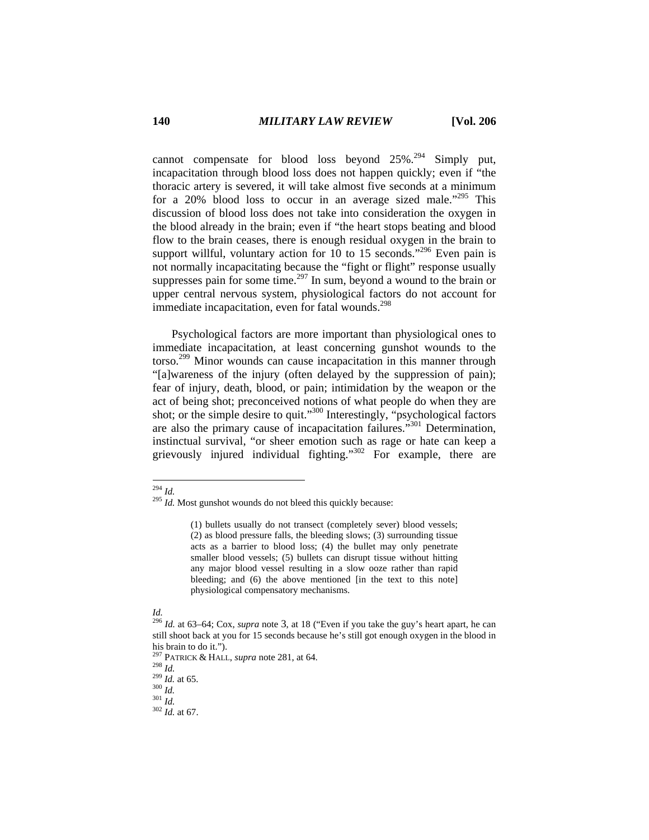cannot compensate for blood loss beyond  $25\%$ <sup>294</sup> Simply put, incapacitation through blood loss does not happen quickly; even if "the thoracic artery is severed, it will take almost five seconds at a minimum for a 20% blood loss to occur in an average sized male.<sup> $20\%$ </sup> This discussion of blood loss does not take into consideration the oxygen in the blood already in the brain; even if "the heart stops beating and blood flow to the brain ceases, there is enough residual oxygen in the brain to support willful, voluntary action for 10 to 15 seconds."<sup>296</sup> Even pain is not normally incapacitating because the "fight or flight" response usually suppresses pain for some time.<sup>297</sup> In sum, beyond a wound to the brain or upper central nervous system, physiological factors do not account for immediate incapacitation, even for fatal wounds. $298$ 

Psychological factors are more important than physiological ones to immediate incapacitation, at least concerning gunshot wounds to the torso.299 Minor wounds can cause incapacitation in this manner through "[a]wareness of the injury (often delayed by the suppression of pain); fear of injury, death, blood, or pain; intimidation by the weapon or the act of being shot; preconceived notions of what people do when they are shot; or the simple desire to quit."300 Interestingly, "psychological factors are also the primary cause of incapacitation failures."301 Determination, instinctual survival, "or sheer emotion such as rage or hate can keep a grievously injured individual fighting."<sup>302</sup> For example, there are

 $^{294}$  *Id.* 

 $295$  *Id.* Most gunshot wounds do not bleed this quickly because:

<sup>(1)</sup> bullets usually do not transect (completely sever) blood vessels; (2) as blood pressure falls, the bleeding slows; (3) surrounding tissue acts as a barrier to blood loss; (4) the bullet may only penetrate smaller blood vessels; (5) bullets can disrupt tissue without hitting any major blood vessel resulting in a slow ooze rather than rapid bleeding; and (6) the above mentioned [in the text to this note] physiological compensatory mechanisms.

*Id.* 296 *Id.* at 63–64; Cox, *supra* note 3, at 18 ("Even if you take the guy's heart apart, he can still shoot back at you for 15 seconds because he's still got enough oxygen in the blood in his brain to do it.").

<sup>297</sup> PATRICK & HALL, *supra* note 281, at 64. 298 *Id.* <sup>299</sup> *Id.* at 65. 300 *Id.* <sup>301</sup> *Id.* <sup>302</sup> *Id.* at 67.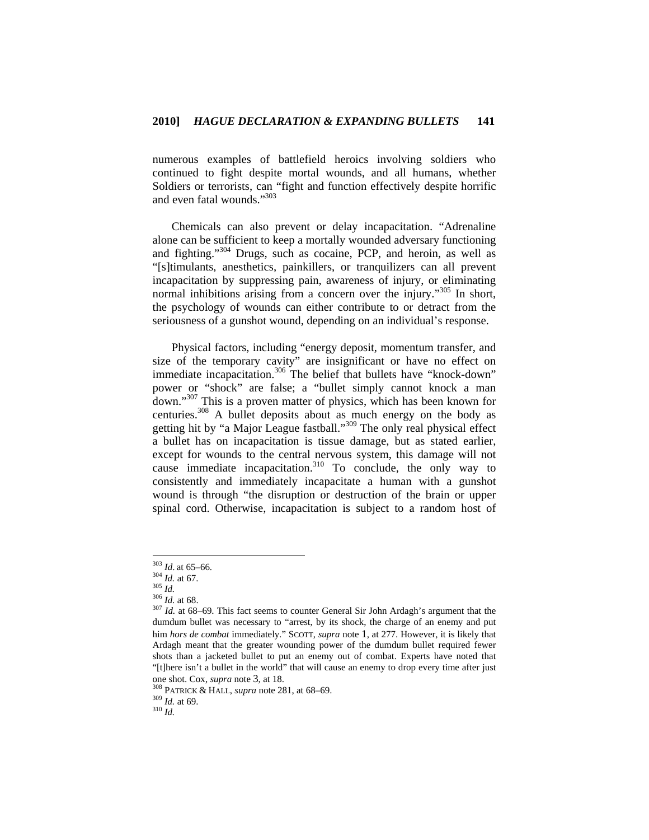numerous examples of battlefield heroics involving soldiers who continued to fight despite mortal wounds, and all humans, whether Soldiers or terrorists, can "fight and function effectively despite horrific and even fatal wounds."303

Chemicals can also prevent or delay incapacitation. "Adrenaline alone can be sufficient to keep a mortally wounded adversary functioning and fighting."304 Drugs, such as cocaine, PCP, and heroin, as well as "[s]timulants, anesthetics, painkillers, or tranquilizers can all prevent incapacitation by suppressing pain, awareness of injury, or eliminating normal inhibitions arising from a concern over the injury."<sup>305</sup> In short, the psychology of wounds can either contribute to or detract from the seriousness of a gunshot wound, depending on an individual's response.

Physical factors, including "energy deposit, momentum transfer, and size of the temporary cavity" are insignificant or have no effect on immediate incapacitation.<sup>306</sup> The belief that bullets have "knock-down" power or "shock" are false; a "bullet simply cannot knock a man down."307 This is a proven matter of physics, which has been known for centuries.<sup>308</sup> A bullet deposits about as much energy on the body as getting hit by "a Major League fastball."309 The only real physical effect a bullet has on incapacitation is tissue damage, but as stated earlier, except for wounds to the central nervous system, this damage will not cause immediate incapacitation.<sup>310</sup> To conclude, the only way to consistently and immediately incapacitate a human with a gunshot wound is through "the disruption or destruction of the brain or upper spinal cord. Otherwise, incapacitation is subject to a random host of

 $303$  *Id.* at 65-66.

<sup>304</sup> *Id.* at 67. 305 *Id.* at 67. 305 *Id.* at 68. 306 *Id.* at 68. 306 *Id.* at 68. 306 *Id.* at 68–69. This fact seems to counter General Sir John Ardagh's argument that the dumdum bullet was necessary to "arrest, by its shock, the charge of an enemy and put him *hors de combat* immediately*.*" SCOTT, *supra* note 1, at 277. However, it is likely that Ardagh meant that the greater wounding power of the dumdum bullet required fewer shots than a jacketed bullet to put an enemy out of combat. Experts have noted that "[t]here isn't a bullet in the world" that will cause an enemy to drop every time after just one shot. Cox, *supra* note 3, at 18.<br><sup>308</sup> PATRICK & HALL, *supra* note 281, at 68–69.<br><sup>309</sup> *Id.* at 69.<br><sup>310</sup> *Id.*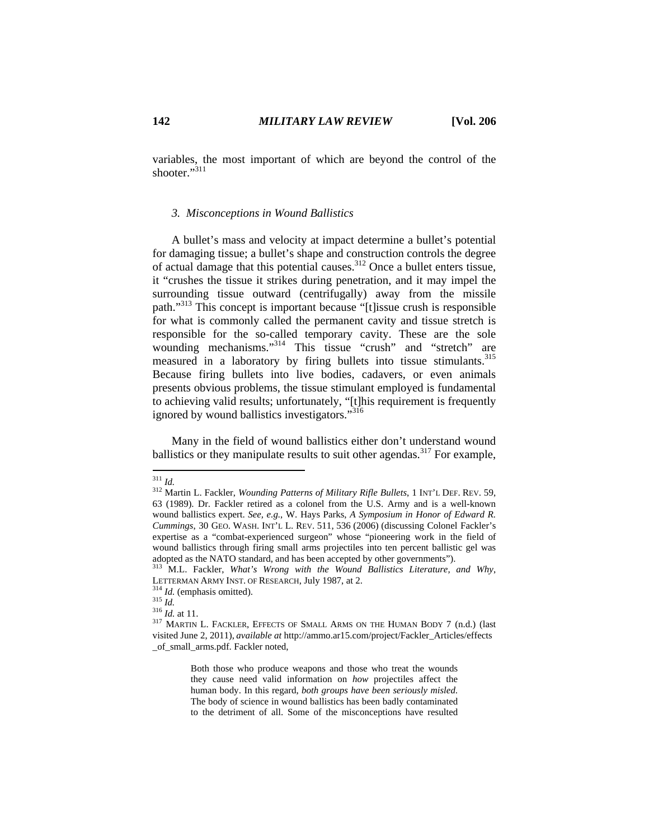variables, the most important of which are beyond the control of the shooter."311

# *3. Misconceptions in Wound Ballistics*

A bullet's mass and velocity at impact determine a bullet's potential for damaging tissue; a bullet's shape and construction controls the degree of actual damage that this potential causes.312 Once a bullet enters tissue, it "crushes the tissue it strikes during penetration, and it may impel the surrounding tissue outward (centrifugally) away from the missile path."313 This concept is important because "[t]issue crush is responsible for what is commonly called the permanent cavity and tissue stretch is responsible for the so-called temporary cavity. These are the sole wounding mechanisms."<sup>314</sup> This tissue "crush" and "stretch" are measured in a laboratory by firing bullets into tissue stimulants.<sup>315</sup> Because firing bullets into live bodies, cadavers, or even animals presents obvious problems, the tissue stimulant employed is fundamental to achieving valid results; unfortunately, "[t]his requirement is frequently ignored by wound ballistics investigators."<sup>316</sup>

Many in the field of wound ballistics either don't understand wound ballistics or they manipulate results to suit other agendas.<sup>317</sup> For example,

Both those who produce weapons and those who treat the wounds they cause need valid information on *how* projectiles affect the human body. In this regard, *both groups have been seriously misled*. The body of science in wound ballistics has been badly contaminated to the detriment of all. Some of the misconceptions have resulted

 $311$  *Id.* 

<sup>&</sup>lt;sup>312</sup> Martin L. Fackler, *Wounding Patterns of Military Rifle Bullets*, 1 INT'L DEF. REV. 59, 63 (1989). Dr. Fackler retired as a colonel from the U.S. Army and is a well-known wound ballistics expert. *See, e.g.*, W. Hays Parks, *A Symposium in Honor of Edward R. Cummings*, 30 GEO. WASH. INT'L L. REV. 511, 536 (2006) (discussing Colonel Fackler's expertise as a "combat-experienced surgeon" whose "pioneering work in the field of wound ballistics through firing small arms projectiles into ten percent ballistic gel was adopted as the NATO standard, and has been accepted by other governments"). 313 M.L. Fackler, *What's Wrong with the Wound Ballistics Literature, and Why*,

LETTERMAN ARMY INST. OF RESEARCH, July 1987, at 2.<br><sup>314</sup> *Id.* (emphasis omitted). <sup>315</sup> *Id.* at 11.<br><sup>316</sup> *Id.* at 11. <br><sup>317</sup> MARTIN L. FACKLER, EFFECTS OF SMALL ARMS ON THE HUMAN BODY 7 (n.d.) (last

visited June 2, 2011), *available at* http://ammo.ar15.com/project/Fackler\_Articles/effects \_of\_small\_arms.pdf. Fackler noted,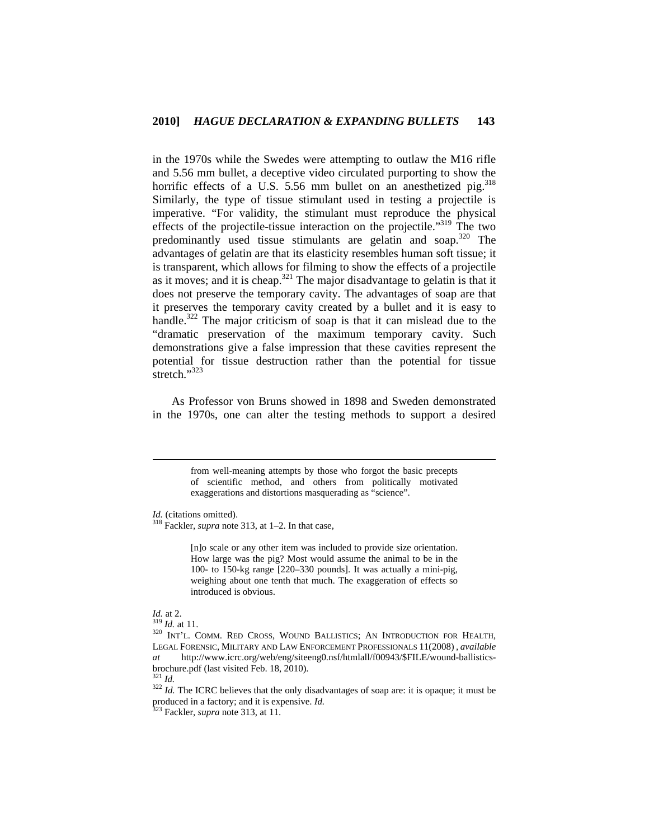in the 1970s while the Swedes were attempting to outlaw the M16 rifle and 5.56 mm bullet, a deceptive video circulated purporting to show the horrific effects of a U.S. 5.56 mm bullet on an anesthetized pig.  $318$ Similarly, the type of tissue stimulant used in testing a projectile is imperative. "For validity, the stimulant must reproduce the physical effects of the projectile-tissue interaction on the projectile."319 The two predominantly used tissue stimulants are gelatin and soap.320 The advantages of gelatin are that its elasticity resembles human soft tissue; it is transparent, which allows for filming to show the effects of a projectile as it moves; and it is cheap.<sup>321</sup> The major disadvantage to gelatin is that it does not preserve the temporary cavity. The advantages of soap are that it preserves the temporary cavity created by a bullet and it is easy to handle.<sup>322</sup> The major criticism of soap is that it can mislead due to the "dramatic preservation of the maximum temporary cavity. Such demonstrations give a false impression that these cavities represent the potential for tissue destruction rather than the potential for tissue stretch." $323$ 

As Professor von Bruns showed in 1898 and Sweden demonstrated in the 1970s, one can alter the testing methods to support a desired

> from well-meaning attempts by those who forgot the basic precepts of scientific method, and others from politically motivated exaggerations and distortions masquerading as "science".

[n]o scale or any other item was included to provide size orientation. How large was the pig? Most would assume the animal to be in the 100- to 150-kg range [220–330 pounds]. It was actually a mini-pig, weighing about one tenth that much. The exaggeration of effects so introduced is obvious.

*Id.* at 2.<br><sup>319</sup> *Id.* at 11.<br><sup>320</sup> INT'L. COMM. RED CROSS, WOUND BALLISTICS; AN INTRODUCTION FOR HEALTH, LEGAL FORENSIC, MILITARY AND LAW ENFORCEMENT PROFESSIONALS 11(2008) , *available at* http://www.icrc.org/web/eng/siteeng0.nsf/htmlall/f00943/\$FILE/wound-ballisticsbrochure.pdf (last visited Feb. 18, 2010).<br> $^{321}$  *Id.* 

<sup>322</sup> *Id.* The ICRC believes that the only disadvantages of soap are: it is opaque; it must be produced in a factory; and it is expensive. *Id.* 323 Fackler, *supra* note 313, at 11.

*Id.* (citations omitted). <sup>318</sup> Fackler, *supra* note 313, at 1–2. In that case,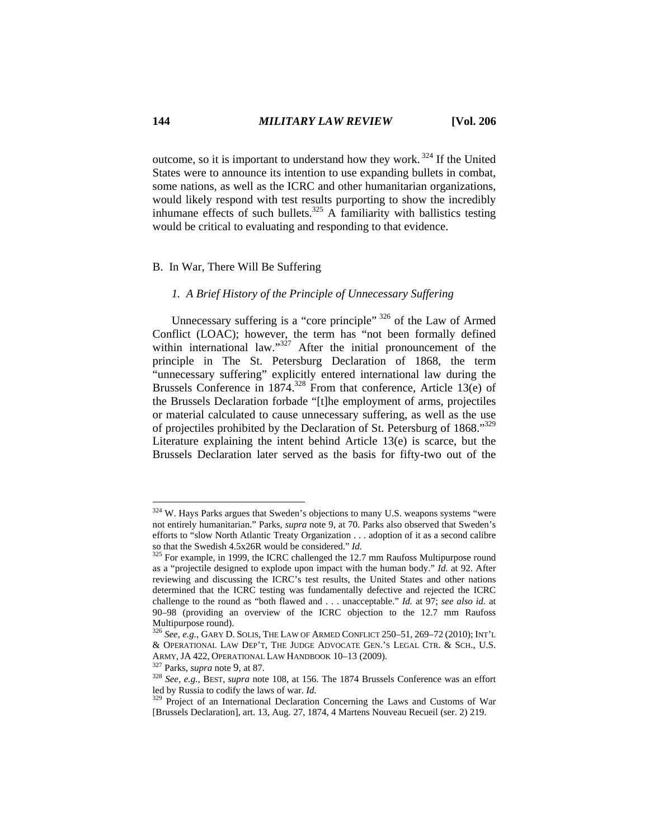outcome, so it is important to understand how they work.<sup>324</sup> If the United States were to announce its intention to use expanding bullets in combat, some nations, as well as the ICRC and other humanitarian organizations, would likely respond with test results purporting to show the incredibly inhumane effects of such bullets.<sup>325</sup> A familiarity with ballistics testing would be critical to evaluating and responding to that evidence.

# B. In War, There Will Be Suffering

# *1. A Brief History of the Principle of Unnecessary Suffering*

Unnecessary suffering is a "core principle" 326 of the Law of Armed Conflict (LOAC); however, the term has "not been formally defined within international law."<sup>327</sup> After the initial pronouncement of the principle in The St. Petersburg Declaration of 1868, the term "unnecessary suffering" explicitly entered international law during the Brussels Conference in 1874.<sup>328</sup> From that conference, Article 13(e) of the Brussels Declaration forbade "[t]he employment of arms, projectiles or material calculated to cause unnecessary suffering, as well as the use of projectiles prohibited by the Declaration of St. Petersburg of 1868."329 Literature explaining the intent behind Article 13(e) is scarce, but the Brussels Declaration later served as the basis for fifty-two out of the

 $324$  W. Hays Parks argues that Sweden's objections to many U.S. weapons systems "were not entirely humanitarian." Parks, *supra* note 9, at 70. Parks also observed that Sweden's efforts to "slow North Atlantic Treaty Organization . . . adoption of it as a second calibre so that the Swedish 4.5x26R would be considered." *Id.* <sup>325</sup> For example, in 1999, the ICRC challenged the 12.7 mm Raufoss Multipurpose round

as a "projectile designed to explode upon impact with the human body." *Id.* at 92. After reviewing and discussing the ICRC's test results, the United States and other nations determined that the ICRC testing was fundamentally defective and rejected the ICRC challenge to the round as "both flawed and . . . unacceptable." *Id.* at 97; *see also id.* at 90–98 (providing an overview of the ICRC objection to the 12.7 mm Raufoss Multipurpose round).

<sup>326</sup> *See*, *e.g.*, GARY D. SOLIS, THE LAW OF ARMED CONFLICT 250–51, 269–72 (2010); INT'L & OPERATIONAL LAW DEP'T, THE JUDGE ADVOCATE GEN.'S LEGAL CTR. & SCH., U.S.

ARMY, JA 422, OPERATIONAL LAW HANDBOOK 10–13 (2009).<br><sup>327</sup> Parks, *supra* note 9, at 87.<br><sup>328</sup> *See, e.g.*, BEST, *supra* note 108, at 156. The 1874 Brussels Conference was an effort led by Russia to codify the laws of war

<sup>&</sup>lt;sup>329</sup> Project of an International Declaration Concerning the Laws and Customs of War [Brussels Declaration], art. 13, Aug. 27, 1874, 4 Martens Nouveau Recueil (ser. 2) 219.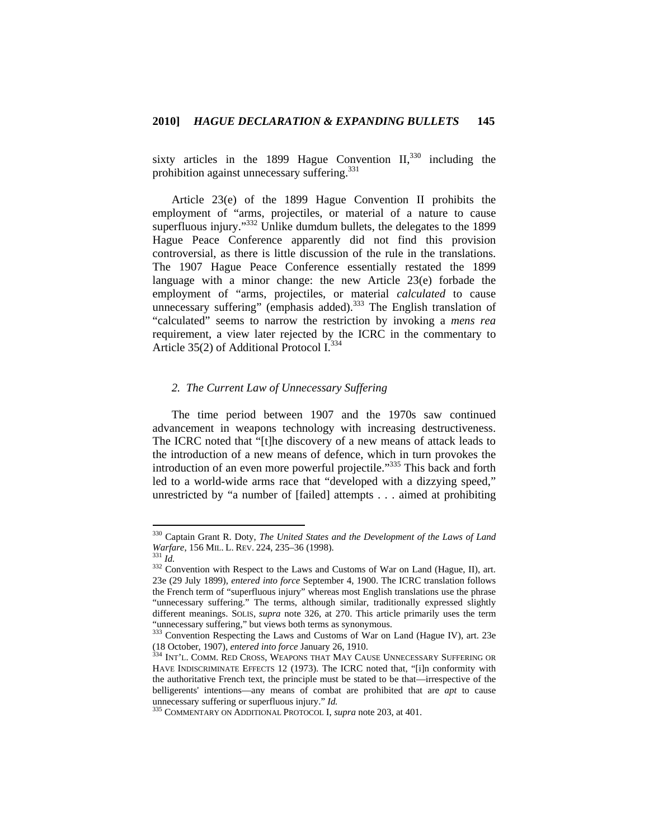sixty articles in the 1899 Hague Convention  $II$ <sup>330</sup>, including the prohibition against unnecessary suffering.<sup>331</sup>

Article 23(e) of the 1899 Hague Convention II prohibits the employment of "arms, projectiles, or material of a nature to cause superfluous injury."<sup>332</sup> Unlike dumdum bullets, the delegates to the 1899 Hague Peace Conference apparently did not find this provision controversial, as there is little discussion of the rule in the translations. The 1907 Hague Peace Conference essentially restated the 1899 language with a minor change: the new Article 23(e) forbade the employment of "arms, projectiles, or material *calculated* to cause unnecessary suffering" (emphasis added).<sup>333</sup> The English translation of "calculated" seems to narrow the restriction by invoking a *mens rea* requirement, a view later rejected by the ICRC in the commentary to Article 35(2) of Additional Protocol  $I^{334}$ .

### *2. The Current Law of Unnecessary Suffering*

The time period between 1907 and the 1970s saw continued advancement in weapons technology with increasing destructiveness. The ICRC noted that "[t]he discovery of a new means of attack leads to the introduction of a new means of defence, which in turn provokes the introduction of an even more powerful projectile."<sup>335</sup> This back and forth led to a world-wide arms race that "developed with a dizzying speed," unrestricted by "a number of [failed] attempts . . . aimed at prohibiting

<sup>330</sup> Captain Grant R. Doty, *The United States and the Development of the Laws of Land Warfare*, 156 MIL. L. REV. 224, 235–36 (1998).<br><sup>331</sup> *Id.* 332 Convention with Respect to the Laws and Customs of War on Land (Hague, II), art.

<sup>23</sup>e (29 July 1899), *entered into force* September 4, 1900. The ICRC translation follows the French term of "superfluous injury" whereas most English translations use the phrase "unnecessary suffering." The terms, although similar, traditionally expressed slightly different meanings. SOLIS, *supra* note 326, at 270. This article primarily uses the term "unnecessary suffering," but views both terms as synonymous.<br><sup>333</sup> Convention Respecting the Laws and Customs of War on Land (Hague IV), art. 23e

<sup>(18</sup> October, 1907), *entered into force* January 26, 1910. 334 INT'L. COMM. RED CROSS, WEAPONS THAT MAY CAUSE UNNECESSARY SUFFERING OR

HAVE INDISCRIMINATE EFFECTS 12 (1973). The ICRC noted that, "[i]n conformity with the authoritative French text, the principle must be stated to be that—irrespective of the belligerents' intentions—any means of combat are prohibited that are *apt* to cause unnecessary suffering or superfluous injury." *Id.* 335 COMMENTARY ON ADDITIONAL PROTOCOL I, *supra* note 203, at 401.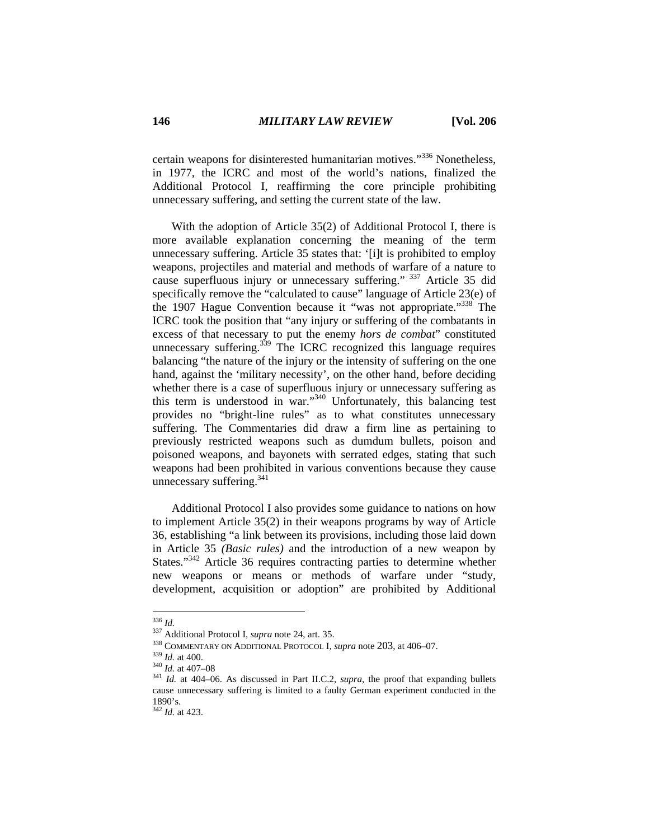certain weapons for disinterested humanitarian motives."336 Nonetheless, in 1977, the ICRC and most of the world's nations, finalized the Additional Protocol I, reaffirming the core principle prohibiting unnecessary suffering, and setting the current state of the law.

With the adoption of Article 35(2) of Additional Protocol I, there is more available explanation concerning the meaning of the term unnecessary suffering. Article 35 states that: '[i]t is prohibited to employ weapons, projectiles and material and methods of warfare of a nature to cause superfluous injury or unnecessary suffering." 337 Article 35 did specifically remove the "calculated to cause" language of Article 23(e) of the 1907 Hague Convention because it "was not appropriate."338 The ICRC took the position that "any injury or suffering of the combatants in excess of that necessary to put the enemy *hors de combat*" constituted unnecessary suffering.<sup>339</sup> The ICRC recognized this language requires balancing "the nature of the injury or the intensity of suffering on the one hand, against the 'military necessity', on the other hand, before deciding whether there is a case of superfluous injury or unnecessary suffering as this term is understood in war."340 Unfortunately, this balancing test provides no "bright-line rules" as to what constitutes unnecessary suffering. The Commentaries did draw a firm line as pertaining to previously restricted weapons such as dumdum bullets, poison and poisoned weapons, and bayonets with serrated edges, stating that such weapons had been prohibited in various conventions because they cause unnecessary suffering.<sup>341</sup>

Additional Protocol I also provides some guidance to nations on how to implement Article 35(2) in their weapons programs by way of Article 36, establishing "a link between its provisions, including those laid down in Article 35 *(Basic rules)* and the introduction of a new weapon by States."<sup>342</sup> Article 36 requires contracting parties to determine whether new weapons or means or methods of warfare under "study, development, acquisition or adoption" are prohibited by Additional

 $^{336}\,$  Id.

<sup>&</sup>lt;sup>337</sup> Additional Protocol I, *supra* note 24, art. 35.<br><sup>338</sup> COMMENTARY ON ADDITIONAL PROTOCOL I, *supra* note 203, at 406–07.<br><sup>339</sup> Id. at 400.<br><sup>340</sup> Id. at 407–08<br><sup>341</sup> Id. at 404–06. As discussed in Part II.C.2, *supra* cause unnecessary suffering is limited to a faulty German experiment conducted in the 1890's.

<sup>342</sup> *Id.* at 423.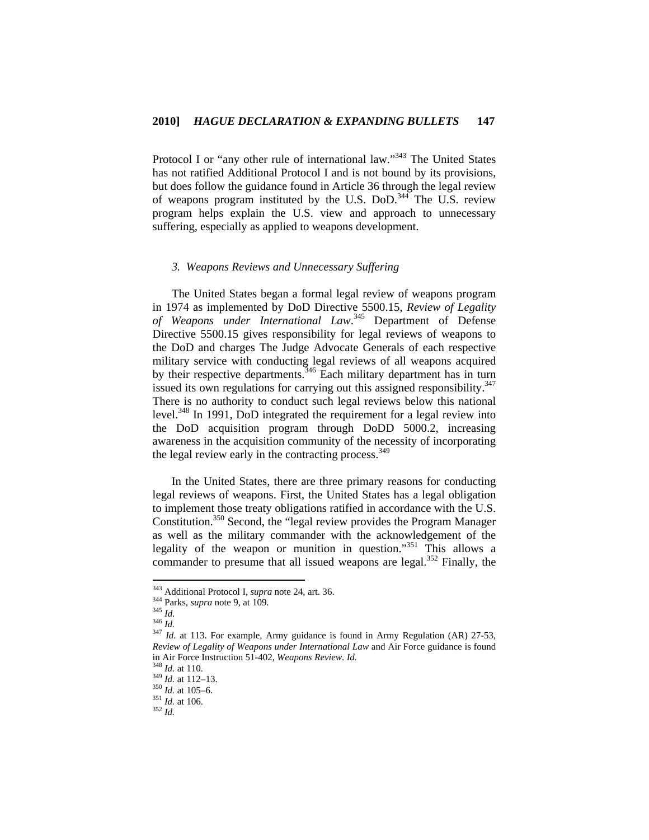Protocol I or "any other rule of international law."343 The United States has not ratified Additional Protocol I and is not bound by its provisions, but does follow the guidance found in Article 36 through the legal review of weapons program instituted by the U.S. DoD.344 The U.S. review program helps explain the U.S. view and approach to unnecessary suffering, especially as applied to weapons development.

# *3. Weapons Reviews and Unnecessary Suffering*

The United States began a formal legal review of weapons program in 1974 as implemented by DoD Directive 5500.15, *Review of Legality of Weapons under International Law*. 345 Department of Defense Directive 5500.15 gives responsibility for legal reviews of weapons to the DoD and charges The Judge Advocate Generals of each respective military service with conducting legal reviews of all weapons acquired by their respective departments.<sup>346</sup> Each military department has in turn issued its own regulations for carrying out this assigned responsibility.<sup>347</sup> There is no authority to conduct such legal reviews below this national level.348 In 1991, DoD integrated the requirement for a legal review into the DoD acquisition program through DoDD 5000.2, increasing awareness in the acquisition community of the necessity of incorporating the legal review early in the contracting process.<sup>349</sup>

In the United States, there are three primary reasons for conducting legal reviews of weapons. First, the United States has a legal obligation to implement those treaty obligations ratified in accordance with the U.S. Constitution.350 Second, the "legal review provides the Program Manager as well as the military commander with the acknowledgement of the legality of the weapon or munition in question."351 This allows a commander to presume that all issued weapons are legal.<sup>352</sup> Finally, the

<sup>343</sup> Additional Protocol I, supra note 24, art. 36.

Additional Protocol I, *supperatore* 24, and 244 Parks, *supra* note 9, at 109.<br><sup>345</sup> *Id.* 346 *Id.* 346 *Id.* 347 *Id.* at 113. For example, Army guidance is found in Army Regulation (AR) 27-53, *Review of Legality of Weapons under International Law* and Air Force guidance is found in Air Force Instruction 51-402, *Weapons Review. Id.* 348 *Id.* at 110.<br><sup>349</sup> *Id.* at 112–13.<br><sup>350</sup> *Id.* at 105–6.<br><sup>351</sup> *Id.* at 106. <sup>352</sup> *Id.*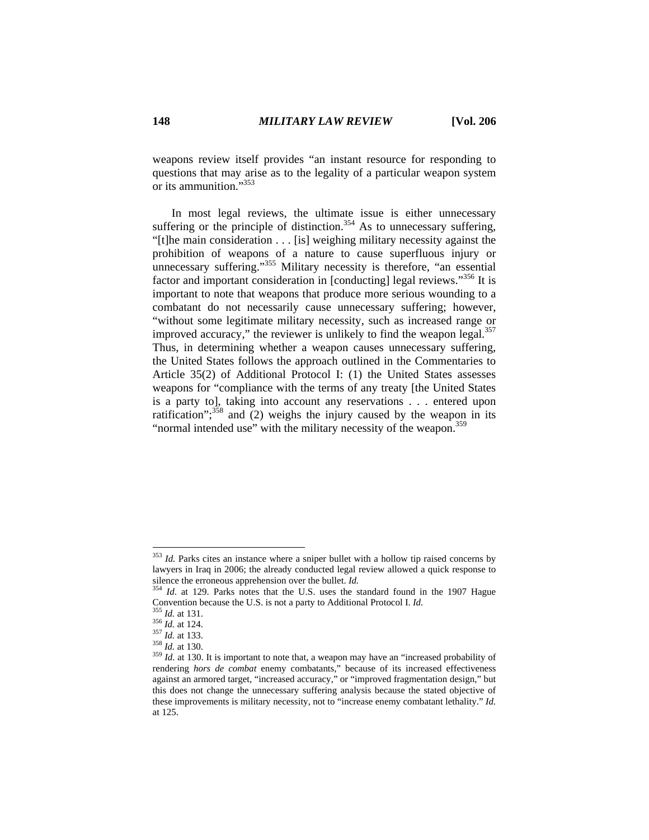weapons review itself provides "an instant resource for responding to questions that may arise as to the legality of a particular weapon system or its ammunition."353

In most legal reviews, the ultimate issue is either unnecessary suffering or the principle of distinction.<sup>354</sup> As to unnecessary suffering, "[t]he main consideration . . . [is] weighing military necessity against the prohibition of weapons of a nature to cause superfluous injury or unnecessary suffering."<sup>355</sup> Military necessity is therefore, "an essential factor and important consideration in [conducting] legal reviews."<sup>356</sup> It is important to note that weapons that produce more serious wounding to a combatant do not necessarily cause unnecessary suffering; however, "without some legitimate military necessity, such as increased range or improved accuracy," the reviewer is unlikely to find the weapon legal. $357$ Thus, in determining whether a weapon causes unnecessary suffering, the United States follows the approach outlined in the Commentaries to Article 35(2) of Additional Protocol I: (1) the United States assesses weapons for "compliance with the terms of any treaty [the United States is a party to], taking into account any reservations . . . entered upon ratification"; $358$  and (2) weighs the injury caused by the weapon in its "normal intended use" with the military necessity of the weapon.<sup>359</sup>

<sup>&</sup>lt;sup>353</sup> *Id.* Parks cites an instance where a sniper bullet with a hollow tip raised concerns by lawyers in Iraq in 2006; the already conducted legal review allowed a quick response to silence the erroneous apprehension over the bullet. *Id.* <sup>354</sup> *Id.* at 129. Parks notes that the U.S. uses the standard found in the 1907 Hague

Convention because the U.S. is not a party to Additional Protocol I. *Id.*<br>
<sup>355</sup> *Id.* at 131.<br>
<sup>356</sup> *Id.* at 124.<br>
<sup>357</sup> *Id.* at 133.<br>
<sup>358</sup> *Id.* at 130.<br>
<sup>359</sup> *Id.* at 130.<br>
<sup>359</sup> *Id.* at 130. It is important to n

rendering *hors de combat* enemy combatants," because of its increased effectiveness against an armored target, "increased accuracy," or "improved fragmentation design," but this does not change the unnecessary suffering analysis because the stated objective of these improvements is military necessity, not to "increase enemy combatant lethality." *Id.*  at 125.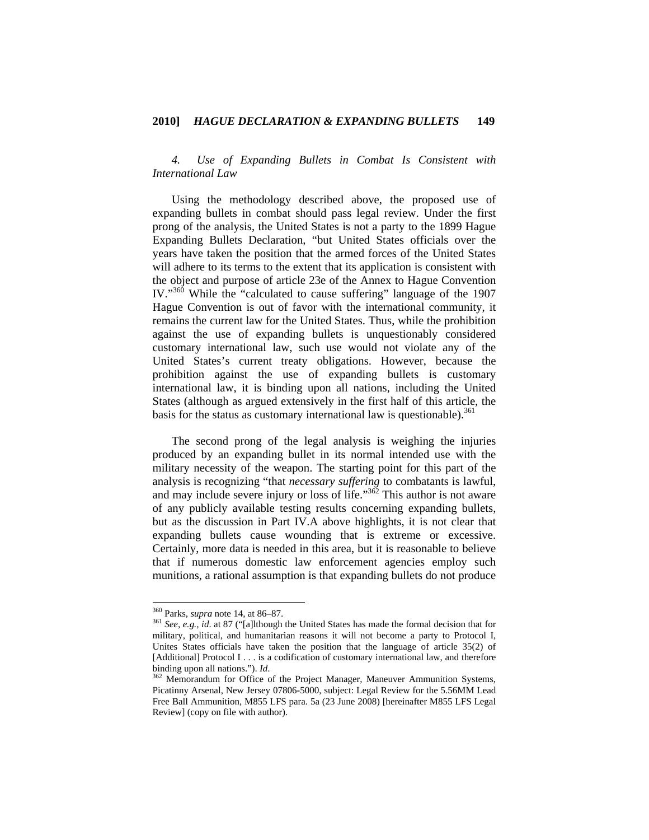*4. Use of Expanding Bullets in Combat Is Consistent with International Law*

Using the methodology described above, the proposed use of expanding bullets in combat should pass legal review. Under the first prong of the analysis, the United States is not a party to the 1899 Hague Expanding Bullets Declaration, "but United States officials over the years have taken the position that the armed forces of the United States will adhere to its terms to the extent that its application is consistent with the object and purpose of article 23e of the Annex to Hague Convention IV."360 While the "calculated to cause suffering" language of the 1907 Hague Convention is out of favor with the international community, it remains the current law for the United States. Thus, while the prohibition against the use of expanding bullets is unquestionably considered customary international law, such use would not violate any of the United States's current treaty obligations. However, because the prohibition against the use of expanding bullets is customary international law, it is binding upon all nations, including the United States (although as argued extensively in the first half of this article, the basis for the status as customary international law is questionable). $361$ 

The second prong of the legal analysis is weighing the injuries produced by an expanding bullet in its normal intended use with the military necessity of the weapon. The starting point for this part of the analysis is recognizing "that *necessary suffering* to combatants is lawful, and may include severe injury or loss of life."<sup>362</sup> This author is not aware of any publicly available testing results concerning expanding bullets, but as the discussion in Part IV.A above highlights, it is not clear that expanding bullets cause wounding that is extreme or excessive. Certainly, more data is needed in this area, but it is reasonable to believe that if numerous domestic law enforcement agencies employ such munitions, a rational assumption is that expanding bullets do not produce

 $360$  Parks, *supra* note 14, at 86–87.

<sup>&</sup>lt;sup>361</sup> See, e.g., *id.* at 87 ("[a]lthough the United States has made the formal decision that for military, political, and humanitarian reasons it will not become a party to Protocol I, Unites States officials have taken the position that the language of article 35(2) of [Additional] Protocol I . . . is a codification of customary international law, and therefore binding upon all nations."). *Id*.<br><sup>362</sup> Memorandum for Office of the Project Manager, Maneuver Ammunition Systems,

Picatinny Arsenal, New Jersey 07806-5000, subject: Legal Review for the 5.56MM Lead Free Ball Ammunition, M855 LFS para. 5a (23 June 2008) [hereinafter M855 LFS Legal Review] (copy on file with author).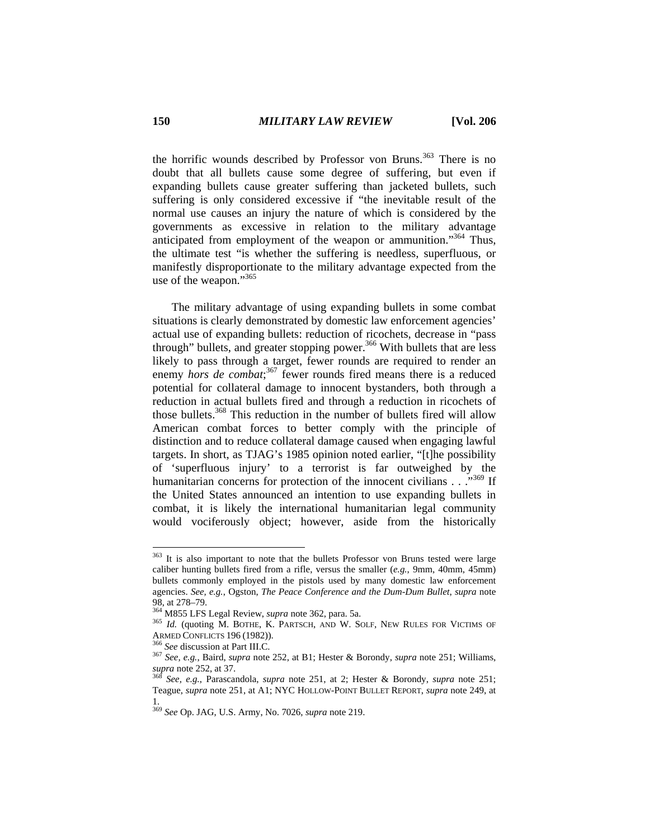the horrific wounds described by Professor von Bruns.<sup>363</sup> There is no doubt that all bullets cause some degree of suffering, but even if expanding bullets cause greater suffering than jacketed bullets, such suffering is only considered excessive if "the inevitable result of the normal use causes an injury the nature of which is considered by the governments as excessive in relation to the military advantage anticipated from employment of the weapon or ammunition."364 Thus, the ultimate test "is whether the suffering is needless, superfluous, or manifestly disproportionate to the military advantage expected from the use of the weapon."<sup>365</sup>

The military advantage of using expanding bullets in some combat situations is clearly demonstrated by domestic law enforcement agencies' actual use of expanding bullets: reduction of ricochets, decrease in "pass through" bullets, and greater stopping power.<sup>366</sup> With bullets that are less likely to pass through a target, fewer rounds are required to render an enemy *hors de combat*;<sup>367</sup> fewer rounds fired means there is a reduced potential for collateral damage to innocent bystanders, both through a reduction in actual bullets fired and through a reduction in ricochets of those bullets.<sup>368</sup> This reduction in the number of bullets fired will allow American combat forces to better comply with the principle of distinction and to reduce collateral damage caused when engaging lawful targets. In short, as TJAG's 1985 opinion noted earlier, "[t]he possibility of 'superfluous injury' to a terrorist is far outweighed by the humanitarian concerns for protection of the innocent civilians . . .<sup>369</sup> If the United States announced an intention to use expanding bullets in combat, it is likely the international humanitarian legal community would vociferously object; however, aside from the historically

<sup>&</sup>lt;sup>363</sup> It is also important to note that the bullets Professor von Bruns tested were large caliber hunting bullets fired from a rifle, versus the smaller (*e.g.*, 9mm, 40mm, 45mm) bullets commonly employed in the pistols used by many domestic law enforcement agencies. *See, e.g.*, Ogston, *The Peace Conference and the Dum-Dum Bullet*, *supra* note 98, at 278–79.<br><sup>364</sup> M855 LFS Legal Review, *supra* note 362, para. 5a.

<sup>&</sup>lt;sup>365</sup> Id. (quoting M. BOTHE, K. PARTSCH, AND W. SOLF, NEW RULES FOR VICTIMS OF ARMED CONFLICTS 196 (1982)).

<sup>&</sup>lt;sup>366</sup> *See* discussion at Part III.C.<br><sup>367</sup> *See, e.g.*, Baird, *supra* note 252, at B1; Hester & Borondy, *supra* note 251; Williams, *supra* note 252, at 37. 368 *See, e.g.*, Parascandola, *supra* note 251, at 2; Hester & Borondy, *supra* note 251;

Teague, *supra* note 251, at A1; NYC HOLLOW-POINT BULLET REPORT, *supra* note 249, at 1.

<sup>369</sup> *See* Op. JAG, U.S. Army, No. 7026, *supra* note 219.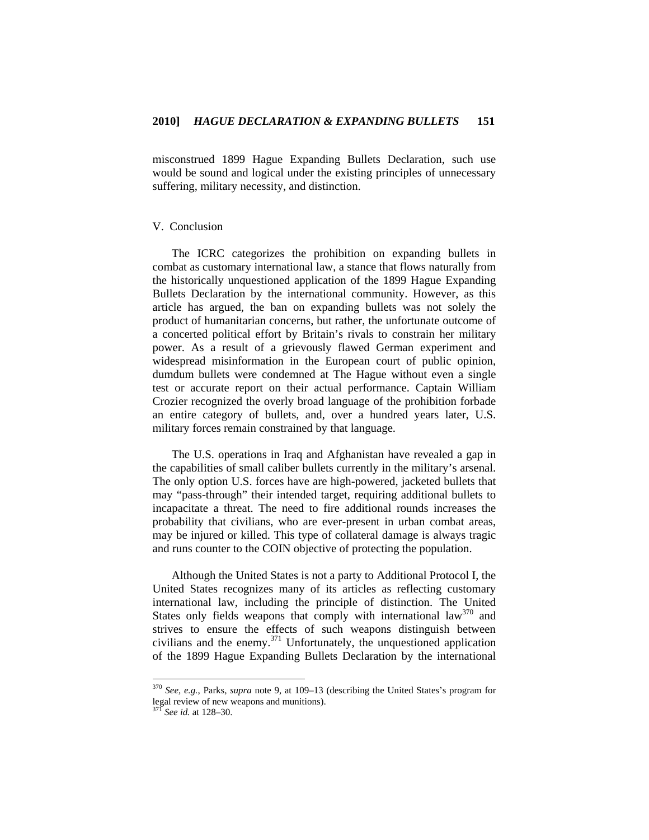misconstrued 1899 Hague Expanding Bullets Declaration, such use would be sound and logical under the existing principles of unnecessary suffering, military necessity, and distinction.

# V. Conclusion

The ICRC categorizes the prohibition on expanding bullets in combat as customary international law, a stance that flows naturally from the historically unquestioned application of the 1899 Hague Expanding Bullets Declaration by the international community. However, as this article has argued, the ban on expanding bullets was not solely the product of humanitarian concerns, but rather, the unfortunate outcome of a concerted political effort by Britain's rivals to constrain her military power. As a result of a grievously flawed German experiment and widespread misinformation in the European court of public opinion, dumdum bullets were condemned at The Hague without even a single test or accurate report on their actual performance. Captain William Crozier recognized the overly broad language of the prohibition forbade an entire category of bullets, and, over a hundred years later, U.S. military forces remain constrained by that language.

The U.S. operations in Iraq and Afghanistan have revealed a gap in the capabilities of small caliber bullets currently in the military's arsenal. The only option U.S. forces have are high-powered, jacketed bullets that may "pass-through" their intended target, requiring additional bullets to incapacitate a threat. The need to fire additional rounds increases the probability that civilians, who are ever-present in urban combat areas, may be injured or killed. This type of collateral damage is always tragic and runs counter to the COIN objective of protecting the population.

Although the United States is not a party to Additional Protocol I, the United States recognizes many of its articles as reflecting customary international law, including the principle of distinction. The United States only fields weapons that comply with international law<sup>370</sup> and strives to ensure the effects of such weapons distinguish between civilians and the enemy.371 Unfortunately, the unquestioned application of the 1899 Hague Expanding Bullets Declaration by the international

<sup>370</sup> *See, e.g.*, Parks, *supra* note 9, at 109–13 (describing the United States's program for legal review of new weapons and munitions).

See id. at 128-30.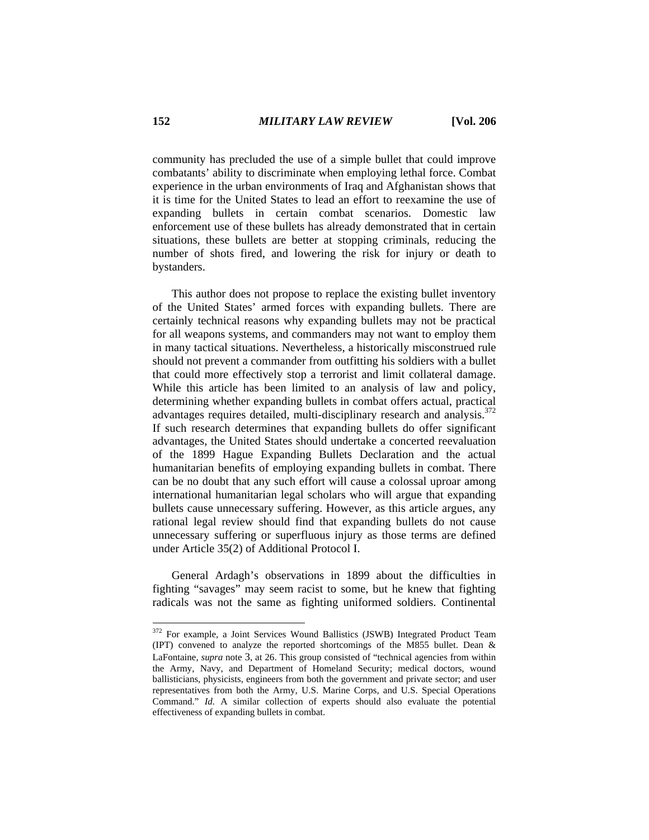community has precluded the use of a simple bullet that could improve combatants' ability to discriminate when employing lethal force. Combat experience in the urban environments of Iraq and Afghanistan shows that it is time for the United States to lead an effort to reexamine the use of expanding bullets in certain combat scenarios. Domestic law enforcement use of these bullets has already demonstrated that in certain situations, these bullets are better at stopping criminals, reducing the number of shots fired, and lowering the risk for injury or death to bystanders.

This author does not propose to replace the existing bullet inventory of the United States' armed forces with expanding bullets. There are certainly technical reasons why expanding bullets may not be practical for all weapons systems, and commanders may not want to employ them in many tactical situations. Nevertheless, a historically misconstrued rule should not prevent a commander from outfitting his soldiers with a bullet that could more effectively stop a terrorist and limit collateral damage. While this article has been limited to an analysis of law and policy, determining whether expanding bullets in combat offers actual, practical advantages requires detailed, multi-disciplinary research and analysis.<sup>372</sup> If such research determines that expanding bullets do offer significant advantages, the United States should undertake a concerted reevaluation of the 1899 Hague Expanding Bullets Declaration and the actual humanitarian benefits of employing expanding bullets in combat. There can be no doubt that any such effort will cause a colossal uproar among international humanitarian legal scholars who will argue that expanding bullets cause unnecessary suffering. However, as this article argues, any rational legal review should find that expanding bullets do not cause unnecessary suffering or superfluous injury as those terms are defined under Article 35(2) of Additional Protocol I.

General Ardagh's observations in 1899 about the difficulties in fighting "savages" may seem racist to some, but he knew that fighting radicals was not the same as fighting uniformed soldiers. Continental

<sup>&</sup>lt;sup>372</sup> For example, a Joint Services Wound Ballistics (JSWB) Integrated Product Team (IPT) convened to analyze the reported shortcomings of the M855 bullet. Dean & LaFontaine, *supra* note 3, at 26. This group consisted of "technical agencies from within the Army, Navy, and Department of Homeland Security; medical doctors, wound ballisticians, physicists, engineers from both the government and private sector; and user representatives from both the Army, U.S. Marine Corps, and U.S. Special Operations Command." *Id.* A similar collection of experts should also evaluate the potential effectiveness of expanding bullets in combat.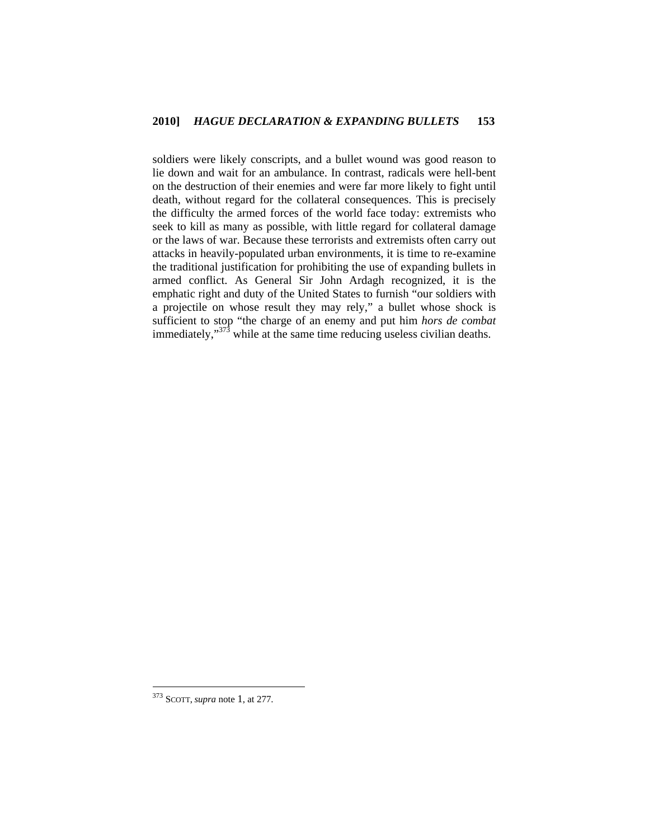soldiers were likely conscripts, and a bullet wound was good reason to lie down and wait for an ambulance. In contrast, radicals were hell-bent on the destruction of their enemies and were far more likely to fight until death, without regard for the collateral consequences. This is precisely the difficulty the armed forces of the world face today: extremists who seek to kill as many as possible, with little regard for collateral damage or the laws of war. Because these terrorists and extremists often carry out attacks in heavily-populated urban environments, it is time to re-examine the traditional justification for prohibiting the use of expanding bullets in armed conflict. As General Sir John Ardagh recognized, it is the emphatic right and duty of the United States to furnish "our soldiers with a projectile on whose result they may rely," a bullet whose shock is sufficient to stop "the charge of an enemy and put him *hors de combat* immediately," $373$  while at the same time reducing useless civilian deaths.

<sup>373</sup> SCOTT, *supra* note 1, at 277.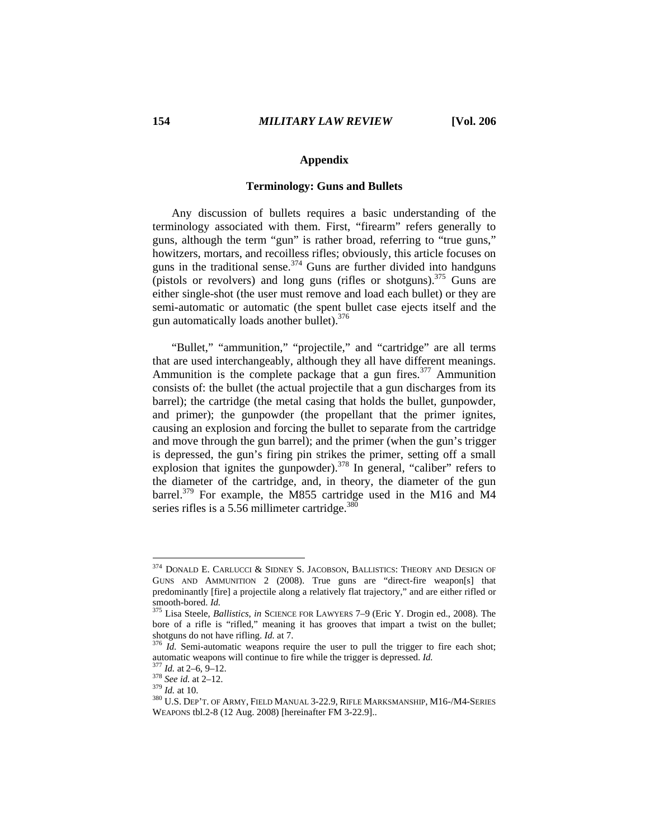# **Appendix**

# **Terminology: Guns and Bullets**

Any discussion of bullets requires a basic understanding of the terminology associated with them. First, "firearm" refers generally to guns, although the term "gun" is rather broad, referring to "true guns," howitzers, mortars, and recoilless rifles; obviously, this article focuses on guns in the traditional sense. $374$  Guns are further divided into handguns (pistols or revolvers) and long guns (rifles or shotguns).<sup>375</sup> Guns are either single-shot (the user must remove and load each bullet) or they are semi-automatic or automatic (the spent bullet case ejects itself and the gun automatically loads another bullet).<sup>376</sup>

"Bullet," "ammunition," "projectile," and "cartridge" are all terms that are used interchangeably, although they all have different meanings. Ammunition is the complete package that a gun fires.<sup>377</sup> Ammunition consists of: the bullet (the actual projectile that a gun discharges from its barrel); the cartridge (the metal casing that holds the bullet, gunpowder, and primer); the gunpowder (the propellant that the primer ignites, causing an explosion and forcing the bullet to separate from the cartridge and move through the gun barrel); and the primer (when the gun's trigger is depressed, the gun's firing pin strikes the primer, setting off a small explosion that ignites the gunpowder).<sup>378</sup> In general, "caliber" refers to the diameter of the cartridge, and, in theory, the diameter of the gun barrel.<sup>379</sup> For example, the M855 cartridge used in the M16 and M4 series rifles is a  $5.56$  millimeter cartridge.<sup>380</sup>

 $374$  DONALD E. CARLUCCI & SIDNEY S. JACOBSON, BALLISTICS: THEORY AND DESIGN OF GUNS AND AMMUNITION 2 (2008). True guns are "direct-fire weapon[s] that predominantly [fire] a projectile along a relatively flat trajectory," and are either rifled or smooth-bored. *Id.* 375 Lisa Steele, *Ballistics*, *in* SCIENCE FOR LAWYERS 7–9 (Eric Y. Drogin ed., 2008). The

bore of a rifle is "rifled," meaning it has grooves that impart a twist on the bullet;

shotguns do not have rifling. *Id.* at 7.<br><sup>376</sup> *Id.* Semi-automatic weapons require the user to pull the trigger to fire each shot;<br>automatic weapons will continue to fire while the trigger is depressed. *Id.* 

<sup>&</sup>lt;sup>377</sup> Id. at 2–6, 9–12.<br><sup>378</sup> See id. at 2–12.<br><sup>379</sup> Id. at 10.<br><sup>379</sup> U.S. Dep't. of ARMY, FIELD MANUAL 3-22.9, RIFLE MARKSMANSHIP, M16-/M4-SERIES WEAPONS tbl.2-8 (12 Aug. 2008) [hereinafter FM 3-22.9]..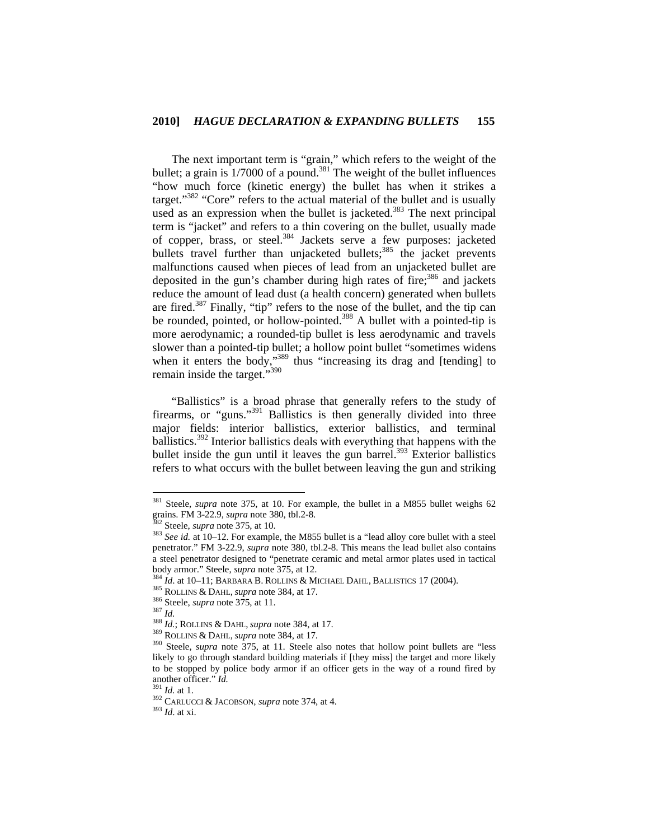The next important term is "grain," which refers to the weight of the bullet; a grain is  $1/7000$  of a pound.<sup>381</sup> The weight of the bullet influences "how much force (kinetic energy) the bullet has when it strikes a target."<sup>382</sup> "Core" refers to the actual material of the bullet and is usually used as an expression when the bullet is jacketed.<sup>383</sup> The next principal term is "jacket" and refers to a thin covering on the bullet, usually made of copper, brass, or steel.<sup>384</sup> Jackets serve a few purposes: jacketed bullets travel further than unjacketed bullets;<sup>385</sup> the jacket prevents malfunctions caused when pieces of lead from an unjacketed bullet are deposited in the gun's chamber during high rates of fire;<sup>386</sup> and jackets reduce the amount of lead dust (a health concern) generated when bullets are fired.387 Finally, "tip" refers to the nose of the bullet, and the tip can be rounded, pointed, or hollow-pointed.<sup>388</sup> A bullet with a pointed-tip is more aerodynamic; a rounded-tip bullet is less aerodynamic and travels slower than a pointed-tip bullet; a hollow point bullet "sometimes widens when it enters the body," $389$  thus "increasing its drag and [tending] to remain inside the target."<sup>390</sup>

"Ballistics" is a broad phrase that generally refers to the study of firearms, or "guns."<sup>391</sup> Ballistics is then generally divided into three major fields: interior ballistics, exterior ballistics, and terminal ballistics.392 Interior ballistics deals with everything that happens with the bullet inside the gun until it leaves the gun barrel. $393$  Exterior ballistics refers to what occurs with the bullet between leaving the gun and striking

<sup>381</sup> Steele, *supra* note 375, at 10. For example, the bullet in a M855 bullet weighs 62 grains. FM 3-22.9, *supra* note 380, tbl.2-8.<br><sup>382</sup> Steele, *supra* note 375, at 10.<br><sup>383</sup> *See id.* at 10–12. For example, the M855 bullet is a "lead alloy core bullet with a steel

penetrator." FM 3-22.9, *supra* note 380, tbl.2-8. This means the lead bullet also contains a steel penetrator designed to "penetrate ceramic and metal armor plates used in tactical

body armor." Steele, *supra* note 375, at 12.<br>
<sup>384</sup> *Id.* at 10–11; BARBARA B. ROLLINS & MICHAEL DAHL, BALLISTICS 17 (2004).<br>
<sup>385</sup> ROLLINS & DAHL, *supra* note 384, at 17.<br>
<sup>386</sup> Steele, *supra* note 375, at 11.<br>
<sup>387</sup> likely to go through standard building materials if [they miss] the target and more likely to be stopped by police body armor if an officer gets in the way of a round fired by another officer." *Id.*<br><sup>391</sup> *Id.* at 1.<br><sup>392</sup> CARLUCCI & JACOBSON, *supra* note 374, at 4.<br><sup>393</sup> *Id.* at xi.